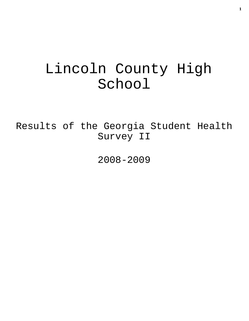# Lincoln County High School

Results of the Georgia Student Health Survey II

2008-2009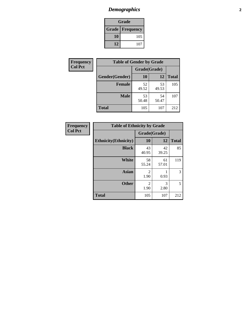# *Demographics* **2**

| Grade                    |     |  |  |  |
|--------------------------|-----|--|--|--|
| <b>Grade   Frequency</b> |     |  |  |  |
| 10                       | 105 |  |  |  |
| 12                       | 107 |  |  |  |

| Frequency      | <b>Table of Gender by Grade</b> |              |             |              |  |
|----------------|---------------------------------|--------------|-------------|--------------|--|
| <b>Col Pct</b> |                                 | Grade(Grade) |             |              |  |
|                | Gender(Gender)                  | 10           | 12          | <b>Total</b> |  |
|                | <b>Female</b>                   | 52<br>49.52  | 53<br>49.53 | 105          |  |
|                | <b>Male</b>                     | 53<br>50.48  | 54<br>50.47 | 107          |  |
|                | <b>Total</b>                    | 105          | 107         | 212          |  |

| <b>Frequency</b> |
|------------------|
| <b>Col Pct</b>   |

| <b>Table of Ethnicity by Grade</b> |              |             |              |  |  |  |  |
|------------------------------------|--------------|-------------|--------------|--|--|--|--|
|                                    | Grade(Grade) |             |              |  |  |  |  |
| <b>Ethnicity</b> (Ethnicity)       | 10           | 12          | <b>Total</b> |  |  |  |  |
| <b>Black</b>                       | 43<br>40.95  | 42<br>39.25 | 85           |  |  |  |  |
| White                              | 58<br>55.24  | 61<br>57.01 | 119          |  |  |  |  |
| <b>Asian</b>                       | 2<br>1.90    | 0.93        | 3            |  |  |  |  |
| <b>Other</b>                       | 2<br>1.90    | 3<br>2.80   | 5            |  |  |  |  |
| <b>Total</b>                       | 105          | 107         | 212          |  |  |  |  |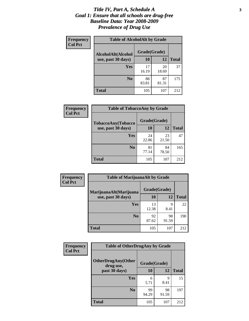#### *Title IV, Part A, Schedule A* **3** *Goal 1: Ensure that all schools are drug-free Baseline Data: Year 2008-2009 Prevalence of Drug Use*

| Frequency<br><b>Col Pct</b> | <b>Table of AlcoholAlt by Grade</b> |              |             |              |  |  |
|-----------------------------|-------------------------------------|--------------|-------------|--------------|--|--|
|                             | AlcoholAlt(Alcohol                  | Grade(Grade) |             |              |  |  |
|                             | use, past 30 days)                  | 10           | 12          | <b>Total</b> |  |  |
|                             | Yes                                 | 17<br>16.19  | 20<br>18.69 | 37           |  |  |
|                             | N <sub>0</sub>                      | 88<br>83.81  | 87<br>81.31 | 175          |  |  |
|                             | <b>Total</b>                        | 105          | 107         | 212          |  |  |

| Frequency<br><b>Col Pct</b> | <b>Table of TobaccoAny by Grade</b> |              |             |              |  |
|-----------------------------|-------------------------------------|--------------|-------------|--------------|--|
|                             | <b>TobaccoAny(Tobacco</b>           | Grade(Grade) |             |              |  |
|                             | use, past 30 days)                  | <b>10</b>    | 12          | <b>Total</b> |  |
|                             | Yes                                 | 24<br>22.86  | 23<br>21.50 | 47           |  |
|                             | N <sub>0</sub>                      | 81<br>77.14  | 84<br>78.50 | 165          |  |
|                             | Total                               | 105          | 107         | 212          |  |

| Frequency<br><b>Col Pct</b> | <b>Table of MarijuanaAlt by Grade</b>        |              |             |              |  |
|-----------------------------|----------------------------------------------|--------------|-------------|--------------|--|
|                             | MarijuanaAlt(Marijuana<br>use, past 30 days) | Grade(Grade) |             |              |  |
|                             |                                              | 10           | 12          | <b>Total</b> |  |
|                             | <b>Yes</b>                                   | 13<br>12.38  | 9<br>8.41   | 22           |  |
|                             | N <sub>0</sub>                               | 92<br>87.62  | 98<br>91.59 | 190          |  |
|                             | <b>Total</b>                                 | 105          | 107         | 212          |  |

| <b>Frequency</b> | <b>Table of OtherDrugAny by Grade</b>  |              |              |     |  |  |
|------------------|----------------------------------------|--------------|--------------|-----|--|--|
| <b>Col Pct</b>   | <b>OtherDrugAny(Other</b><br>drug use, | Grade(Grade) |              |     |  |  |
| past 30 days)    | 10                                     | 12           | <b>Total</b> |     |  |  |
|                  | Yes                                    | 6<br>5.71    | 9<br>8.41    | 15  |  |  |
|                  | N <sub>0</sub>                         | 99<br>94.29  | 98<br>91.59  | 197 |  |  |
|                  | <b>Total</b>                           | 105          | 107          | 212 |  |  |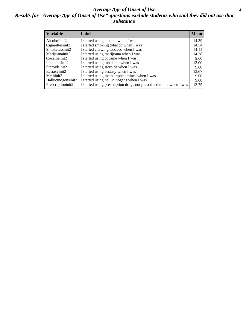#### *Average Age of Onset of Use* **4** *Results for "Average Age of Onset of Use" questions exclude students who said they did not use that substance*

| <b>Variable</b>       | Label                                                              | <b>Mean</b> |
|-----------------------|--------------------------------------------------------------------|-------------|
| Alcoholinit2          | I started using alcohol when I was                                 | 14.39       |
| Cigarettesinit2       | I started smoking tobacco when I was                               | 14.54       |
| Smokelessinit2        | I started chewing tobacco when I was                               | 14.14       |
| Marijuanainit2        | I started using marijuana when I was                               | 14.28       |
| Cocaineinit2          | I started using cocaine when I was                                 | 9.00        |
| Inhalantsinit2        | I started using inhalants when I was                               | 13.00       |
| Steroidsinit2         | I started using steroids when I was                                | 9.00        |
| Ecstasyinit2          | I started using ecstasy when I was                                 | 13.67       |
| Methinit <sub>2</sub> | I started using methamphetamines when I was                        | 9.00        |
| Hallucinogensinit2    | I started using hallucinogens when I was                           | 9.00        |
| Prescriptioninit2     | I started using prescription drugs not prescribed to me when I was | 13.75       |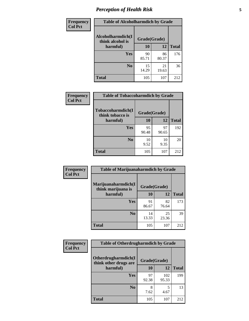# *Perception of Health Risk* **5**

| <b>Frequency</b> | <b>Table of Alcoholharmdich by Grade</b> |              |             |              |  |
|------------------|------------------------------------------|--------------|-------------|--------------|--|
| <b>Col Pct</b>   | Alcoholharmdich(I<br>think alcohol is    | Grade(Grade) |             |              |  |
|                  | harmful)                                 | 10           | 12          | <b>Total</b> |  |
|                  | <b>Yes</b>                               | 90<br>85.71  | 86<br>80.37 | 176          |  |
|                  | N <sub>0</sub>                           | 15<br>14.29  | 21<br>19.63 | 36           |  |
|                  | <b>Total</b>                             | 105          | 107         | 212          |  |

| Frequency      | <b>Table of Tobaccoharmdich by Grade</b> |              |             |              |  |
|----------------|------------------------------------------|--------------|-------------|--------------|--|
| <b>Col Pct</b> | Tobaccoharmdich(I<br>think tobacco is    | Grade(Grade) |             |              |  |
|                | harmful)                                 | 10           | 12          | <b>Total</b> |  |
|                | Yes                                      | 95<br>90.48  | 97<br>90.65 | 192          |  |
|                | N <sub>0</sub>                           | 10<br>9.52   | 10<br>9.35  | 20           |  |
|                | <b>Total</b>                             | 105          | 107         | 212          |  |

| Frequency      | <b>Table of Marijuanaharmdich by Grade</b> |              |             |              |  |  |
|----------------|--------------------------------------------|--------------|-------------|--------------|--|--|
| <b>Col Pct</b> | Marijuanaharmdich(I<br>think marijuana is  | Grade(Grade) |             |              |  |  |
|                | harmful)                                   | 10           | 12          | <b>Total</b> |  |  |
|                | Yes                                        | 91<br>86.67  | 82<br>76.64 | 173          |  |  |
|                | N <sub>0</sub>                             | 14<br>13.33  | 25<br>23.36 | 39           |  |  |
|                | <b>Total</b>                               | 105          | 107         | 212          |  |  |

| <b>Frequency</b> | <b>Table of Otherdrugharmdich by Grade</b>   |              |              |              |  |  |  |  |
|------------------|----------------------------------------------|--------------|--------------|--------------|--|--|--|--|
| <b>Col Pct</b>   | Otherdrugharmdich(I<br>think other drugs are | Grade(Grade) |              |              |  |  |  |  |
|                  | harmful)                                     | 10           | 12           | <b>Total</b> |  |  |  |  |
|                  | Yes                                          | 97<br>92.38  | 102<br>95.33 | 199          |  |  |  |  |
|                  | N <sub>0</sub>                               | 8<br>7.62    | 5<br>4.67    | 13           |  |  |  |  |
|                  | <b>Total</b>                                 | 105          | 107          | 212          |  |  |  |  |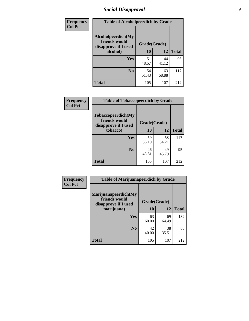# *Social Disapproval* **6**

| <b>Frequency</b> | <b>Table of Alcoholpeerdich by Grade</b>                    |              |             |              |
|------------------|-------------------------------------------------------------|--------------|-------------|--------------|
| <b>Col Pct</b>   | Alcoholpeerdich(My<br>friends would<br>disapprove if I used | Grade(Grade) |             |              |
|                  | alcohol)                                                    | 10           | 12          | <b>Total</b> |
|                  | <b>Yes</b>                                                  | 51<br>48.57  | 44<br>41.12 | 95           |
|                  | N <sub>0</sub>                                              | 54<br>51.43  | 63<br>58.88 | 117          |
|                  | <b>Total</b>                                                | 105          | 107         | 212          |

| <b>Frequency</b> |
|------------------|
| <b>Col Pct</b>   |

| <b>Table of Tobaccopeerdich by Grade</b>                    |              |             |              |  |  |  |
|-------------------------------------------------------------|--------------|-------------|--------------|--|--|--|
| Tobaccopeerdich(My<br>friends would<br>disapprove if I used | Grade(Grade) |             |              |  |  |  |
| tobacco)                                                    | 10           | 12          | <b>Total</b> |  |  |  |
| Yes                                                         | 59<br>56.19  | 58<br>54.21 | 117          |  |  |  |
| N <sub>0</sub>                                              | 46<br>43.81  | 49<br>45.79 | 95           |  |  |  |
| <b>Total</b>                                                | 105          | 107         | 212          |  |  |  |

| <b>Frequency</b> | <b>Table of Marijuanapeerdich by Grade</b>                    |             |              |              |  |  |  |  |
|------------------|---------------------------------------------------------------|-------------|--------------|--------------|--|--|--|--|
| <b>Col Pct</b>   | Marijuanapeerdich(My<br>friends would<br>disapprove if I used |             | Grade(Grade) |              |  |  |  |  |
|                  | marijuana)                                                    | 10          | 12           | <b>Total</b> |  |  |  |  |
|                  | <b>Yes</b>                                                    | 63<br>60.00 | 69<br>64.49  | 132          |  |  |  |  |
|                  | N <sub>0</sub>                                                | 42<br>40.00 | 38<br>35.51  | 80           |  |  |  |  |
|                  | <b>Total</b>                                                  | 105         | 107          | 212          |  |  |  |  |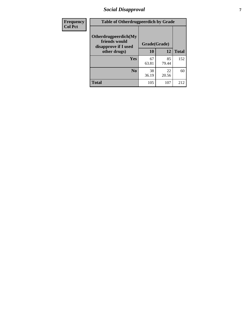# *Social Disapproval* **7**

| Frequency      | <b>Table of Otherdrugpeerdich by Grade</b>                    |              |             |              |  |  |  |  |
|----------------|---------------------------------------------------------------|--------------|-------------|--------------|--|--|--|--|
| <b>Col Pct</b> | Otherdrugpeerdich(My<br>friends would<br>disapprove if I used | Grade(Grade) |             |              |  |  |  |  |
|                | other drugs)                                                  | 10           | 12          | <b>Total</b> |  |  |  |  |
|                | Yes                                                           | 67<br>63.81  | 85<br>79.44 | 152          |  |  |  |  |
|                | N <sub>0</sub>                                                | 38<br>36.19  | 22<br>20.56 | 60           |  |  |  |  |
|                | <b>Total</b>                                                  | 105          | 107         | 212          |  |  |  |  |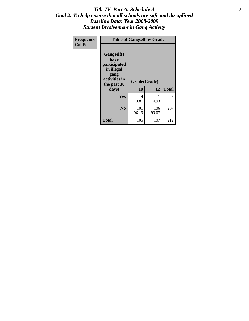### Title IV, Part A, Schedule A **8** *Goal 2: To help ensure that all schools are safe and disciplined Baseline Data: Year 2008-2009 Student Involvement in Gang Activity*

| Frequency      | <b>Table of Gangself by Grade</b>                                                                 |                    |              |              |
|----------------|---------------------------------------------------------------------------------------------------|--------------------|--------------|--------------|
| <b>Col Pct</b> | Gangself(I<br>have<br>participated<br>in illegal<br>gang<br>activities in<br>the past 30<br>days) | Grade(Grade)<br>10 | 12           | <b>Total</b> |
|                | Yes                                                                                               | 4<br>3.81          | 1<br>0.93    | 5            |
|                | N <sub>0</sub>                                                                                    | 101<br>96.19       | 106<br>99.07 | 207          |
|                | <b>Total</b>                                                                                      | 105                | 107          | 212          |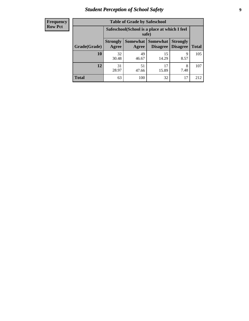# *Student Perception of School Safety* **9**

| <b>Frequency</b><br>Row Pct |
|-----------------------------|
|                             |

| <b>Table of Grade by Safeschool</b> |                          |                                                        |                             |                                    |              |  |  |
|-------------------------------------|--------------------------|--------------------------------------------------------|-----------------------------|------------------------------------|--------------|--|--|
|                                     |                          | Safeschool (School is a place at which I feel<br>safe) |                             |                                    |              |  |  |
| Grade(Grade)                        | <b>Strongly</b><br>Agree | Somewhat<br>Agree                                      | <b>Somewhat</b><br>Disagree | <b>Strongly</b><br><b>Disagree</b> | <b>Total</b> |  |  |
| 10                                  | 32<br>30.48              | 49<br>46.67                                            | 15<br>14.29                 | 9<br>8.57                          | 105          |  |  |
| 12                                  | 31<br>28.97              | 51<br>47.66                                            | 17<br>15.89                 | 8<br>7.48                          | 107          |  |  |
| <b>Total</b>                        | 63                       | 100                                                    | 32                          | 17                                 | 212          |  |  |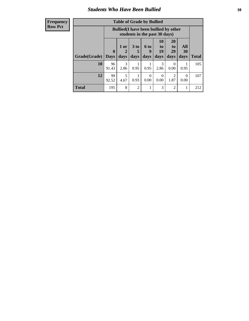### *Students Who Have Been Bullied* **10**

#### **Frequency Row Pct**

| <b>Table of Grade by Bullied</b> |                  |                                                                               |                              |                   |                        |                        |                   |              |
|----------------------------------|------------------|-------------------------------------------------------------------------------|------------------------------|-------------------|------------------------|------------------------|-------------------|--------------|
|                                  |                  | <b>Bullied</b> (I have been bullied by other<br>students in the past 30 days) |                              |                   |                        |                        |                   |              |
| Grade(Grade)                     | 0<br><b>Days</b> | 1 or<br>days                                                                  | 3 <sub>to</sub><br>5<br>days | 6 to<br>9<br>days | 10<br>to<br>19<br>days | 20<br>to<br>29<br>days | All<br>30<br>days | <b>Total</b> |
| 10                               | 96<br>91.43      | 3<br>2.86                                                                     | 0.95                         | 0.95              | 3<br>2.86              | $\theta$<br>0.00       | 0.95              | 105          |
| 12                               | 99<br>92.52      | 5<br>4.67                                                                     | 0.93                         | $\theta$<br>0.00  | 0<br>0.00              | $\overline{2}$<br>1.87 | $\Omega$<br>0.00  | 107          |
| <b>Total</b>                     | 195              | 8                                                                             | $\overline{2}$               |                   | 3                      | $\overline{2}$         |                   | 212          |

 $\blacksquare$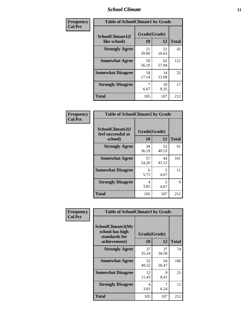### *School Climate* **11**

| Frequency      | <b>Table of SchoolClimate1 by Grade</b> |                    |             |              |  |  |
|----------------|-----------------------------------------|--------------------|-------------|--------------|--|--|
| <b>Col Pct</b> | SchoolClimate1(I<br>like school)        | Grade(Grade)<br>10 | 12          | <b>Total</b> |  |  |
|                | <b>Strongly Agree</b>                   | 21<br>20.00        | 21<br>19.63 | 42           |  |  |
|                | <b>Somewhat Agree</b>                   | 59<br>56.19        | 62<br>57.94 | 121          |  |  |
|                | <b>Somewhat Disagree</b>                | 18<br>17.14        | 14<br>13.08 | 32           |  |  |
|                | <b>Strongly Disagree</b>                | 7<br>6.67          | 10<br>9.35  | 17           |  |  |
|                | <b>Total</b>                            | 105                | 107         | 212          |  |  |

| <b>Frequency</b> |  |
|------------------|--|
| <b>Col Pct</b>   |  |

| <b>Table of SchoolClimate2 by Grade</b>           |                    |             |              |  |
|---------------------------------------------------|--------------------|-------------|--------------|--|
| SchoolClimate2(I<br>feel successful at<br>school) | Grade(Grade)<br>10 | 12          | <b>Total</b> |  |
| <b>Strongly Agree</b>                             | 38<br>36.19        | 53<br>49.53 | 91           |  |
| <b>Somewhat Agree</b>                             | 57<br>54.29        | 44<br>41.12 | 101          |  |
| <b>Somewhat Disagree</b>                          | 6<br>5.71          | 5<br>4.67   | 11           |  |
| <b>Strongly Disagree</b>                          | 4<br>3.81          | 5<br>4.67   | 9            |  |
| Total                                             | 105                | 107         | 212          |  |

| Frequency      | <b>Table of SchoolClimate3 by Grade</b>                                      |                    |             |              |
|----------------|------------------------------------------------------------------------------|--------------------|-------------|--------------|
| <b>Col Pct</b> | <b>SchoolClimate3(My</b><br>school has high<br>standards for<br>achievement) | Grade(Grade)<br>10 | 12          | <b>Total</b> |
|                |                                                                              |                    |             |              |
|                | <b>Strongly Agree</b>                                                        | 37<br>35.24        | 37<br>34.58 | 74           |
|                | <b>Somewhat Agree</b>                                                        | 52<br>49.52        | 54<br>50.47 | 106          |
|                | <b>Somewhat Disagree</b>                                                     | 12<br>11.43        | 9<br>8.41   | 21           |
|                | <b>Strongly Disagree</b>                                                     | 4<br>3.81          | 7<br>6.54   | 11           |
|                | Total                                                                        | 105                | 107         | 212          |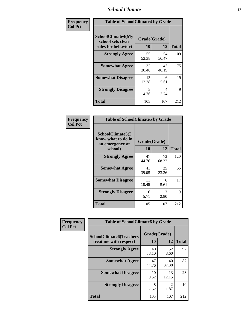### *School Climate* **12**

| Frequency      |                                                               | <b>Table of SchoolClimate4 by Grade</b> |             |              |  |
|----------------|---------------------------------------------------------------|-----------------------------------------|-------------|--------------|--|
| <b>Col Pct</b> | SchoolClimate4(My<br>school sets clear<br>rules for behavior) | Grade(Grade)<br>10                      | 12          | <b>Total</b> |  |
|                | <b>Strongly Agree</b>                                         | 55<br>52.38                             | 54<br>50.47 | 109          |  |
|                | <b>Somewhat Agree</b>                                         | 32<br>30.48                             | 43<br>40.19 | 75           |  |
|                | <b>Somewhat Disagree</b>                                      | 13<br>12.38                             | 6<br>5.61   | 19           |  |
|                | <b>Strongly Disagree</b>                                      | 5<br>4.76                               | 4<br>3.74   | 9            |  |
|                | <b>Total</b>                                                  | 105                                     | 107         | 212          |  |

| <b>Table of SchoolClimate5 by Grade</b>                              |                    |           |              |  |
|----------------------------------------------------------------------|--------------------|-----------|--------------|--|
| SchoolClimate5(I<br>know what to do in<br>an emergency at<br>school) | Grade(Grade)<br>10 | 12        | <b>Total</b> |  |
| <b>Strongly Agree</b>                                                | 47                 | 73        | 120          |  |
|                                                                      | 44.76              | 68.22     |              |  |
| <b>Somewhat Agree</b>                                                | 41                 | 25        | 66           |  |
|                                                                      | 39.05              | 23.36     |              |  |
| <b>Somewhat Disagree</b>                                             | 11                 | 6         | 17           |  |
|                                                                      | 10.48              | 5.61      |              |  |
| <b>Strongly Disagree</b>                                             | 6<br>5.71          | 3<br>2.80 | 9            |  |
| <b>Total</b>                                                         | 105                | 107       | 212          |  |

| Frequency      | <b>Table of SchoolClimate6 by Grade</b>                  |                    |                                     |              |
|----------------|----------------------------------------------------------|--------------------|-------------------------------------|--------------|
| <b>Col Pct</b> | <b>SchoolClimate6(Teachers</b><br>treat me with respect) | Grade(Grade)<br>10 | 12                                  | <b>Total</b> |
|                | <b>Strongly Agree</b>                                    | 40<br>38.10        | 52<br>48.60                         | 92           |
|                | <b>Somewhat Agree</b>                                    | 47<br>44.76        | 40<br>37.38                         | 87           |
|                | <b>Somewhat Disagree</b>                                 | 10<br>9.52         | 13<br>12.15                         | 23           |
|                | <b>Strongly Disagree</b>                                 | 8<br>7.62          | $\mathcal{D}_{\mathcal{L}}$<br>1.87 | 10           |
|                | <b>Total</b>                                             | 105                | 107                                 | 212          |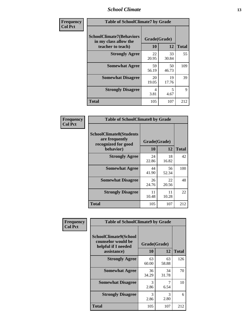### *School Climate* **13**

| Frequency      | <b>Table of SchoolClimate7 by Grade</b>                                       |                           |             |              |
|----------------|-------------------------------------------------------------------------------|---------------------------|-------------|--------------|
| <b>Col Pct</b> | <b>SchoolClimate7(Behaviors</b><br>in my class allow the<br>teacher to teach) | Grade(Grade)<br><b>10</b> | 12          | <b>Total</b> |
|                | <b>Strongly Agree</b>                                                         | 22<br>20.95               | 33<br>30.84 | 55           |
|                | <b>Somewhat Agree</b>                                                         | 59<br>56.19               | 50<br>46.73 | 109          |
|                | <b>Somewhat Disagree</b>                                                      | 20<br>19.05               | 19<br>17.76 | 39           |
|                | <b>Strongly Disagree</b>                                                      | 4<br>3.81                 | 5<br>4.67   | $\mathbf Q$  |
|                | <b>Total</b>                                                                  | 105                       | 107         | 212          |

| Frequency      | <b>Table of SchoolClimate8 by Grade</b>                                 |              |             |              |
|----------------|-------------------------------------------------------------------------|--------------|-------------|--------------|
| <b>Col Pct</b> | <b>SchoolClimate8(Students</b><br>are frequently<br>recognized for good | Grade(Grade) |             |              |
|                | behavior)                                                               | 10           | 12          | <b>Total</b> |
|                | <b>Strongly Agree</b>                                                   | 24<br>22.86  | 18<br>16.82 | 42           |
|                | <b>Somewhat Agree</b>                                                   | 44<br>41.90  | 56<br>52.34 | 100          |
|                | <b>Somewhat Disagree</b>                                                | 26<br>24.76  | 22<br>20.56 | 48           |
|                | <b>Strongly Disagree</b>                                                | 11<br>10.48  | 11<br>10.28 | 22           |
|                | <b>Total</b>                                                            | 105          | 107         | 212          |

| Frequency      | <b>Table of SchoolClimate9 by Grade</b>                                           |                    |                       |              |
|----------------|-----------------------------------------------------------------------------------|--------------------|-----------------------|--------------|
| <b>Col Pct</b> | SchoolClimate9(School<br>counselor would be<br>helpful if I needed<br>assistance) | Grade(Grade)<br>10 | 12                    | <b>Total</b> |
|                | <b>Strongly Agree</b>                                                             | 63<br>60.00        | 63<br>58.88           | 126          |
|                | <b>Somewhat Agree</b>                                                             | 36<br>34.29        | 34<br>31.78           | 70           |
|                | <b>Somewhat Disagree</b>                                                          | 3<br>2.86          | 7<br>6.54             | 10           |
|                | <b>Strongly Disagree</b>                                                          | 3<br>2.86          | $\mathcal{R}$<br>2.80 | 6            |
|                | Total                                                                             | 105                | 107                   | 212          |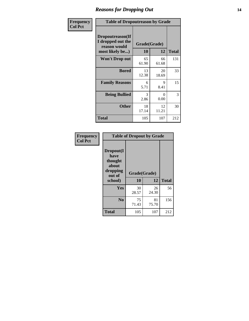### *Reasons for Dropping Out* **14**

| Frequency      | <b>Table of Dropoutreason by Grade</b>                                   |                    |             |              |
|----------------|--------------------------------------------------------------------------|--------------------|-------------|--------------|
| <b>Col Pct</b> | Dropoutreason(If<br>I dropped out the<br>reason would<br>most likely be) | Grade(Grade)<br>10 | 12          | <b>Total</b> |
|                | <b>Won't Drop out</b>                                                    | 65<br>61.90        | 66<br>61.68 | 131          |
|                | <b>Bored</b>                                                             | 13<br>12.38        | 20<br>18.69 | 33           |
|                | <b>Family Reasons</b>                                                    | 6<br>5.71          | 9<br>8.41   | 15           |
|                | <b>Being Bullied</b>                                                     | 3<br>2.86          | 0<br>0.00   | 3            |
|                | <b>Other</b>                                                             | 18<br>17.14        | 12<br>11.21 | 30           |
|                | <b>Total</b>                                                             | 105                | 107         | 212          |

| Frequency      | <b>Table of Dropout by Grade</b>                                       |                          |             |              |  |
|----------------|------------------------------------------------------------------------|--------------------------|-------------|--------------|--|
| <b>Col Pct</b> | Dropout(I<br>have<br>thought<br>about<br>dropping<br>out of<br>school) | Grade(Grade)<br>10<br>12 |             | <b>Total</b> |  |
|                |                                                                        |                          |             |              |  |
|                | Yes                                                                    | 30<br>28.57              | 26<br>24.30 | 56           |  |
|                | N <sub>0</sub>                                                         | 75<br>71.43              | 81<br>75.70 | 156          |  |
|                | <b>Total</b>                                                           | 105                      | 107         | 212          |  |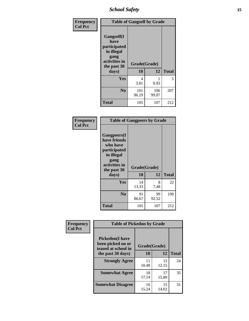*School Safety* **15**

| Frequency      | <b>Table of Gangself by Grade</b>                                                                 |                    |              |              |
|----------------|---------------------------------------------------------------------------------------------------|--------------------|--------------|--------------|
| <b>Col Pct</b> | Gangself(I<br>have<br>participated<br>in illegal<br>gang<br>activities in<br>the past 30<br>days) | Grade(Grade)<br>10 | 12           | <b>Total</b> |
|                | Yes                                                                                               | 4<br>3.81          | 0.93         | 5            |
|                | N <sub>0</sub>                                                                                    | 101<br>96.19       | 106<br>99.07 | 207          |
|                | Total                                                                                             | 105                | 107          | 212          |

| Frequency<br><b>Col Pct</b> | <b>Table of Gangpeers by Grade</b>                                                                                             |                    |             |              |
|-----------------------------|--------------------------------------------------------------------------------------------------------------------------------|--------------------|-------------|--------------|
|                             | <b>Gangpeers</b> (I<br>have friends<br>who have<br>participated<br>in illegal<br>gang<br>activities in<br>the past 30<br>days) | Grade(Grade)<br>10 | 12          | <b>Total</b> |
|                             | <b>Yes</b>                                                                                                                     | 14<br>13.33        | 8<br>7.48   | 22           |
|                             | N <sub>0</sub>                                                                                                                 | 91<br>86.67        | 99<br>92.52 | 190          |
|                             | <b>Total</b>                                                                                                                   | 105                | 107         | 212          |

| Frequency      | <b>Table of Pickedon by Grade</b>                                   |              |             |              |
|----------------|---------------------------------------------------------------------|--------------|-------------|--------------|
| <b>Col Pct</b> | <b>Pickedon</b> (I have<br>been picked on or<br>teased at school in | Grade(Grade) |             |              |
|                | the past 30 days)                                                   | 10           | 12          | <b>Total</b> |
|                | <b>Strongly Agree</b>                                               | 11<br>10.48  | 13<br>12.15 | 24           |
|                | <b>Somewhat Agree</b>                                               | 18<br>17.14  | 17<br>15.89 | 35           |
|                | <b>Somewhat Disagree</b>                                            | 16<br>15.24  | 15<br>14.02 | 31           |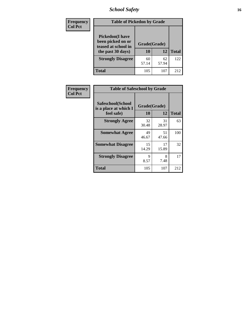*School Safety* **16**

| <b>Frequency</b> | <b>Table of Pickedon by Grade</b>                                                        |                    |              |     |  |  |  |  |  |  |
|------------------|------------------------------------------------------------------------------------------|--------------------|--------------|-----|--|--|--|--|--|--|
| <b>Col Pct</b>   | <b>Pickedon</b> (I have<br>been picked on or<br>teased at school in<br>the past 30 days) | Grade(Grade)<br>10 | <b>Total</b> |     |  |  |  |  |  |  |
|                  | <b>Strongly Disagree</b>                                                                 | 60<br>57.14        | 62<br>57.94  | 122 |  |  |  |  |  |  |
|                  | Total                                                                                    | 105                | 107          | 212 |  |  |  |  |  |  |

| Frequency      | <b>Table of Safeschool by Grade</b>                      |                    |             |              |  |  |  |  |  |  |
|----------------|----------------------------------------------------------|--------------------|-------------|--------------|--|--|--|--|--|--|
| <b>Col Pct</b> | Safeschool(School<br>is a place at which I<br>feel safe) | Grade(Grade)<br>10 | 12          | <b>Total</b> |  |  |  |  |  |  |
|                | <b>Strongly Agree</b>                                    | 32<br>30.48        | 31<br>28.97 | 63           |  |  |  |  |  |  |
|                | <b>Somewhat Agree</b>                                    | 49<br>46.67        | 51<br>47.66 | 100          |  |  |  |  |  |  |
|                | <b>Somewhat Disagree</b>                                 | 15<br>14.29        | 17<br>15.89 | 32           |  |  |  |  |  |  |
|                | <b>Strongly Disagree</b>                                 | 9<br>8.57          | 8<br>7.48   | 17           |  |  |  |  |  |  |
|                | <b>Total</b>                                             | 105                | 107         | 212          |  |  |  |  |  |  |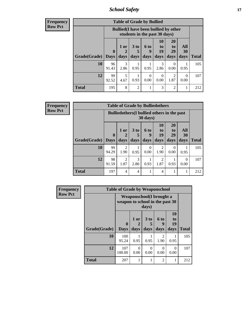*School Safety* **17**

| Frequency      |
|----------------|
| <b>Row Pct</b> |

| <b>Table of Grade by Bullied</b> |             |                                                                               |                      |                  |                |                |           |              |  |  |  |
|----------------------------------|-------------|-------------------------------------------------------------------------------|----------------------|------------------|----------------|----------------|-----------|--------------|--|--|--|
|                                  |             | <b>Bullied</b> (I have been bullied by other<br>students in the past 30 days) |                      |                  |                |                |           |              |  |  |  |
|                                  | $\bf{0}$    | $1$ or                                                                        | 3 <sub>to</sub><br>5 | 6 to<br>q        | 10<br>to<br>19 | 20<br>to<br>29 | All<br>30 |              |  |  |  |
| Grade(Grade)                     | <b>Days</b> | days                                                                          | days                 | days             | days           | days           | days      | <b>Total</b> |  |  |  |
| 10                               | 96<br>91.43 | 3<br>2.86                                                                     | 0.95                 | 0.95             | 3<br>2.86      | 0<br>0.00      | 0.95      | 105          |  |  |  |
| 12                               | 99<br>92.52 | 5<br>4.67                                                                     | 0.93                 | $\theta$<br>0.00 | 0<br>0.00      | 2<br>1.87      | 0<br>0.00 | 107          |  |  |  |
| Total                            | 195         | 8                                                                             | $\overline{c}$       |                  | 3              | $\overline{2}$ |           | 212          |  |  |  |

| <b>Frequency</b><br>Row Pct |
|-----------------------------|
|                             |

| <b>Table of Grade by Bulliedothers</b> |                                                                         |                   |                              |                   |                        |                               |                   |              |  |  |
|----------------------------------------|-------------------------------------------------------------------------|-------------------|------------------------------|-------------------|------------------------|-------------------------------|-------------------|--------------|--|--|
|                                        | <b>Bulliedothers</b> (I bullied others in the past<br>$30 \text{ days}$ |                   |                              |                   |                        |                               |                   |              |  |  |
| Grade(Grade)                           | $\mathbf 0$<br><b>Days</b>                                              | 1 or<br>2<br>days | 3 <sub>to</sub><br>5<br>days | 6 to<br>g<br>days | 10<br>to<br>19<br>days | <b>20</b><br>to<br>29<br>days | All<br>30<br>days | <b>Total</b> |  |  |
| 10                                     | 99<br>94.29                                                             | 2<br>1.90         | 0.95                         | 0<br>0.00         | 2<br>1.90              | $\Omega$<br>0.00              | 0.95              | 105          |  |  |
| 12                                     | 98<br>91.59                                                             | 2<br>1.87         | 3<br>2.80                    | 0.93              | $\overline{2}$<br>1.87 | 0.93                          | $\Omega$<br>0.00  | 107          |  |  |
| <b>Total</b>                           | 197                                                                     | 4                 | 4                            |                   | $\overline{4}$         |                               |                   | 212          |  |  |

| Frequency      | <b>Table of Grade by Weaponschool</b> |                                 |                                  |                              |                   |                        |              |  |  |
|----------------|---------------------------------------|---------------------------------|----------------------------------|------------------------------|-------------------|------------------------|--------------|--|--|
| <b>Row Pct</b> |                                       | weapon to school in the past 30 | <b>Weaponschool</b> (I brought a | days)                        |                   |                        |              |  |  |
|                | Grade(Grade)                          | 0<br><b>Days</b>                | 1 or<br>days                     | 3 <sub>to</sub><br>5<br>days | 6 to<br>g<br>days | 10<br>to<br>19<br>days | <b>Total</b> |  |  |
|                | 10                                    | 100<br>95.24                    | 0.95                             | 0.95                         | 2<br>1.90         | 0.95                   | 105          |  |  |
|                | 12                                    | 107<br>100.00                   | 0<br>0.00                        | $\Omega$<br>0.00             | 0<br>0.00         | 0<br>0.00              | 107          |  |  |
|                | <b>Total</b>                          | 207                             |                                  | 1                            | 2                 |                        | 212          |  |  |

h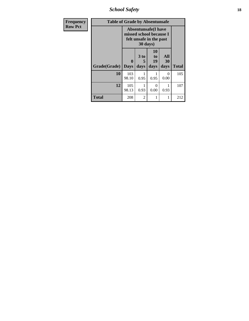*School Safety* **18**

| <b>Frequency</b> | <b>Table of Grade by Absentunsafe</b> |                  |                   |                                                                                  |                   |                            |  |  |  |
|------------------|---------------------------------------|------------------|-------------------|----------------------------------------------------------------------------------|-------------------|----------------------------|--|--|--|
| <b>Row Pct</b>   |                                       |                  | 30 days)          | <b>Absentunsafe(I have</b><br>missed school because I<br>felt unsafe in the past |                   | <b>Total</b><br>105<br>107 |  |  |  |
|                  | Grade(Grade)                          | 0<br><b>Days</b> | 3 to<br>5<br>days | 10<br>to<br>19<br>days                                                           | All<br>30<br>days |                            |  |  |  |
|                  | 10                                    | 103<br>98.10     | 0.95              | 0.95                                                                             | 0<br>0.00         |                            |  |  |  |
|                  | 12                                    | 105<br>98.13     | 0.93              | $\Omega$<br>0.00                                                                 | 0.93              |                            |  |  |  |
|                  | <b>Total</b>                          | 208              | 2                 | 1                                                                                | 1                 | 212                        |  |  |  |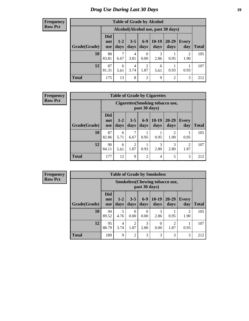# *Drug Use During Last 30 Days* **19**

#### **Frequency Row Pct**

| <b>Table of Grade by Alcohol</b>                                                                                                                           |             |                                    |           |                        |           |                |                        |       |  |  |
|------------------------------------------------------------------------------------------------------------------------------------------------------------|-------------|------------------------------------|-----------|------------------------|-----------|----------------|------------------------|-------|--|--|
|                                                                                                                                                            |             | Alcohol(Alcohol use, past 30 days) |           |                        |           |                |                        |       |  |  |
| <b>Did</b><br>$6-9$<br>$10-19$<br>20-29<br>$3 - 5$<br>$1 - 2$<br>Every<br>not<br>Grade(Grade)<br>days<br>days<br>days<br>days<br>day<br>days<br><b>use</b> |             |                                    |           |                        |           |                |                        | Total |  |  |
| 10                                                                                                                                                         | 88<br>83.81 | 7<br>6.67                          | 4<br>3.81 | $\overline{0}$<br>0.00 | 3<br>2.86 | 0.95           | $\overline{2}$<br>1.90 | 105   |  |  |
| 12                                                                                                                                                         | 87<br>81.31 | 6<br>5.61                          | 4<br>3.74 | $\overline{2}$<br>1.87 | 6<br>5.61 | 0.93           | 0.93                   | 107   |  |  |
| <b>Total</b>                                                                                                                                               | 175         | 13                                 | 8         | $\overline{2}$         | 9         | $\overline{2}$ | 3                      | 212   |  |  |

#### **Frequency Row Pct**

| <b>Table of Grade by Cigarettes</b> |                                 |                                                                                                                                |           |                |           |                       |                        |     |  |  |
|-------------------------------------|---------------------------------|--------------------------------------------------------------------------------------------------------------------------------|-----------|----------------|-----------|-----------------------|------------------------|-----|--|--|
|                                     |                                 | <b>Cigarettes</b> (Smoking tobacco use,<br>past 30 days)                                                                       |           |                |           |                       |                        |     |  |  |
| Grade(Grade)                        | <b>Did</b><br>not<br><b>use</b> | $6-9$<br>$10-19$<br>20-29<br>$3 - 5$<br>$1 - 2$<br><b>Every</b><br>days<br>days<br><b>Total</b><br>days<br>days<br>day<br>days |           |                |           |                       |                        |     |  |  |
| 10                                  | 87<br>82.86                     | 6<br>5.71                                                                                                                      | 7<br>6.67 | 0.95           | 0.95      | $\mathcal{D}$<br>1.90 | 0.95                   | 105 |  |  |
| 12                                  | 90<br>84.11                     | 6<br>5.61                                                                                                                      | 2<br>1.87 | 0.93           | 3<br>2.80 | 3<br>2.80             | $\overline{2}$<br>1.87 | 107 |  |  |
| <b>Total</b>                        | 177                             | 12                                                                                                                             | 9         | $\overline{2}$ | 4         | 5                     | 3                      | 212 |  |  |

**Frequency Row Pct**

| <b>Table of Grade by Smokeless</b> |                                 |                                                         |                 |                  |                  |                        |                        |              |  |  |
|------------------------------------|---------------------------------|---------------------------------------------------------|-----------------|------------------|------------------|------------------------|------------------------|--------------|--|--|
|                                    |                                 | <b>Smokeless</b> (Chewing tobacco use,<br>past 30 days) |                 |                  |                  |                        |                        |              |  |  |
| Grade(Grade)                       | <b>Did</b><br>not<br><b>use</b> | $1 - 2$<br>days                                         | $3 - 5$<br>days | $6-9$<br>days    | $10-19$<br>days  | $20 - 29$<br>days      | <b>Every</b><br>day    | <b>Total</b> |  |  |
| 10                                 | 94<br>89.52                     | 5<br>4.76                                               | 0<br>0.00       | $\Omega$<br>0.00 | 3<br>2.86        | 0.95                   | $\mathfrak{D}$<br>1.90 | 105          |  |  |
| 12                                 | 95<br>88.79                     | 4<br>3.74                                               | 2<br>1.87       | 3<br>2.80        | $\theta$<br>0.00 | $\overline{c}$<br>1.87 | 0.93                   | 107          |  |  |
| <b>Total</b>                       | 189                             | 9                                                       | $\overline{2}$  | 3                | 3                | 3                      | 3                      | 212          |  |  |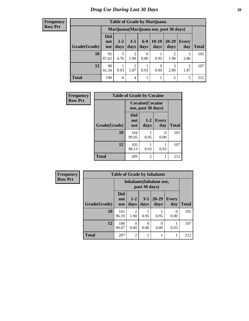#### **Frequency Row Pct**

| <b>Table of Grade by Marijuana</b> |                          |                                         |                        |               |                 |               |              |       |  |
|------------------------------------|--------------------------|-----------------------------------------|------------------------|---------------|-----------------|---------------|--------------|-------|--|
|                                    |                          | Marijuana (Marijuana use, past 30 days) |                        |               |                 |               |              |       |  |
| Grade(Grade)                       | Did<br>not<br><b>use</b> | $1 - 2$<br>days                         | $3 - 5$<br>days        | $6-9$<br>days | $10-19$<br>days | 20-29<br>days | Every<br>day | Total |  |
| 10                                 | 92<br>87.62              | 5<br>4.76                               | 2<br>1.90              | 0<br>0.00     | 0.95            | ∍<br>1.90     | 3<br>2.86    | 105   |  |
| 12                                 | 98<br>91.59              | 0.93                                    | $\overline{2}$<br>1.87 | 0.93          | 0<br>0.00       | 3<br>2.80     | 2<br>1.87    | 107   |  |
| <b>Total</b>                       | 190                      | 6                                       | 4                      |               |                 | 5             | 5            | 212   |  |

| Frequency      | <b>Table of Grade by Cocaine</b> |                                 |                                               |                     |              |  |  |
|----------------|----------------------------------|---------------------------------|-----------------------------------------------|---------------------|--------------|--|--|
| <b>Row Pct</b> |                                  |                                 | <b>Cocaine</b> (Cocaine<br>use, past 30 days) |                     |              |  |  |
|                | Grade(Grade)                     | <b>Did</b><br>not<br><b>use</b> | $1-2$<br>days                                 | <b>Every</b><br>day | <b>Total</b> |  |  |
|                | 10                               | 104<br>99.05                    | 0.95                                          | 0<br>0.00           | 105          |  |  |
|                | 12                               | 105<br>98.13                    | 0.93                                          | 0.93                | 107          |  |  |
|                | <b>Total</b>                     | 209                             | 2                                             |                     | 212          |  |  |

| Frequency      | <b>Table of Grade by Inhalants</b> |                                 |                  |                  |                                 |                     |              |
|----------------|------------------------------------|---------------------------------|------------------|------------------|---------------------------------|---------------------|--------------|
| <b>Row Pct</b> |                                    |                                 |                  | past 30 days)    | <b>Inhalants</b> (Inhalant use, |                     |              |
|                | Grade(Grade)                       | <b>Did</b><br>not<br><b>use</b> | $1 - 2$<br>days  | $3 - 5$<br>days  | $20 - 29$<br>days               | <b>Every</b><br>day | <b>Total</b> |
|                | 10                                 | 101<br>96.19                    | 2<br>1.90        | 0.95             | 0.95                            | $\Omega$<br>0.00    | 105          |
|                | 12                                 | 106<br>99.07                    | $\Omega$<br>0.00 | $\Omega$<br>0.00 | $\left( \right)$<br>0.00        | 0.93                | 107          |
|                | <b>Total</b>                       | 207                             | $\overline{2}$   | 1                |                                 |                     | 212          |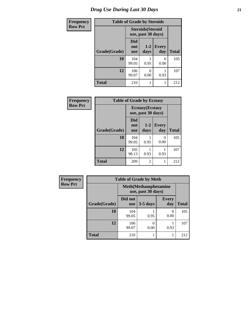# *Drug Use During Last 30 Days* **21**

| <b>Frequency</b> |              | <b>Table of Grade by Steroids</b>              |                           |                     |              |
|------------------|--------------|------------------------------------------------|---------------------------|---------------------|--------------|
| <b>Row Pct</b>   |              | <b>Steroids</b> (Steroid<br>use, past 30 days) |                           |                     |              |
|                  | Grade(Grade) | <b>Did</b><br>not<br><b>use</b>                | $1 - 2$<br>days           | <b>Every</b><br>day | <b>Total</b> |
|                  | 10           | 104<br>99.05                                   | 0.95                      | $\Omega$<br>0.00    | 105          |
|                  | 12           | 106<br>99.07                                   | $\mathbf{\Omega}$<br>0.00 | 0.93                | 107          |
|                  | <b>Total</b> | 210                                            |                           |                     | 212          |

| Frequency      | <b>Table of Grade by Ecstasy</b> |                                               |                 |              |              |
|----------------|----------------------------------|-----------------------------------------------|-----------------|--------------|--------------|
| <b>Row Pct</b> |                                  | <b>Ecstasy</b> (Ecstasy<br>use, past 30 days) |                 |              |              |
|                | Grade(Grade)                     | <b>Did</b><br>not<br><b>use</b>               | $1 - 2$<br>days | Every<br>day | <b>Total</b> |
|                | 10                               | 104<br>99.05                                  | 0.95            | 0<br>0.00    | 105          |
|                | 12                               | 105<br>98.13                                  | 0.93            | 0.93         | 107          |
|                | <b>Total</b>                     | 209                                           | 2               |              | 212          |

| Frequency      | <b>Table of Grade by Meth</b> |                       |                                                    |                     |              |  |
|----------------|-------------------------------|-----------------------|----------------------------------------------------|---------------------|--------------|--|
| <b>Row Pct</b> |                               |                       | <b>Meth</b> (Methamphetamine<br>use, past 30 days) |                     |              |  |
|                | Grade(Grade)                  | Did not<br><b>use</b> | $3-5$ days                                         | <b>Every</b><br>day | <b>Total</b> |  |
|                | 10                            | 104<br>99.05          | 0.95                                               | $\theta$<br>0.00    | 105          |  |
|                | 12                            | 106<br>99.07          | 0.00                                               | 0.93                | 107          |  |
|                | <b>Total</b>                  | 210                   |                                                    |                     | 212          |  |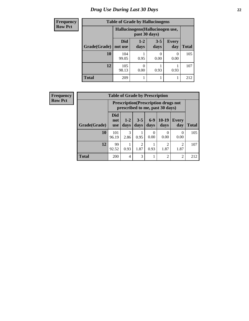# *Drug Use During Last 30 Days* **22**

| <b>Frequency</b> |              | <b>Table of Grade by Hallucinogens</b> |                                                   |                       |                     |              |  |  |
|------------------|--------------|----------------------------------------|---------------------------------------------------|-----------------------|---------------------|--------------|--|--|
| <b>Row Pct</b>   |              |                                        | Hallucinogens (Hallucinogen use,<br>past 30 days) |                       |                     |              |  |  |
|                  | Grade(Grade) | Did<br>not use                         | $1-2$<br>days                                     | $3 - 5$<br>days       | <b>Every</b><br>day | <b>Total</b> |  |  |
|                  | 10           | 104<br>99.05                           | 0.95                                              | $\mathcal{O}$<br>0.00 | $\Omega$<br>0.00    | 105          |  |  |
|                  | 12           | 105<br>98.13                           | 0.00                                              | 0.93                  | 0.93                | 107          |  |  |
|                  | <b>Total</b> | 209                                    |                                                   |                       |                     | 212          |  |  |

| <b>Frequency</b> | <b>Table of Grade by Prescription</b>                                          |                                 |               |                        |                  |                        |                        |              |
|------------------|--------------------------------------------------------------------------------|---------------------------------|---------------|------------------------|------------------|------------------------|------------------------|--------------|
| <b>Row Pct</b>   | <b>Prescription</b> (Prescription drugs not<br>prescribed to me, past 30 days) |                                 |               |                        |                  |                        |                        |              |
|                  | Grade(Grade)                                                                   | <b>Did</b><br>not<br><b>use</b> | $1-2$<br>days | $3 - 5$<br>days        | $6-9$<br>days    | $10-19$<br>days        | <b>Every</b><br>day    | <b>Total</b> |
|                  | 10                                                                             | 101<br>96.19                    | 3<br>2.86     | 0.95                   | $\Omega$<br>0.00 | 0<br>0.00              | $\Omega$<br>0.00       | 105          |
|                  | 12                                                                             | 99<br>92.52                     | 0.93          | $\overline{2}$<br>1.87 | 0.93             | $\overline{2}$<br>1.87 | $\overline{c}$<br>1.87 | 107          |
|                  | <b>Total</b>                                                                   | <b>200</b>                      | 4             | 3                      |                  | 2                      | 2                      | 212          |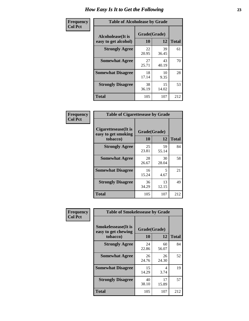| Frequency      | <b>Table of Alcoholease by Grade</b>              |                    |             |              |  |  |
|----------------|---------------------------------------------------|--------------------|-------------|--------------|--|--|
| <b>Col Pct</b> | <b>Alcoholease</b> (It is<br>easy to get alcohol) | Grade(Grade)<br>10 | 12          | <b>Total</b> |  |  |
|                | <b>Strongly Agree</b>                             | 22<br>20.95        | 39<br>36.45 | 61           |  |  |
|                | <b>Somewhat Agree</b>                             | 27<br>25.71        | 43<br>40.19 | 70           |  |  |
|                | <b>Somewhat Disagree</b>                          | 18<br>17.14        | 10<br>9.35  | 28           |  |  |
|                | <b>Strongly Disagree</b>                          | 38<br>36.19        | 15<br>14.02 | 53           |  |  |
|                | <b>Total</b>                                      | 105                | 107         | 212          |  |  |

| Frequency      | <b>Table of Cigarettesease by Grade</b>                  |                    |             |              |  |
|----------------|----------------------------------------------------------|--------------------|-------------|--------------|--|
| <b>Col Pct</b> | Cigarettesease (It is<br>easy to get smoking<br>tobacco) | Grade(Grade)<br>10 | 12          | <b>Total</b> |  |
|                | <b>Strongly Agree</b>                                    | 25<br>23.81        | 59<br>55.14 | 84           |  |
|                | <b>Somewhat Agree</b>                                    | 28<br>26.67        | 30<br>28.04 | 58           |  |
|                | <b>Somewhat Disagree</b>                                 | 16<br>15.24        | 5<br>4.67   | 21           |  |
|                | <b>Strongly Disagree</b>                                 | 36<br>34.29        | 13<br>12.15 | 49           |  |
|                | <b>Total</b>                                             | 105                | 107         | 212          |  |

| Frequency      | <b>Table of Smokelessease by Grade</b>                         |                           |             |              |
|----------------|----------------------------------------------------------------|---------------------------|-------------|--------------|
| <b>Col Pct</b> | <b>Smokelessease</b> (It is<br>easy to get chewing<br>tobacco) | Grade(Grade)<br><b>10</b> | 12          | <b>Total</b> |
|                | <b>Strongly Agree</b>                                          | 24<br>22.86               | 60<br>56.07 | 84           |
|                | <b>Somewhat Agree</b>                                          | 26<br>24.76               | 26<br>24.30 | 52           |
|                | <b>Somewhat Disagree</b>                                       | 15<br>14.29               | 4<br>3.74   | 19           |
|                | <b>Strongly Disagree</b>                                       | 40<br>38.10               | 17<br>15.89 | 57           |
|                | Total                                                          | 105                       | 107         | 212          |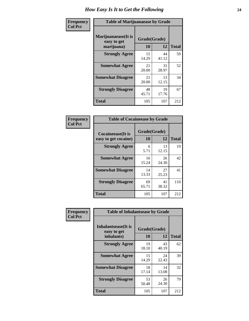| Frequency      | <b>Table of Marijuanaease by Grade</b>           |                    |             |              |  |
|----------------|--------------------------------------------------|--------------------|-------------|--------------|--|
| <b>Col Pct</b> | Marijuanaease(It is<br>easy to get<br>marijuana) | Grade(Grade)<br>10 | 12          | <b>Total</b> |  |
|                | <b>Strongly Agree</b>                            | 15<br>14.29        | 44<br>41.12 | 59           |  |
|                | <b>Somewhat Agree</b>                            | 21<br>20.00        | 31<br>28.97 | 52           |  |
|                | <b>Somewhat Disagree</b>                         | 21<br>20.00        | 13<br>12.15 | 34           |  |
|                | <b>Strongly Disagree</b>                         | 48<br>45.71        | 19<br>17.76 | 67           |  |
|                | <b>Total</b>                                     | 105                | 107         | 212          |  |

|                           | <b>Table of Cocaineease by Grade</b> |              |              |  |  |  |  |  |  |  |  |  |
|---------------------------|--------------------------------------|--------------|--------------|--|--|--|--|--|--|--|--|--|
| <b>Cocaineease</b> (It is |                                      | Grade(Grade) |              |  |  |  |  |  |  |  |  |  |
| easy to get cocaine)      | 10                                   | 12           | <b>Total</b> |  |  |  |  |  |  |  |  |  |
| <b>Strongly Agree</b>     | 6<br>5.71                            | 13<br>12.15  | 19           |  |  |  |  |  |  |  |  |  |
| <b>Somewhat Agree</b>     | 16<br>15.24                          | 26<br>24.30  | 42           |  |  |  |  |  |  |  |  |  |
| <b>Somewhat Disagree</b>  | 14<br>13.33                          | 27<br>25.23  | 41           |  |  |  |  |  |  |  |  |  |
| <b>Strongly Disagree</b>  | 69<br>65.71                          | 41<br>38.32  | 110          |  |  |  |  |  |  |  |  |  |
| <b>Total</b>              | 105                                  | 107          | 212          |  |  |  |  |  |  |  |  |  |

| Frequency      | <b>Table of Inhalantsease by Grade</b>                   |                    |              |     |
|----------------|----------------------------------------------------------|--------------------|--------------|-----|
| <b>Col Pct</b> | <b>Inhalantsease</b> (It is<br>easy to get<br>inhalants) | Grade(Grade)<br>10 | <b>Total</b> |     |
|                | <b>Strongly Agree</b>                                    | 19                 | 12<br>43     | 62  |
|                | <b>Somewhat Agree</b>                                    | 18.10<br>15        | 40.19<br>24  | 39  |
|                |                                                          | 14.29              | 22.43        |     |
|                | <b>Somewhat Disagree</b>                                 | 18<br>17.14        | 14<br>13.08  | 32  |
|                | <b>Strongly Disagree</b>                                 | 53<br>50.48        | 26<br>24.30  | 79  |
|                | <b>Total</b>                                             | 105                | 107          | 212 |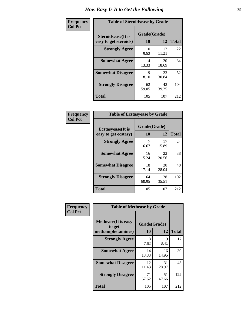| Frequency      | <b>Table of Steroidsease by Grade</b>               |                    |             |              |  |  |  |  |  |  |  |  |
|----------------|-----------------------------------------------------|--------------------|-------------|--------------|--|--|--|--|--|--|--|--|
| <b>Col Pct</b> | <b>Steroidsease</b> (It is<br>easy to get steroids) | Grade(Grade)<br>10 | 12          | <b>Total</b> |  |  |  |  |  |  |  |  |
|                | <b>Strongly Agree</b>                               | 10<br>9.52         | 12<br>11.21 | 22           |  |  |  |  |  |  |  |  |
|                | <b>Somewhat Agree</b>                               | 14<br>13.33        | 20<br>18.69 | 34           |  |  |  |  |  |  |  |  |
|                | <b>Somewhat Disagree</b>                            | 19<br>18.10        | 33<br>30.84 | 52           |  |  |  |  |  |  |  |  |
|                | <b>Strongly Disagree</b>                            | 62<br>59.05        | 42<br>39.25 | 104          |  |  |  |  |  |  |  |  |
|                | <b>Total</b>                                        | 105                | 107         | 212          |  |  |  |  |  |  |  |  |

| Frequency      | <b>Table of Ecstasyease by Grade</b>              |                    |             |              |
|----------------|---------------------------------------------------|--------------------|-------------|--------------|
| <b>Col Pct</b> | <b>Ecstasyease</b> (It is<br>easy to get ecstasy) | Grade(Grade)<br>10 | 12          | <b>Total</b> |
|                | <b>Strongly Agree</b>                             | 7<br>6.67          | 17<br>15.89 | 24           |
|                | <b>Somewhat Agree</b>                             | 16<br>15.24        | 22<br>20.56 | 38           |
|                | <b>Somewhat Disagree</b>                          | 18<br>17.14        | 30<br>28.04 | 48           |
|                | <b>Strongly Disagree</b>                          | 64<br>60.95        | 38<br>35.51 | 102          |
|                | <b>Total</b>                                      | 105                | 107         | 212          |

| Frequency      | <b>Table of Methease by Grade</b>                          |                    |              |     |
|----------------|------------------------------------------------------------|--------------------|--------------|-----|
| <b>Col Pct</b> | <b>Methease</b> (It is easy<br>to get<br>methamphetamines) | Grade(Grade)<br>10 | <b>Total</b> |     |
|                | <b>Strongly Agree</b>                                      | 8<br>7.62          | 9<br>8.41    | 17  |
|                | <b>Somewhat Agree</b>                                      | 14<br>13.33        | 16<br>14.95  | 30  |
|                | <b>Somewhat Disagree</b>                                   | 12<br>11.43        | 31<br>28.97  | 43  |
|                | <b>Strongly Disagree</b>                                   | 71<br>67.62        | 51<br>47.66  | 122 |
|                | <b>Total</b>                                               | 105                | 107          | 212 |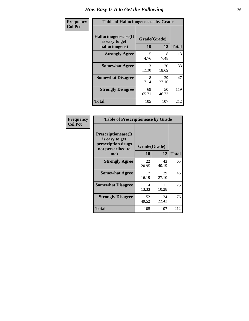| <b>Frequency</b> | <b>Table of Hallucinogensease by Grade</b>                |                    |             |              |
|------------------|-----------------------------------------------------------|--------------------|-------------|--------------|
| <b>Col Pct</b>   | Hallucinogensease(It)<br>is easy to get<br>hallucinogens) | Grade(Grade)<br>10 | 12          | <b>Total</b> |
|                  | <b>Strongly Agree</b>                                     | 5<br>4.76          | 8<br>7.48   | 13           |
|                  | <b>Somewhat Agree</b>                                     | 13<br>12.38        | 20<br>18.69 | 33           |
|                  | <b>Somewhat Disagree</b>                                  | 18<br>17.14        | 29<br>27.10 | 47           |
|                  | <b>Strongly Disagree</b>                                  | 69<br>65.71        | 50<br>46.73 | 119          |
|                  | <b>Total</b>                                              | 105                | 107         | 212          |

| Frequency<br>Col Pct |
|----------------------|
|                      |

| <b>Table of Prescriptionease by Grade</b>                                                |              |             |              |  |  |  |  |  |  |  |
|------------------------------------------------------------------------------------------|--------------|-------------|--------------|--|--|--|--|--|--|--|
| <b>Prescriptionease</b> (It<br>is easy to get<br>prescription drugs<br>not prescribed to | Grade(Grade) |             |              |  |  |  |  |  |  |  |
| me)                                                                                      | 10           | 12          | <b>Total</b> |  |  |  |  |  |  |  |
| <b>Strongly Agree</b>                                                                    | 22<br>20.95  | 43<br>40.19 | 65           |  |  |  |  |  |  |  |
| <b>Somewhat Agree</b>                                                                    | 17<br>16.19  | 29<br>27.10 | 46           |  |  |  |  |  |  |  |
| <b>Somewhat Disagree</b>                                                                 | 14<br>13.33  | 11<br>10.28 | 25           |  |  |  |  |  |  |  |
| <b>Strongly Disagree</b>                                                                 | 52<br>49.52  | 24<br>22.43 | 76           |  |  |  |  |  |  |  |
| Total                                                                                    | 105          | 107         | 212          |  |  |  |  |  |  |  |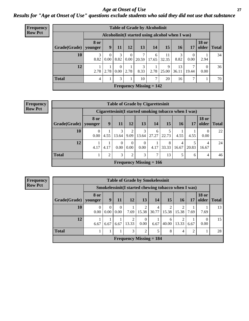### *Age at Onset of Use* **27** *Results for "Age at Onset of Use" questions exclude students who said they did not use that substance*

| <b>Frequency</b> | <b>Table of Grade by Alcoholinit</b>             |                |           |                  |                       |                           |            |             |             |                  |                       |              |  |  |
|------------------|--------------------------------------------------|----------------|-----------|------------------|-----------------------|---------------------------|------------|-------------|-------------|------------------|-----------------------|--------------|--|--|
| <b>Row Pct</b>   | Alcoholinit (I started using alcohol when I was) |                |           |                  |                       |                           |            |             |             |                  |                       |              |  |  |
|                  | Grade(Grade)   younger                           | <b>8 or</b>    | 9         | 11               | 12                    | 13                        | 14         | 15          | <b>16</b>   | 17               | <b>18 or</b><br>older | <b>Total</b> |  |  |
|                  | 10                                               | 3<br>8.82      | 0<br>0.00 | 3                | $8.82 \mid 0.00 \mid$ | 7<br>20.59                | 6<br>17.65 | 11<br>32.35 | 3<br>8.82   | $\Omega$<br>0.00 | 2.94                  | 34           |  |  |
|                  | 12                                               | 2.78           | 2.78      | $\Omega$<br>0.00 | 2.78                  | 3<br>8.33                 | 2.78       | 9<br>25.00  | 13<br>36.11 | 7<br>19.44       | $\Omega$<br>0.00      | 36           |  |  |
|                  | <b>Total</b>                                     | $\overline{4}$ |           | 3                |                       | 10                        | 7          | 20          | 16          | 7                |                       | 70           |  |  |
|                  |                                                  |                |           |                  |                       | Frequency Missing $= 142$ |            |             |             |                  |                       |              |  |  |

#### **Frequency Row Pct**

| <b>Table of Grade by Cigarettesinit</b> |                 |                                                       |                  |                               |                           |            |            |            |       |                       |              |  |  |
|-----------------------------------------|-----------------|-------------------------------------------------------|------------------|-------------------------------|---------------------------|------------|------------|------------|-------|-----------------------|--------------|--|--|
|                                         |                 | Cigarettesinit (I started smoking tobacco when I was) |                  |                               |                           |            |            |            |       |                       |              |  |  |
| Grade(Grade)                            | 8 or<br>vounger | 9                                                     | 11               | 12                            | 13                        | 14         | <b>15</b>  | <b>16</b>  | 17    | <b>18 or</b><br>older | <b>Total</b> |  |  |
| 10                                      | 0<br>0.00       | 4.55                                                  | 3<br>13.64       | $\overline{c}$<br>9.09        | 3<br>13.64                | 6<br>27.27 | 22.73      | 4.55       | 4.55  | 0.00                  | 22           |  |  |
| 12                                      | 4.17            | 4.17                                                  | $\Omega$<br>0.00 | $\theta$<br>0.00 <sub>1</sub> | 0<br>0.00                 | 4.17       | 8<br>33.33 | 4<br>16.67 | 20.83 | 4<br>16.67            | 24           |  |  |
| <b>Total</b>                            |                 | 2                                                     | 3                | $\overline{2}$                | 3                         | 7          | 13         | 5          | 6     | 4                     | 46           |  |  |
|                                         |                 |                                                       |                  |                               | Frequency Missing $= 166$ |            |            |            |       |                       |              |  |  |

**Frequency Row Pct**

|              | <b>Table of Grade by Smokelessinit</b> |           |           |                                                      |                  |            |                 |            |      |                       |              |  |  |  |
|--------------|----------------------------------------|-----------|-----------|------------------------------------------------------|------------------|------------|-----------------|------------|------|-----------------------|--------------|--|--|--|
|              |                                        |           |           | Smokelessinit (I started chewing tobacco when I was) |                  |            |                 |            |      |                       |              |  |  |  |
| Grade(Grade) | 8 or<br>younger                        | 9         | 11        | 12                                                   | 13               | 14         | 15 <sup>1</sup> | <b>16</b>  | 17   | <b>18 or</b><br>older | <b>Total</b> |  |  |  |
| 10           | 0<br>0.00                              | 0<br>0.00 | 0<br>0.00 | 7.69                                                 | 15.38            | 4<br>30.77 | 15.38           | 2<br>15.38 | 7.69 | 7.69                  | 13           |  |  |  |
| 12           | 6.67                                   | 6.67      | 6.67      | 2<br>13.33                                           | $\Omega$<br>0.00 | 6.67       | 6<br>40.00      | 2<br>13.33 | 6.67 | 0.00                  | 15           |  |  |  |
| <b>Total</b> |                                        |           |           | 3                                                    | $\overline{2}$   | 5          | 8               | 4          | ∍    |                       | 28           |  |  |  |
|              |                                        |           |           | <b>Frequency Missing <math>= 184</math></b>          |                  |            |                 |            |      |                       |              |  |  |  |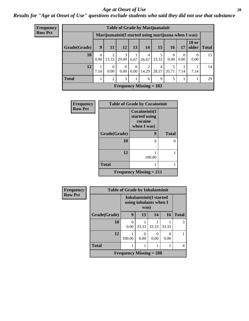#### *Age at Onset of Use* **28**

*Results for "Age at Onset of Use" questions exclude students who said they did not use that substance*

| <b>Frequency</b> | <b>Table of Grade by Marijuanainit</b> |                                                      |                                |                  |                  |                                |            |                  |                  |                       |              |  |  |  |
|------------------|----------------------------------------|------------------------------------------------------|--------------------------------|------------------|------------------|--------------------------------|------------|------------------|------------------|-----------------------|--------------|--|--|--|
| <b>Row Pct</b>   |                                        | Marijuanainit (I started using marijuana when I was) |                                |                  |                  |                                |            |                  |                  |                       |              |  |  |  |
|                  | Grade(Grade)                           | 9                                                    | 11                             | 12               | 13               | 14                             | <b>15</b>  | <b>16</b>        | 17               | <b>18 or</b><br>older | <b>Total</b> |  |  |  |
|                  | 10                                     | $\Omega$<br>0.00                                     | 2<br>13.33                     | 3<br>20.00       | 6.67             | $\overline{4}$<br>26.67        | 5<br>33.33 | $\left($<br>0.00 | $\Omega$<br>0.00 | $\theta$<br>0.00      | 15           |  |  |  |
|                  | 12                                     | 7.14                                                 | $\mathbf{0}$<br>$0.00^{\circ}$ | $\Omega$<br>0.00 | $\theta$<br>0.00 | 2<br>14.29                     | 4          | 5<br>28.57 35.71 | 7.14             | 7.14                  | 14           |  |  |  |
|                  | <b>Total</b>                           |                                                      | $\overline{2}$                 | 3                | 1                | 6                              | 9          | 5                | 1                |                       | 29           |  |  |  |
|                  |                                        |                                                      |                                |                  |                  | <b>Frequency Missing = 183</b> |            |                  |                  |                       |              |  |  |  |

| <b>Frequency</b> | <b>Table of Grade by Cocaineinit</b> |                                                          |              |  |  |
|------------------|--------------------------------------|----------------------------------------------------------|--------------|--|--|
| <b>Row Pct</b>   |                                      | Cocaineinit(I<br>started using<br>cocaine<br>when I was) |              |  |  |
|                  | Grade(Grade)                         | 9                                                        | <b>Total</b> |  |  |
|                  | 10                                   | 0                                                        | 0            |  |  |
|                  | 12                                   | 100.00                                                   |              |  |  |
|                  | <b>Total</b>                         |                                                          |              |  |  |
|                  | Frequency Missing $= 211$            |                                                          |              |  |  |

| Frequency      | <b>Table of Grade by Inhalantsinit</b> |                                                           |       |           |       |              |
|----------------|----------------------------------------|-----------------------------------------------------------|-------|-----------|-------|--------------|
| <b>Row Pct</b> |                                        | Inhalantsinit(I started<br>using inhalants when I<br>was) |       |           |       |              |
|                | Grade(Grade)                           | 9                                                         | 13    | 14        | 16    | <b>Total</b> |
|                | 10                                     | ∩<br>0.00                                                 | 33.33 | 33.33     | 33.33 | 3            |
|                | 12                                     | 100.00                                                    | 0.00  | 0<br>0.00 | 0.00  |              |
|                | <b>Total</b>                           |                                                           |       |           |       | 4            |
|                |                                        | Frequency Missing $= 208$                                 |       |           |       |              |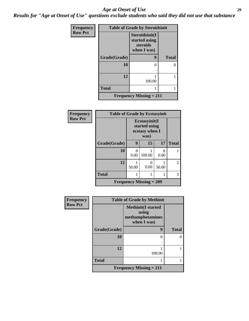#### *Age at Onset of Use* **29**

*Results for "Age at Onset of Use" questions exclude students who said they did not use that substance*

| Frequency      | <b>Table of Grade by Steroidsinit</b> |                                                            |              |  |  |  |
|----------------|---------------------------------------|------------------------------------------------------------|--------------|--|--|--|
| <b>Row Pct</b> |                                       | Steroidsinit(I<br>started using<br>steroids<br>when I was) |              |  |  |  |
|                | Grade(Grade)                          | 9                                                          | <b>Total</b> |  |  |  |
|                | 10                                    | 0                                                          |              |  |  |  |
|                | 12                                    | 100.00                                                     |              |  |  |  |
|                | <b>Total</b>                          |                                                            |              |  |  |  |
|                |                                       | <b>Frequency Missing = 211</b>                             |              |  |  |  |

| Frequency      | <b>Table of Grade by Ecstasyinit</b>        |                                                          |           |       |              |  |
|----------------|---------------------------------------------|----------------------------------------------------------|-----------|-------|--------------|--|
| <b>Row Pct</b> |                                             | Ecstasyinit(I<br>started using<br>ecstasy when I<br>was) |           |       |              |  |
|                | Grade(Grade)                                | 9                                                        | 15        | 17    | <b>Total</b> |  |
|                | 10                                          | 0<br>0.00                                                | 100.00    | 0.00  |              |  |
|                | 12                                          | 50.00                                                    | 0<br>0.00 | 50.00 | 2            |  |
|                | <b>Total</b>                                |                                                          |           |       | 3            |  |
|                | <b>Frequency Missing <math>= 209</math></b> |                                                          |           |       |              |  |

| <b>Frequency</b> | <b>Table of Grade by Methinit</b> |                                                                        |              |  |  |
|------------------|-----------------------------------|------------------------------------------------------------------------|--------------|--|--|
| <b>Row Pct</b>   |                                   | <b>Methinit</b> (I started<br>using<br>methamphetamines<br>when I was) |              |  |  |
|                  | Grade(Grade)                      | 9                                                                      | <b>Total</b> |  |  |
|                  | 10                                | ∩                                                                      |              |  |  |
|                  |                                   |                                                                        |              |  |  |
|                  | 12                                | 100.00                                                                 |              |  |  |
|                  |                                   |                                                                        |              |  |  |
|                  | <b>Total</b>                      |                                                                        |              |  |  |
|                  |                                   | Frequency Missing $= 211$                                              |              |  |  |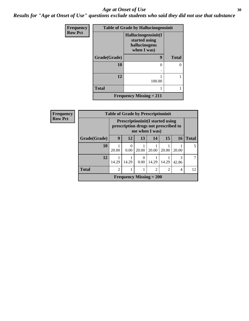#### Age at Onset of Use **30**

*Results for "Age at Onset of Use" questions exclude students who said they did not use that substance*

| Frequency      | <b>Table of Grade by Hallucinogensinit</b> |                                                                      |              |  |  |
|----------------|--------------------------------------------|----------------------------------------------------------------------|--------------|--|--|
| <b>Row Pct</b> |                                            | Hallucinogensinit(I<br>started using<br>hallucinogens<br>when I was) |              |  |  |
|                | Grade(Grade)                               | $\boldsymbol{9}$                                                     | <b>Total</b> |  |  |
|                | 10                                         | 0                                                                    |              |  |  |
|                | 12                                         | 100.00                                                               |              |  |  |
|                | <b>Total</b>                               |                                                                      |              |  |  |
|                |                                            | <b>Frequency Missing <math>= 211</math></b>                          |              |  |  |

| Frequency      | <b>Table of Grade by Prescriptioninit</b> |                |                                                                                                   |                                |                |                |           |              |
|----------------|-------------------------------------------|----------------|---------------------------------------------------------------------------------------------------|--------------------------------|----------------|----------------|-----------|--------------|
| <b>Row Pct</b> |                                           |                | <b>Prescriptioninit(I started using</b><br>prescription drugs not prescribed to<br>me when I was) |                                |                |                |           |              |
|                | Grade(Grade)                              | 9              | 12                                                                                                | 13                             | 14             | 15             | <b>16</b> | <b>Total</b> |
|                | 10                                        | 20.00          | 0<br>0.00                                                                                         | 20.00                          | 20.00          | 20.00          | 20.00     | 5            |
|                | 12                                        | 14.29          | 14.29                                                                                             | 0<br>0.00                      | 14.29          | 14.29          | 42.86     | 7            |
|                | <b>Total</b>                              | $\overline{2}$ |                                                                                                   |                                | $\overline{c}$ | $\mathfrak{D}$ | 4         | 12           |
|                |                                           |                |                                                                                                   | <b>Frequency Missing = 200</b> |                |                |           |              |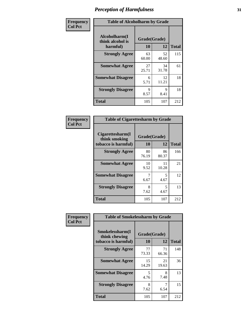| Frequency      | <b>Table of Alcoholharm by Grade</b>          |                    |             |              |
|----------------|-----------------------------------------------|--------------------|-------------|--------------|
| <b>Col Pct</b> | Alcoholharm(I<br>think alcohol is<br>harmful) | Grade(Grade)<br>10 | 12          | <b>Total</b> |
|                | <b>Strongly Agree</b>                         | 63<br>60.00        | 52<br>48.60 | 115          |
|                | <b>Somewhat Agree</b>                         | 27<br>25.71        | 34<br>31.78 | 61           |
|                | <b>Somewhat Disagree</b>                      | 6<br>5.71          | 12<br>11.21 | 18           |
|                | <b>Strongly Disagree</b>                      | 9<br>8.57          | 9<br>8.41   | 18           |
|                | <b>Total</b>                                  | 105                | 107         | 212          |

| <b>Table of Cigarettesharm by Grade</b>                  |                    |             |              |  |  |
|----------------------------------------------------------|--------------------|-------------|--------------|--|--|
| Cigarettesharm(I<br>think smoking<br>tobacco is harmful) | Grade(Grade)<br>10 | 12          | <b>Total</b> |  |  |
| <b>Strongly Agree</b>                                    | 80<br>76.19        | 86<br>80.37 | 166          |  |  |
| <b>Somewhat Agree</b>                                    | 10<br>9.52         | 11<br>10.28 | 21           |  |  |
| <b>Somewhat Disagree</b>                                 | 7<br>6.67          | 5<br>4.67   | 12           |  |  |
| <b>Strongly Disagree</b>                                 | 8<br>7.62          | 5<br>4.67   | 13           |  |  |
| <b>Total</b>                                             | 105                | 107         | 212          |  |  |

| Frequency      | <b>Table of Smokelessharm by Grade</b>                  |                           |             |              |
|----------------|---------------------------------------------------------|---------------------------|-------------|--------------|
| <b>Col Pct</b> | Smokelessharm(I<br>think chewing<br>tobacco is harmful) | Grade(Grade)<br><b>10</b> | 12          | <b>Total</b> |
|                | <b>Strongly Agree</b>                                   | 77<br>73.33               | 71<br>66.36 | 148          |
|                | <b>Somewhat Agree</b>                                   | 15<br>14.29               | 21<br>19.63 | 36           |
|                | <b>Somewhat Disagree</b>                                | 5<br>4.76                 | 8<br>7.48   | 13           |
|                | <b>Strongly Disagree</b>                                | 8<br>7.62                 | 6.54        | 15           |
|                | <b>Total</b>                                            | 105                       | 107         | 212          |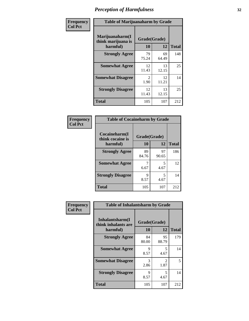| Frequency      | <b>Table of Marijuanaharm by Grade</b>            |                    |             |              |
|----------------|---------------------------------------------------|--------------------|-------------|--------------|
| <b>Col Pct</b> | Marijuanaharm(I<br>think marijuana is<br>harmful) | Grade(Grade)<br>10 | 12          | <b>Total</b> |
|                | <b>Strongly Agree</b>                             | 79<br>75.24        | 69<br>64.49 | 148          |
|                | <b>Somewhat Agree</b>                             | 12<br>11.43        | 13<br>12.15 | 25           |
|                | <b>Somewhat Disagree</b>                          | 2<br>1.90          | 12<br>11.21 | 14           |
|                | <b>Strongly Disagree</b>                          | 12<br>11.43        | 13<br>12.15 | 25           |
|                | <b>Total</b>                                      | 105                | 107         | 212          |

| <b>Table of Cocaineharm by Grade</b> |              |             |              |  |  |
|--------------------------------------|--------------|-------------|--------------|--|--|
| Cocaineharm(I<br>think cocaine is    | Grade(Grade) |             |              |  |  |
| harmful)                             | 10           | 12          | <b>Total</b> |  |  |
| <b>Strongly Agree</b>                | 89<br>84.76  | 97<br>90.65 | 186          |  |  |
| <b>Somewhat Agree</b>                | 6.67         | 5<br>4.67   | 12           |  |  |
| <b>Strongly Disagree</b>             | 9<br>8.57    | 5<br>4.67   | 14           |  |  |
| <b>Total</b>                         | 105          | 107         | 212          |  |  |

| Frequency<br><b>Col Pct</b> | <b>Table of Inhalantsharm by Grade</b>              |                    |                        |              |  |
|-----------------------------|-----------------------------------------------------|--------------------|------------------------|--------------|--|
|                             | Inhalantsharm(I)<br>think inhalants are<br>harmful) | Grade(Grade)<br>10 | 12                     | <b>Total</b> |  |
|                             | <b>Strongly Agree</b>                               | 84<br>80.00        | 95<br>88.79            | 179          |  |
|                             | <b>Somewhat Agree</b>                               | Q<br>8.57          | 5<br>4.67              | 14           |  |
|                             | <b>Somewhat Disagree</b>                            | 3<br>2.86          | $\mathfrak{D}$<br>1.87 | 5            |  |
|                             | <b>Strongly Disagree</b>                            | 9<br>8.57          | 5<br>4.67              | 14           |  |
|                             | <b>Total</b>                                        | 105                | 107                    | 212          |  |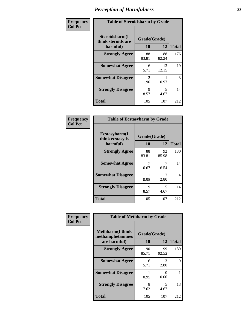| Frequency      | <b>Table of Steroidsharm by Grade</b>            |                                     |                                 |              |
|----------------|--------------------------------------------------|-------------------------------------|---------------------------------|--------------|
| <b>Col Pct</b> | Steroidsharm(I<br>think steroids are<br>harmful) | Grade(Grade)<br>10                  | 12                              | <b>Total</b> |
|                | <b>Strongly Agree</b>                            | 88<br>83.81                         | 88<br>82.24                     | 176          |
|                | <b>Somewhat Agree</b>                            | 6<br>5.71                           | 13<br>12.15                     | 19           |
|                | <b>Somewhat Disagree</b>                         | $\mathcal{D}_{\mathcal{L}}$<br>1.90 | 0.93                            | 3            |
|                | <b>Strongly Disagree</b>                         | 9<br>8.57                           | $\overline{\mathbf{z}}$<br>4.67 | 14           |
|                | <b>Total</b>                                     | 105                                 | 107                             | 212          |

| <b>Table of Ecstasyharm by Grade</b>          |                    |              |     |  |  |  |
|-----------------------------------------------|--------------------|--------------|-----|--|--|--|
| Ecstasyharm(I<br>think ecstasy is<br>harmful) | Grade(Grade)<br>10 | <b>Total</b> |     |  |  |  |
| <b>Strongly Agree</b>                         | 88<br>83.81        | 92<br>85.98  | 180 |  |  |  |
| <b>Somewhat Agree</b>                         | 7<br>6.67          | 6.54         | 14  |  |  |  |
| <b>Somewhat Disagree</b>                      | 0.95               | 3<br>2.80    | 4   |  |  |  |
| <b>Strongly Disagree</b>                      | 9<br>8.57          | 5<br>4.67    | 14  |  |  |  |
| <b>Total</b>                                  | 105                | 107          | 212 |  |  |  |

| Frequency      | <b>Table of Methharm by Grade</b>                            |                          |             |              |  |
|----------------|--------------------------------------------------------------|--------------------------|-------------|--------------|--|
| <b>Col Pct</b> | <b>Methharm</b> (I think<br>methamphetamines<br>are harmful) | Grade(Grade)<br>12<br>10 |             | <b>Total</b> |  |
|                | <b>Strongly Agree</b>                                        | 90<br>85.71              | 99<br>92.52 | 189          |  |
|                | <b>Somewhat Agree</b>                                        | 6<br>5.71                | 3<br>2.80   | 9            |  |
|                | <b>Somewhat Disagree</b>                                     | 0.95                     | 0<br>0.00   |              |  |
|                | <b>Strongly Disagree</b>                                     | 8<br>7.62                | 5<br>4.67   | 13           |  |
|                | <b>Total</b>                                                 | 105                      | 107         | 212          |  |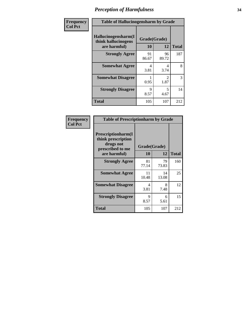| Frequency      | <b>Table of Hallucinogensharm by Grade</b>                 |                    |                        |              |
|----------------|------------------------------------------------------------|--------------------|------------------------|--------------|
| <b>Col Pct</b> | Hallucinogensharm(I<br>think hallucinogens<br>are harmful) | Grade(Grade)<br>10 | 12                     | <b>Total</b> |
|                | <b>Strongly Agree</b>                                      | 91<br>86.67        | 96<br>89.72            | 187          |
|                | <b>Somewhat Agree</b>                                      | 4<br>3.81          | 4<br>3.74              | 8            |
|                | <b>Somewhat Disagree</b>                                   | 0.95               | $\mathfrak{D}$<br>1.87 | 3            |
|                | <b>Strongly Disagree</b>                                   | 9<br>8.57          | 5<br>4.67              | 14           |
|                | <b>Total</b>                                               | 105                | 107                    | 212          |

| <b>Table of Prescriptionharm by Grade</b>                                         |                                  |             |              |  |  |
|-----------------------------------------------------------------------------------|----------------------------------|-------------|--------------|--|--|
| <b>Prescriptionharm(I)</b><br>think prescription<br>drugs not<br>prescribed to me | Grade(Grade)                     |             |              |  |  |
| are harmful)                                                                      | 10                               | 12          | <b>Total</b> |  |  |
| <b>Strongly Agree</b>                                                             | 81<br>77.14                      | 79<br>73.83 | 160          |  |  |
| <b>Somewhat Agree</b>                                                             | 11<br>10.48                      | 14<br>13.08 | 25           |  |  |
| <b>Somewhat Disagree</b>                                                          | $\overline{\mathcal{A}}$<br>3.81 | 8<br>7.48   | 12           |  |  |
| <b>Strongly Disagree</b>                                                          | 9<br>8.57                        | 6<br>5.61   | 15           |  |  |
| <b>Total</b>                                                                      | 105                              | 107         | 212          |  |  |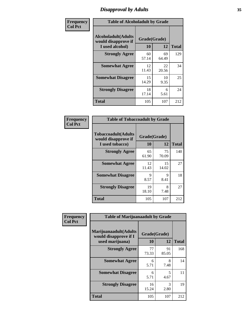# *Disapproval by Adults* **35**

| Frequency      | <b>Table of Alcoholadult by Grade</b>                                 |                    |             |              |
|----------------|-----------------------------------------------------------------------|--------------------|-------------|--------------|
| <b>Col Pct</b> | <b>Alcoholadult</b> (Adults<br>would disapprove if<br>I used alcohol) | Grade(Grade)<br>10 | 12          | <b>Total</b> |
|                | <b>Strongly Agree</b>                                                 | 60<br>57.14        | 69<br>64.49 | 129          |
|                | <b>Somewhat Agree</b>                                                 | 12<br>11.43        | 22<br>20.56 | 34           |
|                | <b>Somewhat Disagree</b>                                              | 15<br>14.29        | 10<br>9.35  | 25           |
|                | <b>Strongly Disagree</b>                                              | 18<br>17.14        | 6<br>5.61   | 24           |
|                | <b>Total</b>                                                          | 105                | 107         | 212          |

| <b>Table of Tobaccoadult by Grade</b>                                 |                    |             |              |  |  |
|-----------------------------------------------------------------------|--------------------|-------------|--------------|--|--|
| <b>Tobaccoadult</b> (Adults<br>would disapprove if<br>I used tobacco) | Grade(Grade)<br>10 | 12          | <b>Total</b> |  |  |
| <b>Strongly Agree</b>                                                 | 65<br>61.90        | 75<br>70.09 | 140          |  |  |
| <b>Somewhat Agree</b>                                                 | 12<br>11.43        | 15<br>14.02 | 27           |  |  |
| <b>Somewhat Disagree</b>                                              | 9<br>8.57          | 9<br>8.41   | 18           |  |  |
| <b>Strongly Disagree</b>                                              | 19<br>18.10        | 8<br>7.48   | 27           |  |  |
| <b>Total</b>                                                          | 105                | 107         | 212          |  |  |

| Frequency      | <b>Table of Marijuanaadult by Grade</b>                           |                    |             |              |  |
|----------------|-------------------------------------------------------------------|--------------------|-------------|--------------|--|
| <b>Col Pct</b> | Marijuanaadult(Adults<br>would disapprove if I<br>used marijuana) | Grade(Grade)<br>10 | 12          | <b>Total</b> |  |
|                | <b>Strongly Agree</b>                                             | 77<br>73.33        | 91<br>85.05 | 168          |  |
|                | <b>Somewhat Agree</b>                                             | 6<br>5.71          | 8<br>7.48   | 14           |  |
|                | <b>Somewhat Disagree</b>                                          | 6<br>5.71          | 5<br>4.67   | 11           |  |
|                | <b>Strongly Disagree</b>                                          | 16<br>15.24        | 3<br>2.80   | 19           |  |
|                | <b>Total</b>                                                      | 105                | 107         | 212          |  |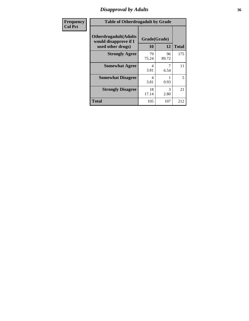### *Disapproval by Adults* **36**

| <b>Frequency</b> | <b>Table of Otherdrugadult by Grade</b>                                     |                    |             |              |
|------------------|-----------------------------------------------------------------------------|--------------------|-------------|--------------|
| <b>Col Pct</b>   | <b>Otherdrugadult</b> (Adults<br>would disapprove if I<br>used other drugs) | Grade(Grade)<br>10 | 12          | <b>Total</b> |
|                  | <b>Strongly Agree</b>                                                       | 79<br>75.24        | 96<br>89.72 | 175          |
|                  | <b>Somewhat Agree</b>                                                       | 4<br>3.81          | 6.54        | 11           |
|                  | <b>Somewhat Disagree</b>                                                    | 4<br>3.81          | 0.93        | 5            |
|                  | <b>Strongly Disagree</b>                                                    | 18<br>17.14        | 3<br>2.80   | 21           |
|                  | <b>Total</b>                                                                | 105                | 107         | 212          |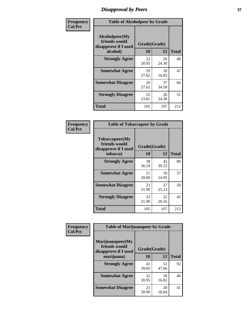# *Disapproval by Peers* **37**

| Frequency      | <b>Table of Alcoholpeer by Grade</b>                    |              |             |              |  |
|----------------|---------------------------------------------------------|--------------|-------------|--------------|--|
| <b>Col Pct</b> | Alcoholpeer(My<br>friends would<br>disapprove if I used | Grade(Grade) |             |              |  |
|                | alcohol)                                                | 10           | 12          | <b>Total</b> |  |
|                | <b>Strongly Agree</b>                                   | 22<br>20.95  | 26<br>24.30 | 48           |  |
|                | <b>Somewhat Agree</b>                                   | 29<br>27.62  | 18<br>16.82 | 47           |  |
|                | <b>Somewhat Disagree</b>                                | 29<br>27.62  | 37<br>34.58 | 66           |  |
|                | <b>Strongly Disagree</b>                                | 25<br>23.81  | 26<br>24.30 | 51           |  |
|                | Total                                                   | 105          | 107         | 212          |  |

| Frequency      | <b>Table of Tobaccopeer by Grade</b>                                |                    |             |              |
|----------------|---------------------------------------------------------------------|--------------------|-------------|--------------|
| <b>Col Pct</b> | Tobaccopeer(My<br>friends would<br>disapprove if I used<br>tobacco) | Grade(Grade)<br>10 | 12          | <b>Total</b> |
|                | <b>Strongly Agree</b>                                               | 38<br>36.19        | 42<br>39.25 | 80           |
|                | <b>Somewhat Agree</b>                                               | 21<br>20.00        | 16<br>14.95 | 37           |
|                | <b>Somewhat Disagree</b>                                            | 23<br>21.90        | 27<br>25.23 | 50           |
|                | <b>Strongly Disagree</b>                                            | 23<br>21.90        | 22<br>20.56 | 45           |
|                | Total                                                               | 105                | 107         | 212          |

| Frequency      | <b>Table of Marijuanapeer by Grade</b>                    |              |             |              |
|----------------|-----------------------------------------------------------|--------------|-------------|--------------|
| <b>Col Pct</b> | Marijuanapeer(My<br>friends would<br>disapprove if I used | Grade(Grade) |             |              |
|                | marijuana)                                                | 10           | 12          | <b>Total</b> |
|                | <b>Strongly Agree</b>                                     | 41<br>39.05  | 51<br>47.66 | 92           |
|                | <b>Somewhat Agree</b>                                     | 22<br>20.95  | 18<br>16.82 | 40           |
|                | <b>Somewhat Disagree</b>                                  | 21<br>20.00  | 20<br>18.69 | 41           |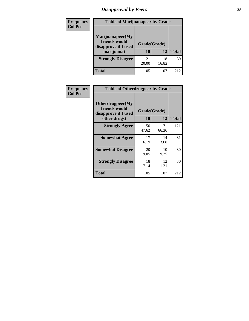# *Disapproval by Peers* **38**

| Frequency<br><b>Col Pct</b> | <b>Table of Marijuanapeer by Grade</b>                                  |                    |             |              |
|-----------------------------|-------------------------------------------------------------------------|--------------------|-------------|--------------|
|                             | Marijuanapeer(My<br>friends would<br>disapprove if I used<br>marijuana) | Grade(Grade)<br>10 | 12          | <b>Total</b> |
|                             | <b>Strongly Disagree</b>                                                | 21<br>20.00        | 18<br>16.82 | 39           |
|                             | Total                                                                   | 105                | 107         | 212          |

| Frequency      | <b>Table of Otherdrugpeer by Grade</b>                                    |                    |             |              |
|----------------|---------------------------------------------------------------------------|--------------------|-------------|--------------|
| <b>Col Pct</b> | Otherdrugpeer(My<br>friends would<br>disapprove if I used<br>other drugs) | Grade(Grade)<br>10 | 12          | <b>Total</b> |
|                | <b>Strongly Agree</b>                                                     | 50<br>47.62        | 71<br>66.36 | 121          |
|                | <b>Somewhat Agree</b>                                                     | 17<br>16.19        | 14<br>13.08 | 31           |
|                | <b>Somewhat Disagree</b>                                                  | 20<br>19.05        | 10<br>9.35  | 30           |
|                | <b>Strongly Disagree</b>                                                  | 18<br>17.14        | 12<br>11.21 | 30           |
|                | <b>Total</b>                                                              | 105                | 107         | 212          |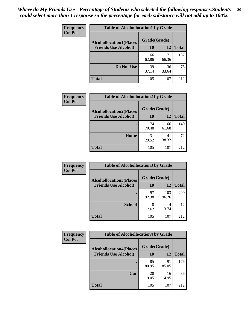| Frequency      | <b>Table of Alcohollocation1 by Grade</b> |              |             |              |
|----------------|-------------------------------------------|--------------|-------------|--------------|
| <b>Col Pct</b> | <b>Alcohollocation1(Places</b>            | Grade(Grade) |             |              |
|                | <b>Friends Use Alcohol)</b>               | 10           | 12          | <b>Total</b> |
|                |                                           | 66<br>62.86  | 71<br>66.36 | 137          |
|                | Do Not Use                                | 39<br>37.14  | 36<br>33.64 | 75           |
|                | <b>Total</b>                              | 105          | 107         | 212          |

| Frequency      | <b>Table of Alcohollocation2 by Grade</b>                     |                           |             |              |
|----------------|---------------------------------------------------------------|---------------------------|-------------|--------------|
| <b>Col Pct</b> | <b>Alcohollocation2(Places</b><br><b>Friends Use Alcohol)</b> | Grade(Grade)<br><b>10</b> | <b>12</b>   | <b>Total</b> |
|                |                                                               | 74<br>70.48               | 66<br>61.68 | 140          |
|                | Home                                                          | 31<br>29.52               | 41<br>38.32 | 72           |
|                | <b>Total</b>                                                  | 105                       | 107         | 212          |

| Frequency<br><b>Col Pct</b> | <b>Table of Alcohollocation 3 by Grade</b>                    |                    |              |              |
|-----------------------------|---------------------------------------------------------------|--------------------|--------------|--------------|
|                             | <b>Alcohollocation3(Places</b><br><b>Friends Use Alcohol)</b> | Grade(Grade)<br>10 | 12           | <b>Total</b> |
|                             |                                                               | 97<br>92.38        | 103<br>96.26 | 200          |
|                             | <b>School</b>                                                 | 8<br>7.62          | 4<br>3.74    | 12           |
|                             | <b>Total</b>                                                  | 105                | 107          | 212          |

| <b>Frequency</b> | <b>Table of Alcohollocation4 by Grade</b> |              |             |              |
|------------------|-------------------------------------------|--------------|-------------|--------------|
| <b>Col Pct</b>   | <b>Alcohollocation4(Places</b>            | Grade(Grade) |             |              |
|                  | <b>Friends Use Alcohol)</b>               | 10           | 12          | <b>Total</b> |
|                  |                                           | 85<br>80.95  | 91<br>85.05 | 176          |
|                  | Car                                       | 20<br>19.05  | 16<br>14.95 | 36           |
|                  | <b>Total</b>                              | 105          | 107         | 212          |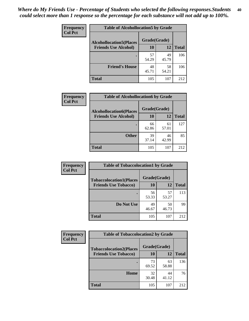| Frequency<br><b>Col Pct</b> | <b>Table of Alcohollocation5 by Grade</b> |              |             |              |
|-----------------------------|-------------------------------------------|--------------|-------------|--------------|
|                             | <b>Alcohollocation5(Places</b>            | Grade(Grade) |             |              |
|                             | <b>Friends Use Alcohol)</b>               | 10           | 12          | <b>Total</b> |
|                             |                                           | 57<br>54.29  | 49<br>45.79 | 106          |
|                             | <b>Friend's House</b>                     | 48<br>45.71  | 58<br>54.21 | 106          |
|                             | <b>Total</b>                              | 105          | 107         | 212          |

| <b>Frequency</b> | <b>Table of Alcohollocation6 by Grade</b> |              |             |              |
|------------------|-------------------------------------------|--------------|-------------|--------------|
| <b>Col Pct</b>   | <b>Alcohollocation6(Places</b>            | Grade(Grade) |             |              |
|                  | <b>Friends Use Alcohol)</b>               | 10           | 12          | <b>Total</b> |
|                  |                                           | 66<br>62.86  | 61<br>57.01 | 127          |
|                  | <b>Other</b>                              | 39<br>37.14  | 46<br>42.99 | 85           |
|                  | <b>Total</b>                              | 105          | 107         | 212          |

| Frequency      | <b>Table of Tobaccolocation1 by Grade</b> |              |             |              |
|----------------|-------------------------------------------|--------------|-------------|--------------|
| <b>Col Pct</b> | <b>Tobaccolocation1(Places</b>            | Grade(Grade) |             |              |
|                | <b>Friends Use Tobacco)</b>               | 10           | 12          | <b>Total</b> |
|                |                                           | 56<br>53.33  | 57<br>53.27 | 113          |
|                | Do Not Use                                | 49<br>46.67  | 50<br>46.73 | 99           |
|                | <b>Total</b>                              | 105          | 107         | 212          |

| <b>Frequency</b> | <b>Table of Tobaccolocation2 by Grade</b> |              |             |              |  |
|------------------|-------------------------------------------|--------------|-------------|--------------|--|
| <b>Col Pct</b>   | <b>Tobaccolocation2(Places</b>            | Grade(Grade) |             |              |  |
|                  | <b>Friends Use Tobacco)</b>               | 10           | 12          | <b>Total</b> |  |
|                  |                                           | 73<br>69.52  | 63<br>58.88 | 136          |  |
|                  | Home                                      | 32<br>30.48  | 44<br>41.12 | 76           |  |
|                  | <b>Total</b>                              | 105          | 107         | 212          |  |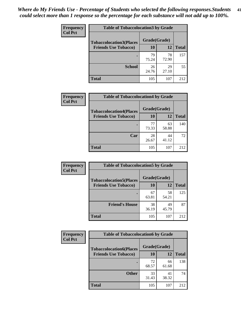| Frequency      | <b>Table of Tobaccolocation 3 by Grade</b> |              |             |              |
|----------------|--------------------------------------------|--------------|-------------|--------------|
| <b>Col Pct</b> | <b>Tobaccolocation3(Places</b>             | Grade(Grade) |             |              |
|                | <b>Friends Use Tobacco)</b>                | 10           | 12          | <b>Total</b> |
|                | ٠                                          | 79<br>75.24  | 78<br>72.90 | 157          |
|                | <b>School</b>                              | 26<br>24.76  | 29<br>27.10 | 55           |
|                | <b>Total</b>                               | 105          | 107         | 212          |

| Frequency      | <b>Table of Tobaccolocation4 by Grade</b> |              |             |              |
|----------------|-------------------------------------------|--------------|-------------|--------------|
| <b>Col Pct</b> | <b>Tobaccolocation4(Places</b>            | Grade(Grade) |             |              |
|                | <b>Friends Use Tobacco)</b>               | 10           | 12          | <b>Total</b> |
|                |                                           | 77<br>73.33  | 63<br>58.88 | 140          |
|                | Car                                       | 28<br>26.67  | 44<br>41.12 | 72           |
|                | <b>Total</b>                              | 105          | 107         | 212          |

| Frequency      | <b>Table of Tobaccolocation5 by Grade</b> |              |             |              |
|----------------|-------------------------------------------|--------------|-------------|--------------|
| <b>Col Pct</b> | <b>Tobaccolocation5(Places</b>            | Grade(Grade) |             |              |
|                | <b>Friends Use Tobacco)</b>               | 10           | <b>12</b>   | <b>Total</b> |
|                |                                           | 67<br>63.81  | 58<br>54.21 | 125          |
|                | <b>Friend's House</b>                     | 38<br>36.19  | 49<br>45.79 | 87           |
|                | <b>Total</b>                              | 105          | 107         | 212          |

| <b>Frequency</b> | <b>Table of Tobaccolocation6 by Grade</b> |              |             |              |  |
|------------------|-------------------------------------------|--------------|-------------|--------------|--|
| <b>Col Pct</b>   | <b>Tobaccolocation6(Places</b>            | Grade(Grade) |             |              |  |
|                  | <b>Friends Use Tobacco)</b>               | 10           | 12          | <b>Total</b> |  |
|                  |                                           | 72<br>68.57  | 66<br>61.68 | 138          |  |
|                  | <b>Other</b>                              | 33<br>31.43  | 41<br>38.32 | 74           |  |
|                  | <b>Total</b>                              | 105          | 107         | 212          |  |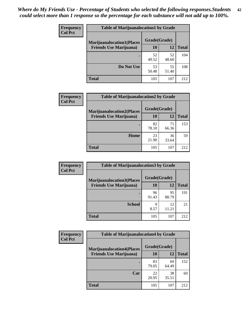| <b>Frequency</b> | <b>Table of Marijuanalocation1 by Grade</b> |              |             |              |
|------------------|---------------------------------------------|--------------|-------------|--------------|
| <b>Col Pct</b>   | <b>Marijuanalocation1(Places</b>            | Grade(Grade) |             |              |
|                  | <b>Friends Use Marijuana</b> )              | <b>10</b>    | 12          | <b>Total</b> |
|                  |                                             | 52<br>49.52  | 52<br>48.60 | 104          |
|                  | Do Not Use                                  | 53<br>50.48  | 55<br>51.40 | 108          |
|                  | <b>Total</b>                                | 105          | 107         | 212          |

| <b>Frequency</b> | <b>Table of Marijuanalocation2 by Grade</b>                        |                           |             |              |
|------------------|--------------------------------------------------------------------|---------------------------|-------------|--------------|
| <b>Col Pct</b>   | <b>Marijuanalocation2(Places</b><br><b>Friends Use Marijuana</b> ) | Grade(Grade)<br><b>10</b> | 12          | <b>Total</b> |
|                  |                                                                    | 82<br>78.10               | 71<br>66.36 | 153          |
|                  | Home                                                               | 23<br>21.90               | 36<br>33.64 | 59           |
|                  | <b>Total</b>                                                       | 105                       | 107         | 212          |

| Frequency<br><b>Col Pct</b> | <b>Table of Marijuanalocation3 by Grade</b> |              |             |              |
|-----------------------------|---------------------------------------------|--------------|-------------|--------------|
|                             | <b>Marijuanalocation3</b> (Places           | Grade(Grade) |             |              |
|                             | <b>Friends Use Marijuana</b> )              | 10           | 12          | <b>Total</b> |
|                             |                                             | 96<br>91.43  | 95<br>88.79 | 191          |
|                             | <b>School</b>                               | q<br>8.57    | 12<br>11.21 | 21           |
|                             | <b>Total</b>                                | 105          | 107         | 212          |

| <b>Frequency</b> | <b>Table of Marijuanalocation4 by Grade</b> |              |             |              |  |
|------------------|---------------------------------------------|--------------|-------------|--------------|--|
| <b>Col Pct</b>   | <b>Marijuanalocation4(Places</b>            | Grade(Grade) |             |              |  |
|                  | <b>Friends Use Marijuana</b> )              | <b>10</b>    | 12          | <b>Total</b> |  |
|                  |                                             | 83<br>79.05  | 69<br>64.49 | 152          |  |
|                  | Car                                         | 22<br>20.95  | 38<br>35.51 | 60           |  |
|                  | <b>Total</b>                                | 105          | 107         | 212          |  |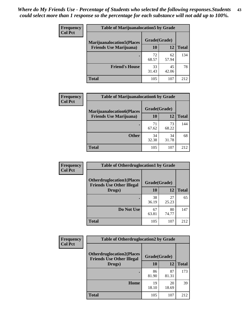| <b>Frequency</b> | <b>Table of Marijuanalocation5 by Grade</b> |              |             |              |
|------------------|---------------------------------------------|--------------|-------------|--------------|
| <b>Col Pct</b>   | <b>Marijuanalocation5</b> (Places           | Grade(Grade) |             |              |
|                  | <b>Friends Use Marijuana</b> )              | 10           | 12          | <b>Total</b> |
|                  |                                             | 72<br>68.57  | 62<br>57.94 | 134          |
|                  | <b>Friend's House</b>                       | 33<br>31.43  | 45<br>42.06 | 78           |
|                  | <b>Total</b>                                | 105          | 107         | 212          |

| <b>Frequency</b> | <b>Table of Marijuanalocation6 by Grade</b>                        |                    |             |              |
|------------------|--------------------------------------------------------------------|--------------------|-------------|--------------|
| <b>Col Pct</b>   | <b>Marijuanalocation6(Places</b><br><b>Friends Use Marijuana</b> ) | Grade(Grade)<br>10 | 12          | <b>Total</b> |
|                  |                                                                    | 71<br>67.62        | 73<br>68.22 | 144          |
|                  | <b>Other</b>                                                       | 34<br>32.38        | 34<br>31.78 | 68           |
|                  | <b>Total</b>                                                       | 105                | 107         | 212          |

| Frequency      | <b>Table of Otherdruglocation1 by Grade</b>                          |              |             |              |
|----------------|----------------------------------------------------------------------|--------------|-------------|--------------|
| <b>Col Pct</b> | <b>Otherdruglocation1(Places</b><br><b>Friends Use Other Illegal</b> | Grade(Grade) |             |              |
|                | Drugs)                                                               | 10           | 12          | <b>Total</b> |
|                |                                                                      | 38<br>36.19  | 27<br>25.23 | 65           |
|                | Do Not Use                                                           | 67<br>63.81  | 80<br>74.77 | 147          |
|                | <b>Total</b>                                                         | 105          | 107         | 212          |

| <b>Frequency</b>                                                                       | <b>Table of Otherdruglocation2 by Grade</b> |              |             |              |
|----------------------------------------------------------------------------------------|---------------------------------------------|--------------|-------------|--------------|
| <b>Col Pct</b><br><b>Otherdruglocation2(Places</b><br><b>Friends Use Other Illegal</b> |                                             | Grade(Grade) |             |              |
|                                                                                        | Drugs)                                      | 10           | 12          | <b>Total</b> |
|                                                                                        |                                             | 86<br>81.90  | 87<br>81.31 | 173          |
|                                                                                        | Home                                        | 19<br>18.10  | 20<br>18.69 | 39           |
|                                                                                        | <b>Total</b>                                | 105          | 107         | 212          |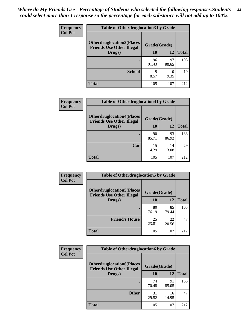| <b>Frequency</b> | <b>Table of Otherdruglocation 3 by Grade</b>                         |              |             |              |
|------------------|----------------------------------------------------------------------|--------------|-------------|--------------|
| <b>Col Pct</b>   | <b>Otherdruglocation3(Places</b><br><b>Friends Use Other Illegal</b> | Grade(Grade) |             |              |
|                  | Drugs)                                                               | 10           | 12          | <b>Total</b> |
|                  |                                                                      | 96<br>91.43  | 97<br>90.65 | 193          |
|                  | <b>School</b>                                                        | 9<br>8.57    | 10<br>9.35  | 19           |
|                  | <b>Total</b>                                                         | 105          | 107         | 212          |

| Frequency<br><b>Col Pct</b> | <b>Table of Otherdruglocation4 by Grade</b>                          |              |             |              |
|-----------------------------|----------------------------------------------------------------------|--------------|-------------|--------------|
|                             | <b>Otherdruglocation4(Places</b><br><b>Friends Use Other Illegal</b> | Grade(Grade) |             |              |
|                             | Drugs)                                                               | 10           | 12          | <b>Total</b> |
|                             |                                                                      | 90<br>85.71  | 93<br>86.92 | 183          |
|                             | Car                                                                  | 15<br>14.29  | 14<br>13.08 | 29           |
|                             | <b>Total</b>                                                         | 105          | 107         | 212          |

| Frequency      | <b>Table of Otherdruglocation5 by Grade</b>                          |              |             |              |
|----------------|----------------------------------------------------------------------|--------------|-------------|--------------|
| <b>Col Pct</b> | <b>Otherdruglocation5(Places</b><br><b>Friends Use Other Illegal</b> | Grade(Grade) |             |              |
|                | Drugs)                                                               | 10           | 12          | <b>Total</b> |
|                |                                                                      | 80<br>76.19  | 85<br>79.44 | 165          |
|                | <b>Friend's House</b>                                                | 25<br>23.81  | 22<br>20.56 | 47           |
|                | <b>Total</b>                                                         | 105          | 107         | 212          |

| <b>Frequency</b> | <b>Table of Otherdruglocation6 by Grade</b>                          |              |             |              |
|------------------|----------------------------------------------------------------------|--------------|-------------|--------------|
| <b>Col Pct</b>   | <b>Otherdruglocation6(Places</b><br><b>Friends Use Other Illegal</b> | Grade(Grade) |             |              |
|                  | Drugs)                                                               | <b>10</b>    | 12          | <b>Total</b> |
|                  |                                                                      | 74<br>70.48  | 91<br>85.05 | 165          |
|                  | <b>Other</b>                                                         | 31<br>29.52  | 16<br>14.95 | 47           |
|                  | Total                                                                | 105          | 107         | 212          |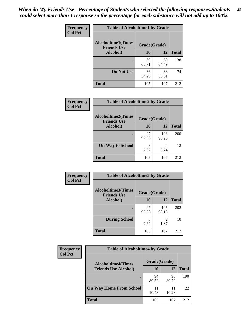| Frequency      | <b>Table of Alcoholtime1 by Grade</b>           |              |             |              |
|----------------|-------------------------------------------------|--------------|-------------|--------------|
| <b>Col Pct</b> | <b>Alcoholtime1(Times</b><br><b>Friends Use</b> | Grade(Grade) |             |              |
|                | Alcohol)                                        | 10           | 12          | <b>Total</b> |
|                |                                                 | 69<br>65.71  | 69<br>64.49 | 138          |
|                | Do Not Use                                      | 36<br>34.29  | 38<br>35.51 | 74           |
|                | <b>Total</b>                                    | 105          | 107         | 212          |

| Frequency      | <b>Table of Alcoholtime2 by Grade</b>           |              |              |              |
|----------------|-------------------------------------------------|--------------|--------------|--------------|
| <b>Col Pct</b> | <b>Alcoholtime2(Times</b><br><b>Friends Use</b> | Grade(Grade) |              |              |
|                | Alcohol)                                        | 10           | 12           | <b>Total</b> |
|                |                                                 | 97<br>92.38  | 103<br>96.26 | 200          |
|                | <b>On Way to School</b>                         | 8<br>7.62    | 4<br>3.74    | 12           |
|                | <b>Total</b>                                    | 105          | 107          | 212          |

| Frequency      | <b>Table of Alcoholtime3 by Grade</b>           |              |                                     |              |
|----------------|-------------------------------------------------|--------------|-------------------------------------|--------------|
| <b>Col Pct</b> | <b>Alcoholtime3(Times</b><br><b>Friends Use</b> | Grade(Grade) |                                     |              |
|                | <b>Alcohol</b> )                                | 10           | 12                                  | <b>Total</b> |
|                |                                                 | 97<br>92.38  | 105<br>98.13                        | 202          |
|                | <b>During School</b>                            | 8<br>7.62    | $\mathcal{D}_{\mathcal{A}}$<br>1.87 | 10           |
|                | <b>Total</b>                                    | 105          | 107                                 | 212          |

| <b>Frequency</b> | <b>Table of Alcoholtime4 by Grade</b> |              |             |              |
|------------------|---------------------------------------|--------------|-------------|--------------|
| <b>Col Pct</b>   | <b>Alcoholtime4(Times</b>             | Grade(Grade) |             |              |
|                  | <b>Friends Use Alcohol)</b>           | 10           | 12          | <b>Total</b> |
|                  |                                       | 94<br>89.52  | 96<br>89.72 | 190          |
|                  | <b>On Way Home From School</b>        | 11<br>10.48  | 11<br>10.28 | 22           |
|                  | <b>Total</b>                          | 105          | 107         | 212          |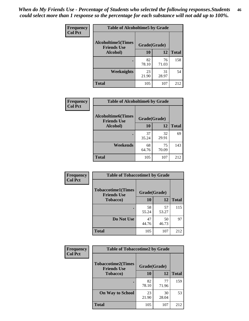*When do My Friends Use - Percentage of Students who selected the following responses.Students could select more than 1 response so the percentage for each substance will not add up to 100%.* **46**

| Frequency      | <b>Table of Alcoholtime5 by Grade</b>           |              |             |              |
|----------------|-------------------------------------------------|--------------|-------------|--------------|
| <b>Col Pct</b> | <b>Alcoholtime5(Times</b><br><b>Friends Use</b> | Grade(Grade) |             |              |
|                | Alcohol)                                        | 10           | 12          | <b>Total</b> |
|                |                                                 | 82<br>78.10  | 76<br>71.03 | 158          |
|                | Weeknights                                      | 23<br>21.90  | 31<br>28.97 | 54           |
|                | <b>Total</b>                                    | 105          | 107         | 212          |

| Frequency      | <b>Table of Alcoholtime6 by Grade</b>           |              |             |              |
|----------------|-------------------------------------------------|--------------|-------------|--------------|
| <b>Col Pct</b> | <b>Alcoholtime6(Times</b><br><b>Friends Use</b> | Grade(Grade) |             |              |
|                | Alcohol)                                        | 10           | 12          | <b>Total</b> |
|                | ٠                                               | 37<br>35.24  | 32<br>29.91 | 69           |
|                | Weekends                                        | 68<br>64.76  | 75<br>70.09 | 143          |
|                | <b>Total</b>                                    | 105          | 107         | 212          |

| <b>Frequency</b> | <b>Table of Tobaccotime1 by Grade</b>           |              |             |              |
|------------------|-------------------------------------------------|--------------|-------------|--------------|
| <b>Col Pct</b>   | <b>Tobaccotime1(Times</b><br><b>Friends Use</b> | Grade(Grade) |             |              |
|                  | <b>Tobacco</b> )                                | 10           | 12          | <b>Total</b> |
|                  |                                                 | 58<br>55.24  | 57<br>53.27 | 115          |
|                  | Do Not Use                                      | 47<br>44.76  | 50<br>46.73 | 97           |
|                  | <b>Total</b>                                    | 105          | 107         | 212          |

| <b>Frequency</b> | <b>Table of Tobaccotime2 by Grade</b>           |              |             |              |
|------------------|-------------------------------------------------|--------------|-------------|--------------|
| <b>Col Pct</b>   | <b>Tobaccotime2(Times</b><br><b>Friends Use</b> | Grade(Grade) |             |              |
|                  | <b>Tobacco</b> )                                | 10           | 12          | <b>Total</b> |
|                  | ٠                                               | 82<br>78.10  | 77<br>71.96 | 159          |
|                  | <b>On Way to School</b>                         | 23<br>21.90  | 30<br>28.04 | 53           |
|                  | <b>Total</b>                                    | 105          | 107         | 212          |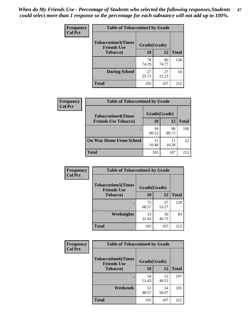*When do My Friends Use - Percentage of Students who selected the following responses.Students could select more than 1 response so the percentage for each substance will not add up to 100%.* **47**

| <b>Frequency</b> | <b>Table of Tobaccotime3 by Grade</b>           |              |             |              |  |
|------------------|-------------------------------------------------|--------------|-------------|--------------|--|
| <b>Col Pct</b>   | <b>Tobaccotime3(Times</b><br><b>Friends Use</b> | Grade(Grade) |             |              |  |
|                  | Tobacco)                                        | 10           | 12          | <b>Total</b> |  |
|                  |                                                 | 78<br>74.29  | 80<br>74.77 | 158          |  |
|                  | <b>During School</b>                            | 27<br>25.71  | 27<br>25.23 | 54           |  |
|                  | <b>Total</b>                                    | 105          | 107         | 212          |  |

| <b>Frequency</b><br><b>Col Pct</b> | <b>Table of Tobaccotime4 by Grade</b> |              |             |              |
|------------------------------------|---------------------------------------|--------------|-------------|--------------|
|                                    | <b>Tobaccotime4(Times</b>             | Grade(Grade) |             |              |
|                                    | <b>Friends Use Tobacco)</b>           | 10           | 12          | <b>Total</b> |
|                                    |                                       | 94<br>89.52  | 96<br>89.72 | 190          |
|                                    | <b>On Way Home From School</b>        | 10.48        | 11<br>10.28 | 22           |
|                                    | <b>Total</b>                          | 105          | 107         | 212          |

| <b>Frequency</b> | <b>Table of Tobaccotime5 by Grade</b>           |              |             |              |
|------------------|-------------------------------------------------|--------------|-------------|--------------|
| <b>Col Pct</b>   | <b>Tobaccotime5(Times</b><br><b>Friends Use</b> | Grade(Grade) |             |              |
|                  | <b>Tobacco</b> )                                | 10           | 12          | <b>Total</b> |
|                  |                                                 | 72<br>68.57  | 57<br>53.27 | 129          |
|                  | Weeknights                                      | 33<br>31.43  | 50<br>46.73 | 83           |
|                  | <b>Total</b>                                    | 105          | 107         | 212          |

| <b>Frequency</b> | <b>Table of Tobaccotime6 by Grade</b>           |              |             |              |
|------------------|-------------------------------------------------|--------------|-------------|--------------|
| <b>Col Pct</b>   | <b>Tobaccotime6(Times</b><br><b>Friends Use</b> | Grade(Grade) |             |              |
|                  | <b>Tobacco</b> )                                | 10           | 12          | <b>Total</b> |
|                  | ٠                                               | 54<br>51.43  | 53<br>49.53 | 107          |
|                  | Weekends                                        | 51<br>48.57  | 54<br>50.47 | 105          |
|                  | <b>Total</b>                                    | 105          | 107         | 212          |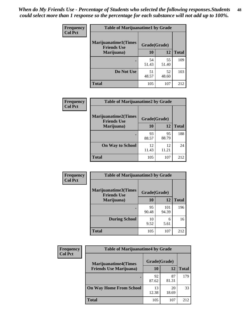| Frequency      | <b>Table of Marijuanatime1 by Grade</b>           |              |             |              |  |
|----------------|---------------------------------------------------|--------------|-------------|--------------|--|
| <b>Col Pct</b> | <b>Marijuanatime1(Times</b><br><b>Friends Use</b> | Grade(Grade) |             |              |  |
|                | Marijuana)                                        | 10           | 12          | <b>Total</b> |  |
|                |                                                   | 54<br>51.43  | 55<br>51.40 | 109          |  |
|                | Do Not Use                                        | 51<br>48.57  | 52<br>48.60 | 103          |  |
|                | <b>Total</b>                                      | 105          | 107         | 212          |  |

| <b>Frequency</b> | <b>Table of Marijuanatime2 by Grade</b>    |              |             |              |
|------------------|--------------------------------------------|--------------|-------------|--------------|
| <b>Col Pct</b>   | Marijuanatime2(Times<br><b>Friends Use</b> | Grade(Grade) |             |              |
|                  | Marijuana)                                 | 10           | 12          | <b>Total</b> |
|                  |                                            | 93<br>88.57  | 95<br>88.79 | 188          |
|                  | <b>On Way to School</b>                    | 12<br>11.43  | 12<br>11.21 | 24           |
|                  | <b>Total</b>                               | 105          | 107         | 212          |

| Frequency      | <b>Table of Marijuanatime3 by Grade</b>    |              |              |              |
|----------------|--------------------------------------------|--------------|--------------|--------------|
| <b>Col Pct</b> | Marijuanatime3(Times<br><b>Friends Use</b> | Grade(Grade) |              |              |
|                | Marijuana)                                 | 10           | 12           | <b>Total</b> |
|                |                                            | 95<br>90.48  | 101<br>94.39 | 196          |
|                | <b>During School</b>                       | 10<br>9.52   | 6<br>5.61    | 16           |
|                | <b>Total</b>                               | 105          | 107          | 212          |

| <b>Frequency</b><br><b>Col Pct</b> | <b>Table of Marijuanatime4 by Grade</b> |              |             |              |
|------------------------------------|-----------------------------------------|--------------|-------------|--------------|
|                                    | <b>Marijuanatime4(Times</b>             | Grade(Grade) |             |              |
|                                    | <b>Friends Use Marijuana</b> )          | 10           | 12          | <b>Total</b> |
|                                    |                                         | 92<br>87.62  | 87<br>81.31 | 179          |
|                                    | <b>On Way Home From School</b>          | 13<br>12.38  | 20<br>18.69 | 33           |
|                                    | <b>Total</b>                            | 105          | 107         | 212          |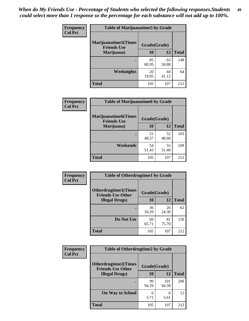| Frequency<br><b>Col Pct</b> | <b>Table of Marijuanatime5 by Grade</b>            |              |             |              |
|-----------------------------|----------------------------------------------------|--------------|-------------|--------------|
|                             | <b>Marijuanatime5</b> (Times<br><b>Friends Use</b> | Grade(Grade) |             |              |
|                             | Marijuana)                                         | 10           | 12          | <b>Total</b> |
|                             |                                                    | 85<br>80.95  | 63<br>58.88 | 148          |
|                             | Weeknights                                         | 20<br>19.05  | 44<br>41.12 | 64           |
|                             | <b>Total</b>                                       | 105          | 107         | 212          |

| Frequency      | <b>Table of Marijuanatime6 by Grade</b>    |              |             |              |
|----------------|--------------------------------------------|--------------|-------------|--------------|
| <b>Col Pct</b> | Marijuanatime6(Times<br><b>Friends Use</b> | Grade(Grade) |             |              |
|                | Marijuana)                                 | 10           | 12          | <b>Total</b> |
|                |                                            | 51<br>48.57  | 52<br>48.60 | 103          |
|                | Weekends                                   | 54<br>51.43  | 55<br>51.40 | 109          |
|                | <b>Total</b>                               | 105          | 107         | 212          |

| <b>Frequency</b> | <b>Table of Otherdrugtime1 by Grade</b>                 |              |             |              |
|------------------|---------------------------------------------------------|--------------|-------------|--------------|
| <b>Col Pct</b>   | <b>Otherdrugtime1(Times</b><br><b>Friends Use Other</b> | Grade(Grade) |             |              |
|                  | <b>Illegal Drugs</b> )                                  | 10           | 12          | <b>Total</b> |
|                  |                                                         | 36<br>34.29  | 26<br>24.30 | 62           |
|                  | Do Not Use                                              | 69<br>65.71  | 81<br>75.70 | 150          |
|                  | <b>Total</b>                                            | 105          | 107         | 212          |

| Frequency      | <b>Table of Otherdrugtime2 by Grade</b>                                 |             |              |              |  |  |  |
|----------------|-------------------------------------------------------------------------|-------------|--------------|--------------|--|--|--|
| <b>Col Pct</b> | <b>Otherdrugtime2(Times</b><br>Grade(Grade)<br><b>Friends Use Other</b> |             |              |              |  |  |  |
|                | <b>Illegal Drugs</b> )                                                  | 10          | 12           | <b>Total</b> |  |  |  |
|                |                                                                         | 99<br>94.29 | 101<br>94.39 | 200          |  |  |  |
|                | <b>On Way to School</b>                                                 | 6<br>5.71   | 6<br>5.61    | 12           |  |  |  |
|                | Total                                                                   | 105         | 107          | 212          |  |  |  |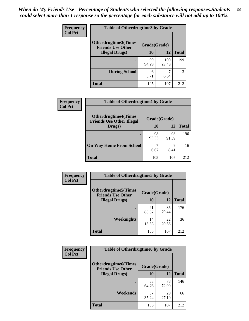| <b>Frequency</b> | <b>Table of Otherdrugtime3 by Grade</b>          |              |              |              |  |  |
|------------------|--------------------------------------------------|--------------|--------------|--------------|--|--|
| <b>Col Pct</b>   | Otherdrugtime3(Times<br><b>Friends Use Other</b> | Grade(Grade) |              |              |  |  |
|                  | <b>Illegal Drugs</b> )                           | 10           | 12           | <b>Total</b> |  |  |
|                  |                                                  | 99<br>94.29  | 100<br>93.46 | 199          |  |  |
|                  | <b>During School</b>                             | 6<br>5.71    | 7<br>6.54    | 13           |  |  |
|                  | Total                                            | 105          | 107          | 212          |  |  |

| Frequency      | <b>Table of Otherdrugtime4 by Grade</b>                         |              |             |              |  |  |  |
|----------------|-----------------------------------------------------------------|--------------|-------------|--------------|--|--|--|
| <b>Col Pct</b> | <b>Otherdrugtime4(Times</b><br><b>Friends Use Other Illegal</b> | Grade(Grade) |             |              |  |  |  |
|                | Drugs)                                                          | 10           | 12          | <b>Total</b> |  |  |  |
|                | $\bullet$                                                       | 98<br>93.33  | 98<br>91.59 | 196          |  |  |  |
|                | <b>On Way Home From School</b>                                  | 6.67         | 9<br>8.41   | 16           |  |  |  |
|                | <b>Total</b>                                                    | 105          | 107         | 212          |  |  |  |

| <b>Frequency</b> | <b>Table of Otherdrugtime5 by Grade</b>                  |              |             |              |  |  |  |
|------------------|----------------------------------------------------------|--------------|-------------|--------------|--|--|--|
| <b>Col Pct</b>   | <b>Otherdrugtime5</b> (Times<br><b>Friends Use Other</b> | Grade(Grade) |             |              |  |  |  |
|                  | <b>Illegal Drugs</b> )                                   | 10           | 12          | <b>Total</b> |  |  |  |
|                  |                                                          | 91<br>86.67  | 85<br>79.44 | 176          |  |  |  |
|                  | Weeknights                                               | 14<br>13.33  | 22<br>20.56 | 36           |  |  |  |
|                  | Total                                                    | 105          | 107         | 212          |  |  |  |

| Frequency      | <b>Table of Otherdrugtime6 by Grade</b>                 |              |             |              |  |  |
|----------------|---------------------------------------------------------|--------------|-------------|--------------|--|--|
| <b>Col Pct</b> | <b>Otherdrugtime6(Times</b><br><b>Friends Use Other</b> | Grade(Grade) |             |              |  |  |
|                | <b>Illegal Drugs</b> )                                  | 10           | 12          | <b>Total</b> |  |  |
|                |                                                         | 68<br>64.76  | 78<br>72.90 | 146          |  |  |
|                | Weekends                                                | 37<br>35.24  | 29<br>27.10 | 66           |  |  |
|                | <b>Total</b>                                            | 105          | 107         | 212          |  |  |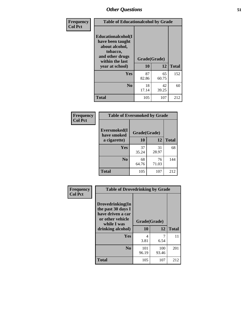| Frequency      | <b>Table of Educationalcohol by Grade</b>                                                                  |              |             |              |  |  |
|----------------|------------------------------------------------------------------------------------------------------------|--------------|-------------|--------------|--|--|
| <b>Col Pct</b> | Educationalcohol(I<br>have been taught<br>about alcohol,<br>tobacco,<br>and other drugs<br>within the last | Grade(Grade) |             |              |  |  |
|                | year at school)                                                                                            | 10           | 12          | <b>Total</b> |  |  |
|                | Yes                                                                                                        | 87<br>82.86  | 65<br>60.75 | 152          |  |  |
|                | N <sub>0</sub>                                                                                             | 18<br>17.14  | 42<br>39.25 | 60           |  |  |
|                | <b>Total</b>                                                                                               | 105          | 107         | 212          |  |  |

| Frequency      | <b>Table of Eversmoked by Grade</b>         |             |             |              |  |  |  |
|----------------|---------------------------------------------|-------------|-------------|--------------|--|--|--|
| <b>Col Pct</b> | Eversmoked(I<br>Grade(Grade)<br>have smoked |             |             |              |  |  |  |
|                | a cigarette)                                | 10          | 12          | <b>Total</b> |  |  |  |
|                | <b>Yes</b>                                  | 37<br>35.24 | 31<br>28.97 | 68           |  |  |  |
|                | N <sub>0</sub>                              | 68<br>64.76 | 76<br>71.03 | 144          |  |  |  |
|                | <b>Total</b>                                | 105         | 107         | 212          |  |  |  |

| Frequency      | <b>Table of Drovedrinking by Grade</b>                                                                              |                    |              |              |  |  |
|----------------|---------------------------------------------------------------------------------------------------------------------|--------------------|--------------|--------------|--|--|
| <b>Col Pct</b> | Drovedrinking(In<br>the past 30 days I<br>have driven a car<br>or other vehicle<br>while I was<br>drinking alcohol) | Grade(Grade)<br>10 | 12           | <b>Total</b> |  |  |
|                | <b>Yes</b>                                                                                                          | 4<br>3.81          | 6.54         | 11           |  |  |
|                | N <sub>0</sub>                                                                                                      | 101<br>96.19       | 100<br>93.46 | 201          |  |  |
|                | <b>Total</b>                                                                                                        | 105                | 107          | 212          |  |  |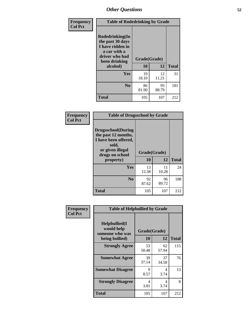| Frequency      | <b>Table of Rodedrinking by Grade</b>                                                                      |              |             |              |  |  |  |
|----------------|------------------------------------------------------------------------------------------------------------|--------------|-------------|--------------|--|--|--|
| <b>Col Pct</b> | Rodedrinking(In<br>the past 30 days<br>I have ridden in<br>a car with a<br>driver who had<br>been drinking | Grade(Grade) |             |              |  |  |  |
|                | alcohol)                                                                                                   | 10           | 12          | <b>Total</b> |  |  |  |
|                | <b>Yes</b>                                                                                                 | 19<br>18.10  | 12<br>11.21 | 31           |  |  |  |
|                | N <sub>0</sub>                                                                                             | 86<br>81.90  | 95<br>88.79 | 181          |  |  |  |
|                | <b>Total</b>                                                                                               | 105          | 107         | 212          |  |  |  |

#### **Frequency Col Pct**

Л

| <b>Table of Drugsschool by Grade</b>                                                                                      |              |             |              |  |  |  |  |
|---------------------------------------------------------------------------------------------------------------------------|--------------|-------------|--------------|--|--|--|--|
| <b>Drugsschool</b> (During<br>the past 12 months,<br>I have been offered,<br>sold,<br>or given illegal<br>drugs on school | Grade(Grade) |             |              |  |  |  |  |
| property)                                                                                                                 | 10           | 12          | <b>Total</b> |  |  |  |  |
| Yes                                                                                                                       | 13<br>12.38  | 11<br>10.28 | 24           |  |  |  |  |
| N <sub>0</sub>                                                                                                            | 92<br>87.62  | 96<br>89.72 | 188          |  |  |  |  |
| <b>Total</b>                                                                                                              | 105          | 107         | 212          |  |  |  |  |

| Frequency      | <b>Table of Helpbullied by Grade</b>                                   |                    |             |              |  |  |  |
|----------------|------------------------------------------------------------------------|--------------------|-------------|--------------|--|--|--|
| <b>Col Pct</b> | $Helpb$ ullied $(I$<br>would help<br>someone who was<br>being bullied) | Grade(Grade)<br>10 | 12          | <b>Total</b> |  |  |  |
|                | <b>Strongly Agree</b>                                                  | 53<br>50.48        | 62<br>57.94 | 115          |  |  |  |
|                | <b>Somewhat Agree</b>                                                  | 39<br>37.14        | 37<br>34.58 | 76           |  |  |  |
|                | <b>Somewhat Disagree</b>                                               | 9<br>8.57          | 4<br>3.74   | 13           |  |  |  |
|                | <b>Strongly Disagree</b>                                               | 4<br>3.81          | 4<br>3.74   | 8            |  |  |  |
|                | <b>Total</b>                                                           | 105                | 107         | 212          |  |  |  |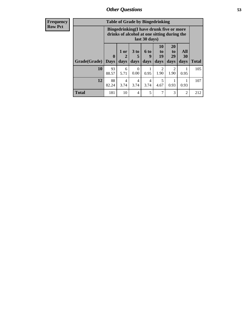| <b>Frequency</b> |              |                                                                                                         |                |                              |                          | <b>Table of Grade by Bingedrinking</b> |                               |                   |              |
|------------------|--------------|---------------------------------------------------------------------------------------------------------|----------------|------------------------------|--------------------------|----------------------------------------|-------------------------------|-------------------|--------------|
| <b>Row Pct</b>   |              | Bingedrinking(I have drunk five or more<br>drinks of alcohol at one sitting during the<br>last 30 days) |                |                              |                          |                                        |                               |                   |              |
|                  | Grade(Grade) | $\bf{0}$<br><b>Days</b>                                                                                 | $1$ or<br>days | 3 <sub>to</sub><br>5<br>days | <b>6 to</b><br>9<br>days | 10<br>to<br>19<br>days                 | <b>20</b><br>to<br>29<br>days | All<br>30<br>days | <b>Total</b> |
|                  | <b>10</b>    | 93<br>88.57                                                                                             | 6<br>5.71      | $\Omega$<br>0.00             | 0.95                     | $\mathfrak{D}$<br>1.90                 | $\mathcal{D}$<br>1.90         | 0.95              | 105          |
|                  | 12           | 88<br>82.24                                                                                             | 4<br>3.74      | 4<br>3.74                    | 4<br>3.74                | 5<br>4.67                              | 0.93                          | 0.93              | 107          |
|                  | <b>Total</b> | 181                                                                                                     | 10             | 4                            | 5                        | 7                                      | 3                             | $\overline{c}$    | 212          |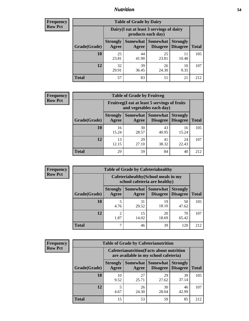### *Nutrition* **54**

| <b>Frequency</b><br>Row Pct |
|-----------------------------|
|                             |

| <b>Table of Grade by Dairy</b> |                          |                                                                                               |             |            |     |  |  |  |
|--------------------------------|--------------------------|-----------------------------------------------------------------------------------------------|-------------|------------|-----|--|--|--|
|                                |                          | Dairy (I eat at least 3 servings of dairy<br>products each day)                               |             |            |     |  |  |  |
| Grade(Grade)                   | <b>Strongly</b><br>Agree | Somewhat<br><b>Somewhat</b><br><b>Strongly</b><br><b>Disagree</b><br><b>Disagree</b><br>Agree |             |            |     |  |  |  |
| 10                             | 25<br>23.81              | 44<br>41.90                                                                                   | 25<br>23.81 | 10.48      | 105 |  |  |  |
| 12                             | 32<br>29.91              | 39<br>36.45                                                                                   | 26<br>24.30 | 10<br>9.35 | 107 |  |  |  |
| <b>Total</b>                   | 57                       | 83                                                                                            | 51          | 21         | 212 |  |  |  |

| <b>Frequency</b> |  |
|------------------|--|
| <b>Row Pct</b>   |  |

| <b>Table of Grade by Fruitveg</b> |                                                                          |                          |                                    |                                    |              |  |  |
|-----------------------------------|--------------------------------------------------------------------------|--------------------------|------------------------------------|------------------------------------|--------------|--|--|
|                                   | Fruitveg(I eat at least 5 servings of fruits<br>and vegetables each day) |                          |                                    |                                    |              |  |  |
| Grade(Grade)                      | <b>Strongly</b><br>Agree                                                 | <b>Somewhat</b><br>Agree | <b>Somewhat</b><br><b>Disagree</b> | <b>Strongly</b><br><b>Disagree</b> | <b>Total</b> |  |  |
| 10                                | 16<br>15.24                                                              | 30<br>28.57              | 43<br>40.95                        | 16<br>15.24                        | 105          |  |  |
| 12                                | 13<br>12.15                                                              | 29<br>27.10              | 41<br>38.32                        | 24<br>22.43                        | 107          |  |  |
| <b>Total</b>                      | 29                                                                       | 59                       | 84                                 | 40                                 | 212          |  |  |

| <b>Frequency</b> |              | <b>Table of Grade by Cafeteriahealthy</b>                             |             |                                          |                                    |              |  |
|------------------|--------------|-----------------------------------------------------------------------|-------------|------------------------------------------|------------------------------------|--------------|--|
| <b>Row Pct</b>   |              | Cafeteriahealthy (School meals in my<br>school cafeteria are healthy) |             |                                          |                                    |              |  |
|                  | Grade(Grade) | <b>Strongly</b><br>Agree                                              | Agree       | Somewhat   Somewhat  <br><b>Disagree</b> | <b>Strongly</b><br><b>Disagree</b> | <b>Total</b> |  |
|                  | <b>10</b>    | 4.76                                                                  | 31<br>29.52 | 19<br>18.10                              | 50<br>47.62                        | 105          |  |
|                  | 12           | $\mathfrak{D}$<br>1.87                                                | 15<br>14.02 | 20<br>18.69                              | 70<br>65.42                        | 107          |  |
|                  | <b>Total</b> | ⇁                                                                     | 46          | 39                                       | 120                                | 212          |  |

| <b>Frequency</b> |
|------------------|
| <b>Row Pct</b>   |

| <b>Table of Grade by Cafeterianutrition</b> |                          |                                                                                           |                             |                                    |              |  |  |  |
|---------------------------------------------|--------------------------|-------------------------------------------------------------------------------------------|-----------------------------|------------------------------------|--------------|--|--|--|
|                                             |                          | <b>Cafeterianutrition</b> (Facts about nutrition<br>are available in my school cafeteria) |                             |                                    |              |  |  |  |
| Grade(Grade)                                | <b>Strongly</b><br>Agree | Somewhat<br>Agree                                                                         | <b>Somewhat</b><br>Disagree | <b>Strongly</b><br><b>Disagree</b> | <b>Total</b> |  |  |  |
| 10                                          | 10<br>9.52               | 27<br>25.71                                                                               | 29<br>27.62                 | 39<br>37.14                        | 105          |  |  |  |
| 12                                          | 5<br>4.67                | 26<br>24.30                                                                               | 30<br>28.04                 | 46<br>42.99                        | 107          |  |  |  |
| <b>Total</b>                                | 15                       | 53                                                                                        | 59                          | 85                                 | 212          |  |  |  |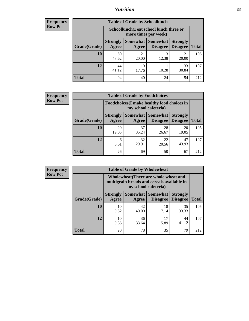### *Nutrition* **55**

| Frequency |
|-----------|
| Row Pct   |

| <b>Table of Grade by Schoollunch</b> |                                                                                                                                    |                                                                 |             |             |     |  |  |  |
|--------------------------------------|------------------------------------------------------------------------------------------------------------------------------------|-----------------------------------------------------------------|-------------|-------------|-----|--|--|--|
|                                      |                                                                                                                                    | Schoollunch(I eat school lunch three or<br>more times per week) |             |             |     |  |  |  |
| Grade(Grade)                         | Somewhat<br><b>Somewhat</b><br><b>Strongly</b><br><b>Strongly</b><br><b>Disagree</b><br>Agree<br>Disagree<br><b>Total</b><br>Agree |                                                                 |             |             |     |  |  |  |
| 10                                   | 50<br>47.62                                                                                                                        | 21<br>20.00                                                     | 13<br>12.38 | 21<br>20.00 | 105 |  |  |  |
| 12                                   | 44<br>41.12                                                                                                                        | 19<br>17.76                                                     | 11<br>10.28 | 33<br>30.84 | 107 |  |  |  |
| <b>Total</b>                         | 94                                                                                                                                 | 40                                                              | 24          | 54          | 212 |  |  |  |

| <b>Frequency</b> |
|------------------|
| <b>Row Pct</b>   |

| <b>Table of Grade by Foodchoices</b> |                                                                     |             |                                               |                                    |              |  |  |  |
|--------------------------------------|---------------------------------------------------------------------|-------------|-----------------------------------------------|------------------------------------|--------------|--|--|--|
|                                      | Foodchoices (I make healthy food choices in<br>my school cafeteria) |             |                                               |                                    |              |  |  |  |
| Grade(Grade)                         | <b>Strongly</b><br>Agree                                            | Agree       | <b>Somewhat   Somewhat</b><br><b>Disagree</b> | <b>Strongly</b><br><b>Disagree</b> | <b>Total</b> |  |  |  |
| 10                                   | 20<br>19.05                                                         | 37<br>35.24 | 28<br>26.67                                   | 20<br>19.05                        | 105          |  |  |  |
| 12                                   | 6<br>5.61                                                           | 32<br>29.91 | 22<br>20.56                                   | 47<br>43.93                        | 107          |  |  |  |
| <b>Total</b>                         | 26                                                                  | 69          | 50                                            | 67                                 | 212          |  |  |  |

| Frequency      |              |                                                                                                             | <b>Table of Grade by Wholewheat</b> |                                        |                                    |              |  |
|----------------|--------------|-------------------------------------------------------------------------------------------------------------|-------------------------------------|----------------------------------------|------------------------------------|--------------|--|
| <b>Row Pct</b> |              | Wholewheat (There are whole wheat and<br>multigrain breads and cereals available in<br>my school cafeteria) |                                     |                                        |                                    |              |  |
|                | Grade(Grade) | <b>Strongly</b><br>Agree                                                                                    | Agree                               | Somewhat   Somewhat<br><b>Disagree</b> | <b>Strongly</b><br><b>Disagree</b> | <b>Total</b> |  |
|                | 10           | 10<br>9.52                                                                                                  | 42<br>40.00                         | 18<br>17.14                            | 35<br>33.33                        | 105          |  |
|                | 12           | 10<br>9.35                                                                                                  | 36<br>33.64                         | 17<br>15.89                            | 44<br>41.12                        | 107          |  |
|                | <b>Total</b> | 20                                                                                                          | 78                                  | 35                                     | 79                                 | 212          |  |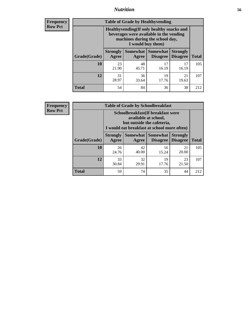### *Nutrition* **56**

**Frequency Row Pct**

| <b>Table of Grade by Healthyvending</b> |                                                                                                                                               |                     |                                    |                                    |              |  |
|-----------------------------------------|-----------------------------------------------------------------------------------------------------------------------------------------------|---------------------|------------------------------------|------------------------------------|--------------|--|
|                                         | Healthyvending (If only healthy snacks and<br>beverages were available in the vending<br>machines during the school day,<br>I would buy them) |                     |                                    |                                    |              |  |
| Grade(Grade)                            | <b>Strongly</b><br>Agree                                                                                                                      | Somewhat  <br>Agree | <b>Somewhat</b><br><b>Disagree</b> | <b>Strongly</b><br><b>Disagree</b> | <b>Total</b> |  |
| 10                                      | 23<br>21.90                                                                                                                                   | 48<br>45.71         | 17<br>16.19                        | 17<br>16.19                        | 105          |  |
| 12                                      | 31<br>28.97                                                                                                                                   | 36<br>33.64         | 19<br>17.76                        | 21<br>19.63                        | 107          |  |
| <b>Total</b>                            | 54                                                                                                                                            | 84                  | 36                                 | 38                                 | 212          |  |

**Frequency Row Pct**

| <b>Table of Grade by Schoolbreakfast</b> |                                                                                                                                        |             |             |             |     |  |
|------------------------------------------|----------------------------------------------------------------------------------------------------------------------------------------|-------------|-------------|-------------|-----|--|
|                                          | Schoolbreakfast(If breakfast were<br>available at school,<br>but outside the cafeteria,<br>I would eat breakfast at school more often) |             |             |             |     |  |
| Grade(Grade)                             | Somewhat   Somewhat<br><b>Strongly</b><br><b>Strongly</b><br><b>Disagree</b><br><b>Total</b><br>Agree<br><b>Disagree</b><br>Agree      |             |             |             |     |  |
| 10                                       | 26<br>24.76                                                                                                                            | 42<br>40.00 | 16<br>15.24 | 21<br>20.00 | 105 |  |
| 12                                       | 33<br>32<br>19<br>23<br>30.84<br>29.91<br>17.76<br>21.50                                                                               |             |             |             |     |  |
| <b>Total</b>                             | 59                                                                                                                                     | 74          | 35          | 44          | 212 |  |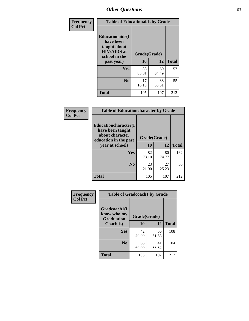| Frequency<br><b>Col Pct</b> | <b>Table of Educationaids by Grade</b>                                                                    |                    |             |              |
|-----------------------------|-----------------------------------------------------------------------------------------------------------|--------------------|-------------|--------------|
|                             | <b>Educationaids</b> (I<br>have been<br>taught about<br><b>HIV/AIDS</b> at<br>school in the<br>past year) | Grade(Grade)<br>10 | 12          | <b>Total</b> |
|                             | <b>Yes</b>                                                                                                | 88<br>83.81        | 69<br>64.49 | 157          |
|                             | N <sub>0</sub>                                                                                            | 17<br>16.19        | 38<br>35.51 | 55           |
|                             | <b>Total</b>                                                                                              | 105                | 107         | 212          |

| Frequency<br><b>Col Pct</b> |                                                                             | <b>Table of Educationcharacter by Grade</b> |             |              |  |
|-----------------------------|-----------------------------------------------------------------------------|---------------------------------------------|-------------|--------------|--|
|                             | Educationcharacter(I<br>have been taught<br>about character<br>Grade(Grade) |                                             |             |              |  |
|                             | education in the past                                                       |                                             |             |              |  |
|                             | year at school)                                                             | 10                                          | 12          | <b>Total</b> |  |
|                             | <b>Yes</b>                                                                  | 82<br>78.10                                 | 80<br>74.77 | 162          |  |
|                             | N <sub>0</sub>                                                              | 23<br>21.90                                 | 27<br>25.23 | 50           |  |
|                             | <b>Total</b>                                                                | 105                                         | 107         | 212          |  |

| Frequency      | <b>Table of Gradcoach1 by Grade</b>              |              |             |              |
|----------------|--------------------------------------------------|--------------|-------------|--------------|
| <b>Col Pct</b> | Gradcoach1(I<br>know who my<br><b>Graduation</b> | Grade(Grade) |             |              |
|                | Coach is)                                        | 10           | 12          | <b>Total</b> |
|                | Yes                                              | 42<br>40.00  | 66<br>61.68 | 108          |
|                | N <sub>0</sub>                                   | 63<br>60.00  | 41<br>38.32 | 104          |
|                | <b>Total</b>                                     | 105          | 107         | 212          |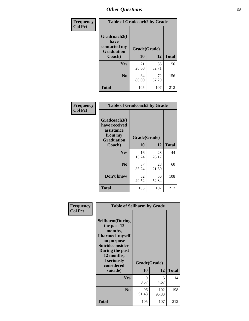| Frequency      | <b>Table of Gradcoach2 by Grade</b> |              |             |              |
|----------------|-------------------------------------|--------------|-------------|--------------|
| <b>Col Pct</b> | Gradcoach2(I<br>have                |              |             |              |
|                | contacted my<br><b>Graduation</b>   | Grade(Grade) |             |              |
|                | Coach)                              | 10           | 12          | <b>Total</b> |
|                | Yes                                 | 21<br>20.00  | 35<br>32.71 | 56           |
|                | N <sub>0</sub>                      | 84<br>80.00  | 72<br>67.29 | 156          |
|                | <b>Total</b>                        | 105          | 107         | 212          |

| <b>Frequency</b><br><b>Col Pct</b> |                                                                             | <b>Table of Gradcoach3 by Grade</b> |             |              |  |
|------------------------------------|-----------------------------------------------------------------------------|-------------------------------------|-------------|--------------|--|
|                                    | Gradcoach3(I<br>have received<br>assistance<br>from my<br><b>Graduation</b> | Grade(Grade)                        |             |              |  |
|                                    | Coach)                                                                      | 10                                  | 12          | <b>Total</b> |  |
|                                    | Yes                                                                         | 16<br>15.24                         | 28<br>26.17 | 44           |  |
|                                    | N <sub>0</sub>                                                              | 37<br>35.24                         | 23<br>21.50 | 60           |  |
|                                    | Don't know                                                                  | 52<br>49.52                         | 56<br>52.34 | 108          |  |
|                                    | <b>Total</b>                                                                | 105                                 | 107         | 212          |  |

| Frequency<br><b>Col Pct</b> | <b>Table of Selfharm by Grade</b>                                                                                                                                                      |                    |              |              |
|-----------------------------|----------------------------------------------------------------------------------------------------------------------------------------------------------------------------------------|--------------------|--------------|--------------|
|                             | <b>Selfharm</b> (During<br>the past 12<br>months,<br>I harmed myself<br>on purpose<br><b>Suicideconsider</b><br>During the past<br>12 months,<br>I seriously<br>considered<br>suicide) | Grade(Grade)<br>10 | 12           | <b>Total</b> |
|                             | <b>Yes</b>                                                                                                                                                                             | 9<br>8.57          | 5<br>4.67    | 14           |
|                             | N <sub>0</sub>                                                                                                                                                                         | 96<br>91.43        | 102<br>95.33 | 198          |
|                             | <b>Total</b>                                                                                                                                                                           | 105                | 107          | 212          |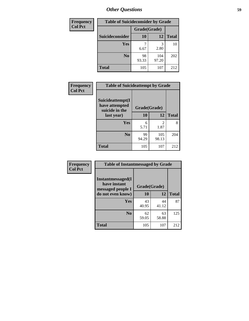| <b>Frequency</b> | <b>Table of Suicideconsider by Grade</b> |              |              |              |
|------------------|------------------------------------------|--------------|--------------|--------------|
| <b>Col Pct</b>   |                                          | Grade(Grade) |              |              |
|                  | Suicideconsider                          | <b>10</b>    | 12           | <b>Total</b> |
|                  | Yes                                      | 6.67         | 3<br>2.80    | 10           |
|                  | N <sub>0</sub>                           | 98<br>93.33  | 104<br>97.20 | 202          |
|                  | <b>Total</b>                             | 105          | 107          | 212          |

| Frequency      | <b>Table of Suicideattempt by Grade</b>              |              |                                                                                                                                                                         |              |
|----------------|------------------------------------------------------|--------------|-------------------------------------------------------------------------------------------------------------------------------------------------------------------------|--------------|
| <b>Col Pct</b> | Suicideattempt(I<br>have attempted<br>suicide in the | Grade(Grade) |                                                                                                                                                                         |              |
|                | last year)                                           | 10           | 12                                                                                                                                                                      | <b>Total</b> |
|                | Yes                                                  | 6<br>5.71    | $\mathcal{D}_{\mathcal{A}}^{\mathcal{A}}(\mathcal{A})=\mathcal{D}_{\mathcal{A}}^{\mathcal{A}}(\mathcal{A})\mathcal{D}_{\mathcal{A}}^{\mathcal{A}}(\mathcal{A})$<br>1.87 | 8            |
|                | N <sub>0</sub>                                       | 99<br>94.29  | 105<br>98.13                                                                                                                                                            | 204          |
|                | <b>Total</b>                                         | 105          | 107                                                                                                                                                                     | 212          |

| Frequency      | <b>Table of Instantmessaged by Grade</b>               |              |             |              |
|----------------|--------------------------------------------------------|--------------|-------------|--------------|
| <b>Col Pct</b> | Instantmessaged(I<br>have instant<br>messaged people I | Grade(Grade) |             |              |
|                | do not even know)                                      | 10           | 12          | <b>Total</b> |
|                | Yes                                                    | 43<br>40.95  | 44<br>41.12 | 87           |
|                | N <sub>0</sub>                                         | 62<br>59.05  | 63<br>58.88 | 125          |
|                | <b>Total</b>                                           | 105          | 107         | 212          |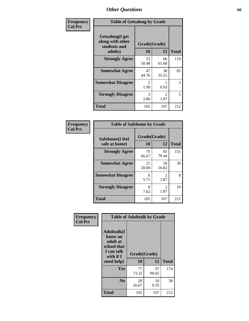| Frequency      | <b>Table of Getsalong by Grade</b>                          |                       |                        |              |
|----------------|-------------------------------------------------------------|-----------------------|------------------------|--------------|
| <b>Col Pct</b> | <b>Getsalong</b> (I get<br>along with other<br>students and |                       | Grade(Grade)           |              |
|                | adults)                                                     | 10                    | 12                     | <b>Total</b> |
|                | <b>Strongly Agree</b>                                       | 53<br>50.48           | 66<br>61.68            | 119          |
|                | <b>Somewhat Agree</b>                                       | 47<br>44.76           | 38<br>35.51            | 85           |
|                | <b>Somewhat Disagree</b>                                    | $\mathcal{L}$<br>1.90 | 0.93                   | 3            |
|                | <b>Strongly Disagree</b>                                    | 3<br>2.86             | $\mathfrak{D}$<br>1.87 | 5            |
|                | <b>Total</b>                                                | 105                   | 107                    | 212          |

| Frequency      | <b>Table of Safehome by Grade</b> |                    |                                     |              |  |  |  |
|----------------|-----------------------------------|--------------------|-------------------------------------|--------------|--|--|--|
| <b>Col Pct</b> | Safehome(I feel<br>safe at home)  | Grade(Grade)<br>10 | 12                                  | <b>Total</b> |  |  |  |
|                | <b>Strongly Agree</b>             | 70<br>66.67        | 85<br>79.44                         | 155          |  |  |  |
|                | <b>Somewhat Agree</b>             | 21<br>20.00        | 18<br>16.82                         | 39           |  |  |  |
|                | <b>Somewhat Disagree</b>          | 6<br>5.71          | $\mathfrak{D}$<br>1.87              | 8            |  |  |  |
|                | <b>Strongly Disagree</b>          | 8<br>7.62          | $\mathcal{D}_{\mathcal{L}}$<br>1.87 | 10           |  |  |  |
|                | <b>Total</b>                      | 105                | 107                                 | 212          |  |  |  |

| Frequency      |                                                                                     | <b>Table of Adulttalk by Grade</b> |             |              |  |  |  |
|----------------|-------------------------------------------------------------------------------------|------------------------------------|-------------|--------------|--|--|--|
| <b>Col Pct</b> | <b>Adulttalk(I</b><br>know an<br>adult at<br>school that<br>I can talk<br>with if I | Grade(Grade)                       |             |              |  |  |  |
|                | need help)                                                                          | 10                                 | 12          | <b>Total</b> |  |  |  |
|                | <b>Yes</b>                                                                          | 77<br>73.33                        | 97<br>90.65 | 174          |  |  |  |
|                | N <sub>0</sub>                                                                      | 28<br>26.67                        | 10<br>9.35  | 38           |  |  |  |
|                | <b>Total</b>                                                                        | 105                                | 107         | 212          |  |  |  |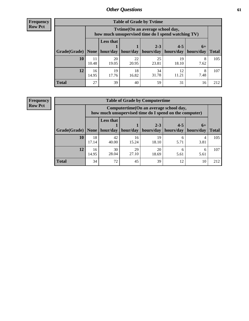**Frequency Row Pct**

| <b>Table of Grade by Tytime</b> |             |                                                                                         |             |             |             |           |              |  |  |  |
|---------------------------------|-------------|-----------------------------------------------------------------------------------------|-------------|-------------|-------------|-----------|--------------|--|--|--|
|                                 |             | Tytime (On an average school day,<br>how much unsupervised time do I spend watching TV) |             |             |             |           |              |  |  |  |
|                                 |             | <b>Less that</b><br>$2 - 3$<br>$4 - 5$<br>$6+$                                          |             |             |             |           |              |  |  |  |
| Grade(Grade)   None             |             | hour/day                                                                                | hour/day    | hours/day   | hours/day   | hours/day | <b>Total</b> |  |  |  |
| 10                              | 11<br>10.48 | 20<br>19.05                                                                             | 22<br>20.95 | 25<br>23.81 | 19<br>18.10 | 8<br>7.62 | 105          |  |  |  |
| 12                              | 16<br>14.95 | 19<br>17.76                                                                             | 18<br>16.82 | 34<br>31.78 | 12<br>11.21 | 8<br>7.48 | 107          |  |  |  |
| <b>Total</b>                    | 27          | 39                                                                                      | 40          | 59          | 31          | 16        | 212          |  |  |  |

**Frequency Row Pct**

| <b>Table of Grade by Computertime</b> |             |                                                                                                   |                     |             |           |           |              |  |  |
|---------------------------------------|-------------|---------------------------------------------------------------------------------------------------|---------------------|-------------|-----------|-----------|--------------|--|--|
|                                       |             | Computertime (On an average school day,<br>how much unsupervised time do I spend on the computer) |                     |             |           |           |              |  |  |
|                                       |             | <b>Less that</b>                                                                                  |                     | $2 - 3$     | $4 - 5$   | $6+$      |              |  |  |
| Grade(Grade)                          | None $ $    |                                                                                                   | hour/day   hour/day | hours/day   | hours/day | hours/day | <b>Total</b> |  |  |
| 10                                    | 18<br>17.14 | 42<br>40.00                                                                                       | 16<br>15.24         | 19<br>18.10 | 6<br>5.71 | 4<br>3.81 | 105          |  |  |
| 12                                    | 16<br>14.95 | 30<br>28.04                                                                                       | 29<br>27.10         | 20<br>18.69 | 6<br>5.61 | 6<br>5.61 | 107          |  |  |
| <b>Total</b>                          | 34          | 72                                                                                                | 45                  | 39          | 12        | 10        | 212          |  |  |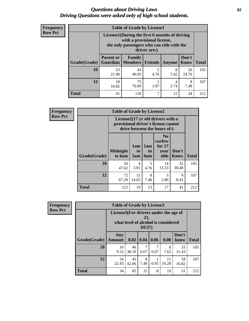#### *Questions about Driving Laws* **62** *Driving Questions were asked only of high school students.*

| <b>Frequency</b> |
|------------------|
| <b>Row Pct</b>   |

| <b>Table of Grade by License1</b> |                              |                                                                                                                                           |           |           |               |              |  |  |  |
|-----------------------------------|------------------------------|-------------------------------------------------------------------------------------------------------------------------------------------|-----------|-----------|---------------|--------------|--|--|--|
|                                   |                              | License1(During the first 6 months of driving<br>with a provisional license,<br>the only passengers who can ride with the<br>driver are:) |           |           |               |              |  |  |  |
| Grade(Grade)                      | <b>Parent or</b><br>Guardian | Family<br>  Members                                                                                                                       | Friends   | Anyone    | Don't<br>Know | <b>Total</b> |  |  |  |
| 10                                | 23<br>21.90                  | 43<br>40.95                                                                                                                               | 5<br>4.76 | 8<br>7.62 | 26<br>24.76   | 105          |  |  |  |
| 12                                | 18<br>16.82                  | 75<br>70.09                                                                                                                               | 2<br>1.87 | 4<br>3.74 | 8<br>7.48     | 107          |  |  |  |
| <b>Total</b>                      | 41                           | 118                                                                                                                                       | 7         | 12        | 34            | 212          |  |  |  |

| <b>Frequency</b> |              | <b>Table of Grade by License2</b> |                        |                  |                                                                                                          |               |              |  |  |
|------------------|--------------|-----------------------------------|------------------------|------------------|----------------------------------------------------------------------------------------------------------|---------------|--------------|--|--|
| <b>Row Pct</b>   |              |                                   |                        |                  | License2(17 yr old drivers with a<br>provisional driver's license cannot<br>drive between the hours of:) |               |              |  |  |
|                  | Grade(Grade) | <b>Midnight</b><br>to 6am         | 1am<br>to<br>5am       | 1am<br>to<br>6am | N <sub>0</sub><br>curfew<br>for $17$<br>year<br>olds                                                     | Don't<br>Know | <b>Total</b> |  |  |
|                  | 10           | 50<br>47.62                       | $\overline{4}$<br>3.81 | 5<br>4.76        | 14<br>13.33                                                                                              | 32<br>30.48   | 105          |  |  |
|                  | 12           | 72<br>67.29                       | 15<br>14.02            | 8<br>7.48        | 3<br>2.80                                                                                                | 9<br>8.41     | 107          |  |  |
|                  | <b>Total</b> | 122                               | 19                     | 13               | 17                                                                                                       | 41            | 212          |  |  |

| Frequency      |              | <b>Table of Grade by License3</b>     |             |                 |           |                                     |               |              |
|----------------|--------------|---------------------------------------|-------------|-----------------|-----------|-------------------------------------|---------------|--------------|
| <b>Row Pct</b> |              | License3(For drivers under the age of |             | 21,<br>$DUI$ ?) |           | what level of alcohol is considered |               |              |
|                | Grade(Grade) | Any<br><b>Amount</b>                  | 0.02        | 0.04            | 0.06      | 0.08                                | Don't<br>know | <b>Total</b> |
|                | 10           | 10<br>9.52                            | 40<br>38.10 | 7<br>6.67       | 7<br>6.67 | 8<br>7.62                           | 33<br>31.43   | 105          |
|                | 12           | 24<br>22.43                           | 45<br>42.06 | 8<br>7.48       | 0.93      | 11<br>10.28                         | 18<br>16.82   | 107          |
|                | <b>Total</b> | 34                                    | 85          | 15              | 8         | 19                                  | 51            | 212          |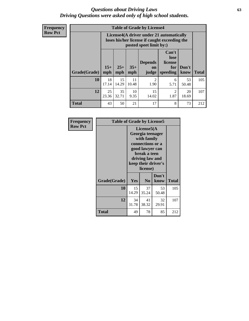#### *Questions about Driving Laws* **63** *Driving Questions were asked only of high school students.*

**Frequency Row Pct**

| <b>Table of Grade by License4</b> |              |                                                                                                                                                      |             |                        |                        |             |     |  |
|-----------------------------------|--------------|------------------------------------------------------------------------------------------------------------------------------------------------------|-------------|------------------------|------------------------|-------------|-----|--|
|                                   |              | License4(A driver under 21 automatically<br>loses his/her license if caught exceeding the<br>posted speet limit by:)                                 |             |                        |                        |             |     |  |
| Grade(Grade)                      | $15+$<br>mph | Can't<br>lose<br><b>Depends</b><br>license<br>$25+$<br>$35+$<br>Don't<br>for<br><b>on</b><br>speeding<br><b>Total</b><br>mph<br>know<br>mph<br>judge |             |                        |                        |             |     |  |
| 10                                | 18<br>17.14  | 15<br>14.29                                                                                                                                          | 11<br>10.48 | $\overline{2}$<br>1.90 | 6<br>5.71              | 53<br>50.48 | 105 |  |
| 12                                | 25<br>23.36  | 35<br>32.71                                                                                                                                          | 10<br>9.35  | 15<br>14.02            | $\mathfrak{D}$<br>1.87 | 20<br>18.69 | 107 |  |
| <b>Total</b>                      | 43           | 50                                                                                                                                                   | 21          | 17                     | 8                      | 73          | 212 |  |

| Frequency      | <b>Table of Grade by License5</b> |                                                                                                                                                             |                |               |              |  |
|----------------|-----------------------------------|-------------------------------------------------------------------------------------------------------------------------------------------------------------|----------------|---------------|--------------|--|
| <b>Row Pct</b> |                                   | License5(A)<br>Georgia teenager<br>with family<br>connections or a<br>good lawyer can<br>break a teen<br>driving law and<br>keep their driver's<br>license) |                |               |              |  |
|                | Grade(Grade)                      | Yes                                                                                                                                                         | N <sub>0</sub> | Don't<br>know | <b>Total</b> |  |
|                | 10                                | 15<br>14.29                                                                                                                                                 | 37<br>35.24    | 53<br>50.48   | 105          |  |
|                | 12                                | 34<br>31.78                                                                                                                                                 | 41<br>38.32    | 32<br>29.91   | 107          |  |
|                | Total                             | 49                                                                                                                                                          | 78             | 85            | 212          |  |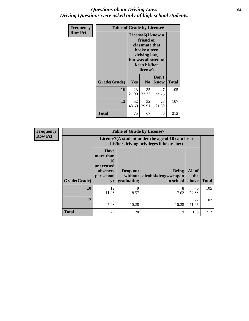#### *Questions about Driving Laws* **64** *Driving Questions were asked only of high school students.*

| <b>Frequency</b> | <b>Table of Grade by License6</b> |             |                                                                                                                           |                    |              |  |
|------------------|-----------------------------------|-------------|---------------------------------------------------------------------------------------------------------------------------|--------------------|--------------|--|
| <b>Row Pct</b>   |                                   |             | License <sub>6</sub> (I know a<br>friend or<br>classmate that<br>broke a teen<br>driving law,<br>keep his/her<br>license) | but was allowed to |              |  |
|                  | Grade(Grade)                      | Yes         | N <sub>0</sub>                                                                                                            | Don't<br>know      | <b>Total</b> |  |
|                  | 10                                | 23<br>21.90 | 35<br>33.33                                                                                                               | 47<br>44.76        | 105          |  |
|                  | 12                                | 52<br>48.60 | 32<br>29.91                                                                                                               | 23<br>21.50        | 107          |  |
|                  | <b>Total</b>                      | 75          | 67                                                                                                                        | 70                 | 212          |  |

| <b>Frequency</b> |              |                                                                             | <b>Table of Grade by License7</b> |                                                                                               |                        |              |
|------------------|--------------|-----------------------------------------------------------------------------|-----------------------------------|-----------------------------------------------------------------------------------------------|------------------------|--------------|
| <b>Row Pct</b>   |              |                                                                             |                                   | License7(A student under the age of 18 cam loser<br>his/her driving privileges if he or she:) |                        |              |
|                  | Grade(Grade) | <b>Have</b><br>more than<br>10<br>unexcused<br>absences<br>per school<br>yr | Drop out<br>without<br>graduating | <b>Bring</b><br>alcohol/drugs/weapon<br>to school                                             | All of<br>the<br>above | <b>Total</b> |
|                  | 10           | 12<br>11.43                                                                 | 9<br>8.57                         | 8<br>7.62                                                                                     | 76<br>72.38            | 105          |
|                  | 12           | 8<br>7.48                                                                   | 11<br>10.28                       | 11<br>10.28                                                                                   | 77<br>71.96            | 107          |
|                  | <b>Total</b> | 20                                                                          | 20                                | 19                                                                                            | 153                    | 212          |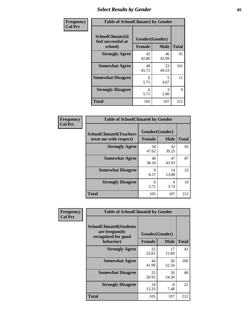# *Select Results by Gender* **65**

| Frequency      | <b>Table of SchoolClimate2 by Gender</b>          |                                 |                       |              |  |
|----------------|---------------------------------------------------|---------------------------------|-----------------------|--------------|--|
| <b>Col Pct</b> | SchoolClimate2(I<br>feel successful at<br>school) | Gender(Gender)<br><b>Female</b> | <b>Male</b>           | <b>Total</b> |  |
|                | <b>Strongly Agree</b>                             | 45<br>42.86                     | 46<br>42.99           | 91           |  |
|                | <b>Somewhat Agree</b>                             | 48<br>45.71                     | 53<br>49.53           | 101          |  |
|                | <b>Somewhat Disagree</b>                          | 6<br>5.71                       | 5<br>4.67             | 11           |  |
|                | <b>Strongly Disagree</b>                          | 6<br>5.71                       | $\mathcal{R}$<br>2.80 | 9            |  |
|                | <b>Total</b>                                      | 105                             | 107                   | 212          |  |

| <b>Frequency</b> | <b>Table of SchoolClimate6 by Gender</b>                 |                                 |              |     |  |
|------------------|----------------------------------------------------------|---------------------------------|--------------|-----|--|
| <b>Col Pct</b>   | <b>SchoolClimate6(Teachers</b><br>treat me with respect) | Gender(Gender)<br><b>Female</b> | <b>Total</b> |     |  |
|                  |                                                          |                                 | <b>Male</b>  |     |  |
|                  | <b>Strongly Agree</b>                                    | 50<br>47.62                     | 42<br>39.25  | 92  |  |
|                  | <b>Somewhat Agree</b>                                    | 40<br>38.10                     | 47<br>43.93  | 87  |  |
|                  | <b>Somewhat Disagree</b>                                 | 9<br>8.57                       | 14<br>13.08  | 23  |  |
|                  | <b>Strongly Disagree</b>                                 | 6<br>5.71                       | 4<br>3.74    | 10  |  |
|                  | <b>Total</b>                                             | 105                             | 107          | 212 |  |

| <b>Frequency</b> | <b>Table of SchoolClimate8 by Gender</b>                                             |               |                               |              |
|------------------|--------------------------------------------------------------------------------------|---------------|-------------------------------|--------------|
| <b>Col Pct</b>   | <b>SchoolClimate8(Students</b><br>are frequently<br>recognized for good<br>behavior) | <b>Female</b> | Gender(Gender)<br><b>Male</b> | <b>Total</b> |
|                  | <b>Strongly Agree</b>                                                                | 25<br>23.81   | 17<br>15.89                   | 42           |
|                  | <b>Somewhat Agree</b>                                                                | 44<br>41.90   | 56<br>52.34                   | 100          |
|                  | <b>Somewhat Disagree</b>                                                             | 22<br>20.95   | 26<br>24.30                   | 48           |
|                  | <b>Strongly Disagree</b>                                                             | 14<br>13.33   | 8<br>7.48                     | 22           |
|                  | Total                                                                                | 105           | 107                           | 212          |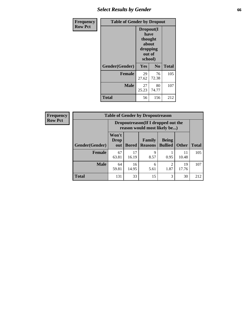# *Select Results by Gender* **66**

| <b>Frequency</b> | <b>Table of Gender by Dropout</b> |                                                                        |             |              |
|------------------|-----------------------------------|------------------------------------------------------------------------|-------------|--------------|
| <b>Row Pct</b>   |                                   | Dropout(I<br>have<br>thought<br>about<br>dropping<br>out of<br>school) |             |              |
|                  | Gender(Gender)                    | Yes                                                                    | No          | <b>Total</b> |
|                  | <b>Female</b>                     | 29<br>27.62                                                            | 76<br>72.38 | 105          |
|                  | <b>Male</b>                       | 27<br>25.23                                                            | 80<br>74.77 | 107          |
|                  | <b>Total</b>                      | 56                                                                     | 156         | 212          |

| <b>Frequency</b> | <b>Table of Gender by Dropoutreason</b> |                                                                    |              |                          |                                |              |              |
|------------------|-----------------------------------------|--------------------------------------------------------------------|--------------|--------------------------|--------------------------------|--------------|--------------|
| <b>Row Pct</b>   |                                         | Dropoutreason(If I dropped out the<br>reason would most likely be) |              |                          |                                |              |              |
|                  | <b>Gender(Gender)</b>                   | Won't<br><b>Drop</b><br>out                                        | <b>Bored</b> | Family<br><b>Reasons</b> | <b>Being</b><br><b>Bullied</b> | <b>Other</b> | <b>Total</b> |
|                  | <b>Female</b>                           | 67<br>63.81                                                        | 17<br>16.19  | Q<br>8.57                | 0.95                           | 11<br>10.48  | 105          |
|                  | <b>Male</b>                             | 64<br>59.81                                                        | 16<br>14.95  | 6<br>5.61                | っ<br>1.87                      | 19<br>17.76  | 107          |
|                  | <b>Total</b>                            | 131                                                                | 33           | 15                       | 3                              | 30           | 212          |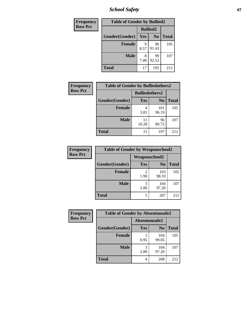*School Safety* **67**

| Frequency      | <b>Table of Gender by Bullied2</b> |                 |                |              |
|----------------|------------------------------------|-----------------|----------------|--------------|
| <b>Row Pct</b> |                                    | <b>Bullied2</b> |                |              |
|                | Gender(Gender)                     | Yes             | N <sub>0</sub> | <b>Total</b> |
|                | <b>Female</b>                      | 9<br>8.57       | 96<br>91.43    | 105          |
|                | <b>Male</b>                        | 8<br>7.48       | 99<br>92.52    | 107          |
|                | <b>Total</b>                       | 17              | 195            | 212          |

| <b>Frequency</b> | <b>Table of Gender by Bulliedothers2</b> |                       |                |              |
|------------------|------------------------------------------|-----------------------|----------------|--------------|
| <b>Row Pct</b>   |                                          | <b>Bulliedothers2</b> |                |              |
|                  | Gender(Gender)                           | Yes                   | N <sub>0</sub> | <b>Total</b> |
|                  | <b>Female</b>                            | 3.81                  | 101<br>96.19   | 105          |
|                  | <b>Male</b>                              | 11<br>10.28           | 96<br>89.72    | 107          |
|                  | <b>Total</b>                             | 15                    | 197            | 212          |

| Frequency      | <b>Table of Gender by Weaponschool2</b> |                      |                |              |
|----------------|-----------------------------------------|----------------------|----------------|--------------|
| <b>Row Pct</b> |                                         | <b>Weaponschool2</b> |                |              |
|                | Gender(Gender)                          | Yes                  | N <sub>0</sub> | <b>Total</b> |
|                | <b>Female</b>                           | 1.90                 | 103<br>98.10   | 105          |
|                | <b>Male</b>                             | 3<br>2.80            | 104<br>97.20   | 107          |
|                | <b>Total</b>                            | 5                    | 207            | 212          |

| Frequency      | <b>Table of Gender by Absentunsafe2</b> |               |                |              |  |
|----------------|-----------------------------------------|---------------|----------------|--------------|--|
| <b>Row Pct</b> |                                         | Absentunsafe2 |                |              |  |
|                | Gender(Gender)                          | Yes           | N <sub>0</sub> | <b>Total</b> |  |
|                | <b>Female</b>                           | 0.95          | 104<br>99.05   | 105          |  |
|                | <b>Male</b>                             | 2.80          | 104<br>97.20   | 107          |  |
|                | <b>Total</b>                            | 4             | 208            | 212          |  |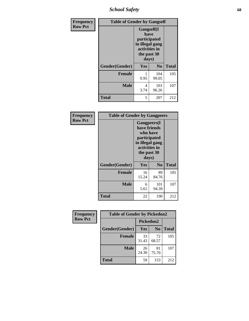*School Safety* **68**

| Frequency      | <b>Table of Gender by Gangself</b> |                                                                                                |                |              |
|----------------|------------------------------------|------------------------------------------------------------------------------------------------|----------------|--------------|
| <b>Row Pct</b> |                                    | Gangself(I<br>have<br>participated<br>in illegal gang<br>activities in<br>the past 30<br>days) |                |              |
|                | Gender(Gender)                     | Yes                                                                                            | N <sub>0</sub> | <b>Total</b> |
|                | <b>Female</b>                      | 0.95                                                                                           | 104<br>99.05   | 105          |
|                | <b>Male</b>                        | 4<br>3.74                                                                                      | 103<br>96.26   | 107          |
|                | <b>Total</b>                       | 5                                                                                              | 207            | 212          |

| Frequency      | <b>Table of Gender by Gangpeers</b> |                                                                                                                             |                |              |
|----------------|-------------------------------------|-----------------------------------------------------------------------------------------------------------------------------|----------------|--------------|
| <b>Row Pct</b> |                                     | <b>Gangpeers</b> (I<br>have friends<br>who have<br>participated<br>in illegal gang<br>activities in<br>the past 30<br>days) |                |              |
|                | Gender(Gender)                      | <b>Yes</b>                                                                                                                  | N <sub>0</sub> | <b>Total</b> |
|                | <b>Female</b>                       | 16<br>15.24                                                                                                                 | 89<br>84.76    | 105          |
|                | Male                                | 6<br>5.61                                                                                                                   | 101<br>94.39   | 107          |
|                | Total                               | 22                                                                                                                          | 190            | 212          |

| Frequency      | <b>Table of Gender by Pickedon2</b> |             |                |              |
|----------------|-------------------------------------|-------------|----------------|--------------|
| <b>Row Pct</b> |                                     | Pickedon2   |                |              |
|                | Gender(Gender)                      | Yes         | N <sub>0</sub> | <b>Total</b> |
|                | <b>Female</b>                       | 33<br>31.43 | 72<br>68.57    | 105          |
|                | <b>Male</b>                         | 26<br>24.30 | 81<br>75.70    | 107          |
|                | <b>Total</b>                        | 59          | 153            | 212          |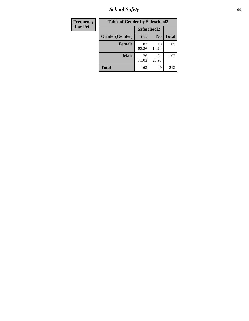*School Safety* **69**

| Frequency      | <b>Table of Gender by Safeschool2</b> |             |                |              |  |
|----------------|---------------------------------------|-------------|----------------|--------------|--|
| <b>Row Pct</b> |                                       | Safeschool2 |                |              |  |
|                | Gender(Gender)                        | <b>Yes</b>  | N <sub>0</sub> | <b>Total</b> |  |
|                | <b>Female</b>                         | 87<br>82.86 | 18<br>17.14    | 105          |  |
|                | Male                                  | 76<br>71.03 | 31<br>28.97    | 107          |  |
|                | <b>Total</b>                          | 163         | 49             | 212          |  |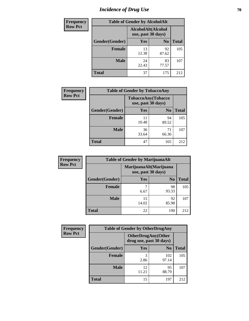# *Incidence of Drug Use* **70**

| <b>Frequency</b> | <b>Table of Gender by AlcoholAlt</b> |                                          |                |              |  |
|------------------|--------------------------------------|------------------------------------------|----------------|--------------|--|
| <b>Row Pct</b>   |                                      | AlcoholAlt(Alcohol<br>use, past 30 days) |                |              |  |
|                  | Gender(Gender)                       | <b>Yes</b>                               | N <sub>0</sub> | <b>Total</b> |  |
|                  | <b>Female</b>                        | 13<br>12.38                              | 92<br>87.62    | 105          |  |
|                  | <b>Male</b>                          | 24<br>22.43                              | 83<br>77.57    | 107          |  |
|                  | <b>Total</b>                         | 37                                       | 175            | 212          |  |

| <b>Frequency</b> | <b>Table of Gender by TobaccoAny</b> |                    |                    |              |  |
|------------------|--------------------------------------|--------------------|--------------------|--------------|--|
| <b>Row Pct</b>   |                                      | use, past 30 days) | TobaccoAny(Tobacco |              |  |
|                  | Gender(Gender)                       | Yes                | N <sub>0</sub>     | <b>Total</b> |  |
|                  | <b>Female</b>                        | 11<br>10.48        | 94<br>89.52        | 105          |  |
|                  | <b>Male</b>                          | 36<br>33.64        | 71<br>66.36        | 107          |  |
|                  | <b>Total</b>                         | 47                 | 165                | 212          |  |

| <b>Frequency</b> | <b>Table of Gender by MarijuanaAlt</b> |                                              |                |              |
|------------------|----------------------------------------|----------------------------------------------|----------------|--------------|
| <b>Row Pct</b>   |                                        | MarijuanaAlt(Marijuana<br>use, past 30 days) |                |              |
|                  | Gender(Gender)                         | <b>Yes</b>                                   | N <sub>0</sub> | <b>Total</b> |
|                  | <b>Female</b>                          | 6.67                                         | 98<br>93.33    | 105          |
|                  | <b>Male</b>                            | 15<br>14.02                                  | 92<br>85.98    | 107          |
|                  | <b>Total</b>                           | 22                                           | 190            | 212          |

| <b>Frequency</b> | <b>Table of Gender by OtherDrugAny</b> |                                                      |                |              |
|------------------|----------------------------------------|------------------------------------------------------|----------------|--------------|
| <b>Row Pct</b>   |                                        | <b>OtherDrugAny(Other</b><br>drug use, past 30 days) |                |              |
|                  | Gender(Gender)                         | <b>Yes</b>                                           | N <sub>0</sub> | <b>Total</b> |
|                  | <b>Female</b>                          | 3<br>2.86                                            | 102<br>97.14   | 105          |
|                  | <b>Male</b>                            | 12<br>11.21                                          | 95<br>88.79    | 107          |
|                  | <b>Total</b>                           | 15                                                   | 197            | 212          |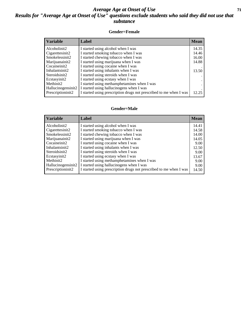#### *Average Age at Onset of Use* **71** *Results for "Average Age at Onset of Use" questions exclude students who said they did not use that substance*

#### **Gender=Female**

| <b>Variable</b>    | Label                                                              | <b>Mean</b> |
|--------------------|--------------------------------------------------------------------|-------------|
| Alcoholinit2       | I started using alcohol when I was                                 | 14.35       |
| Cigarettesinit2    | I started smoking tobacco when I was                               | 14.46       |
| Smokelessinit2     | I started chewing tobacco when I was                               | 16.00       |
| Marijuanainit2     | I started using marijuana when I was                               | 14.88       |
| Cocaineinit2       | I started using cocaine when I was                                 |             |
| Inhalantsinit2     | I started using inhalants when I was                               | 13.50       |
| Steroidsinit2      | I started using steroids when I was                                |             |
| Ecstasyinit2       | I started using ecstasy when I was                                 |             |
| Methinit2          | I started using methamphetamines when I was                        |             |
| Hallucinogensinit2 | I started using hallucinogens when I was                           |             |
| Prescription in t2 | I started using prescription drugs not prescribed to me when I was | 12.25       |

#### **Gender=Male**

| <i><b>Variable</b></i> | Label                                                              | <b>Mean</b> |
|------------------------|--------------------------------------------------------------------|-------------|
| Alcoholinit2           | I started using alcohol when I was                                 | 14.41       |
| Cigarettesinit2        | I started smoking tobacco when I was                               | 14.58       |
| Smokelessinit2         | I started chewing tobacco when I was                               | 14.00       |
| Marijuanainit2         | I started using marijuana when I was                               | 14.05       |
| Cocaineinit2           | I started using cocaine when I was                                 | 9.00        |
| Inhalantsinit2         | I started using inhalants when I was                               | 12.50       |
| Steroidsinit2          | I started using steroids when I was                                | 9.00        |
| Ecstasyinit2           | I started using ecstasy when I was                                 | 13.67       |
| Methinit <sub>2</sub>  | I started using methamphetamines when I was                        | 9.00        |
| Hallucinogensinit2     | I started using hallucinogens when I was                           | 9.00        |
| Prescriptioninit2      | I started using prescription drugs not prescribed to me when I was | 14.50       |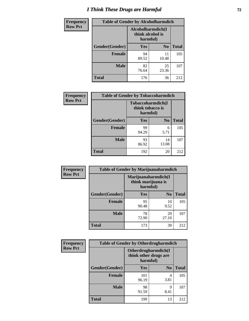# *I Think These Drugs are Harmful* **72**

| <b>Frequency</b> | <b>Table of Gender by Alcoholharmdich</b> |                                                   |                |              |  |
|------------------|-------------------------------------------|---------------------------------------------------|----------------|--------------|--|
| <b>Row Pct</b>   |                                           | Alcoholharmdich(I<br>think alcohol is<br>harmful) |                |              |  |
|                  | Gender(Gender)                            | <b>Yes</b>                                        | N <sub>0</sub> | <b>Total</b> |  |
|                  | <b>Female</b>                             | 94<br>89.52                                       | 11<br>10.48    | 105          |  |
|                  | <b>Male</b>                               | 82<br>76.64                                       | 25<br>23.36    | 107          |  |
|                  | <b>Total</b>                              | 176                                               | 36             | 212          |  |

| Frequency      | <b>Table of Gender by Tobaccoharmdich</b> |                                                   |             |              |  |
|----------------|-------------------------------------------|---------------------------------------------------|-------------|--------------|--|
| <b>Row Pct</b> |                                           | Tobaccoharmdich(I<br>think tobacco is<br>harmful) |             |              |  |
|                | Gender(Gender)                            | Yes                                               | $\bf N_0$   | <b>Total</b> |  |
|                | <b>Female</b>                             | 99<br>94.29                                       | 6<br>5.71   | 105          |  |
|                | <b>Male</b>                               | 93<br>86.92                                       | 14<br>13.08 | 107          |  |
|                | <b>Total</b>                              | 192                                               | 20          | 212          |  |

| Frequency      | <b>Table of Gender by Marijuanaharmdich</b> |                                                       |                |              |  |
|----------------|---------------------------------------------|-------------------------------------------------------|----------------|--------------|--|
| <b>Row Pct</b> |                                             | Marijuanaharmdich(I<br>think marijuana is<br>harmful) |                |              |  |
|                | Gender(Gender)                              | <b>Yes</b>                                            | N <sub>0</sub> | <b>Total</b> |  |
|                | <b>Female</b>                               | 95<br>90.48                                           | 10<br>9.52     | 105          |  |
|                | <b>Male</b>                                 | 78<br>72.90                                           | 29<br>27.10    | 107          |  |
|                | <b>Total</b>                                | 173                                                   | 39             | 212          |  |

| Frequency      | <b>Table of Gender by Otherdrugharmdich</b> |                                                          |                |              |  |
|----------------|---------------------------------------------|----------------------------------------------------------|----------------|--------------|--|
| <b>Row Pct</b> |                                             | Otherdrugharmdich(I<br>think other drugs are<br>harmful) |                |              |  |
|                | Gender(Gender)                              | <b>Yes</b>                                               | N <sub>0</sub> | <b>Total</b> |  |
|                | <b>Female</b>                               | 101<br>96.19                                             | 4<br>3.81      | 105          |  |
|                | <b>Male</b>                                 | 98<br>91.59                                              | 9<br>8.41      | 107          |  |
|                | <b>Total</b>                                | 199                                                      | 13             | 212          |  |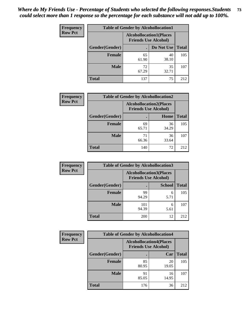| <b>Frequency</b> | <b>Table of Gender by Alcohollocation1</b> |                                                               |             |              |
|------------------|--------------------------------------------|---------------------------------------------------------------|-------------|--------------|
| <b>Row Pct</b>   |                                            | <b>Alcohollocation1(Places</b><br><b>Friends Use Alcohol)</b> |             |              |
|                  | Gender(Gender)                             |                                                               | Do Not Use  | <b>Total</b> |
|                  | <b>Female</b>                              | 65<br>61.90                                                   | 40<br>38.10 | 105          |
|                  | <b>Male</b>                                | 72<br>67.29                                                   | 35<br>32.71 | 107          |
|                  | <b>Total</b>                               | 137                                                           | 75          | 212          |

| <b>Frequency</b> | <b>Table of Gender by Alcohollocation2</b> |                                                               |             |              |
|------------------|--------------------------------------------|---------------------------------------------------------------|-------------|--------------|
| <b>Row Pct</b>   |                                            | <b>Alcohollocation2(Places</b><br><b>Friends Use Alcohol)</b> |             |              |
|                  | Gender(Gender)                             |                                                               | Home        | <b>Total</b> |
|                  | <b>Female</b>                              | 69<br>65.71                                                   | 36<br>34.29 | 105          |
|                  | <b>Male</b>                                | 71<br>66.36                                                   | 36<br>33.64 | 107          |
|                  | <b>Total</b>                               | 140                                                           | 72          | 212          |

| Frequency      | <b>Table of Gender by Alcohollocation3</b> |                                                               |               |              |
|----------------|--------------------------------------------|---------------------------------------------------------------|---------------|--------------|
| <b>Row Pct</b> |                                            | <b>Alcohollocation3(Places</b><br><b>Friends Use Alcohol)</b> |               |              |
|                | Gender(Gender)                             |                                                               | <b>School</b> | <b>Total</b> |
|                | <b>Female</b>                              | 99<br>94.29                                                   | 6<br>5.71     | 105          |
|                | <b>Male</b>                                | 101<br>94.39                                                  | 6<br>5.61     | 107          |
|                | <b>Total</b>                               | 200                                                           | 12            | 212          |

| <b>Frequency</b> | <b>Table of Gender by Alcohollocation4</b> |                                                               |             |              |
|------------------|--------------------------------------------|---------------------------------------------------------------|-------------|--------------|
| <b>Row Pct</b>   |                                            | <b>Alcohollocation4(Places</b><br><b>Friends Use Alcohol)</b> |             |              |
|                  | <b>Gender</b> (Gender)                     |                                                               | Car         | <b>Total</b> |
|                  | <b>Female</b>                              | 85<br>80.95                                                   | 20<br>19.05 | 105          |
|                  | <b>Male</b>                                | 91<br>85.05                                                   | 16<br>14.95 | 107          |
|                  | <b>Total</b>                               | 176                                                           | 36          | 212          |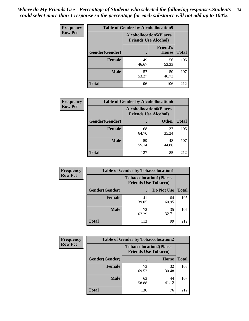| <b>Frequency</b> |                | <b>Table of Gender by Alcohollocation5</b>                     |                                 |              |
|------------------|----------------|----------------------------------------------------------------|---------------------------------|--------------|
| <b>Row Pct</b>   |                | <b>Alcohollocation5</b> (Places<br><b>Friends Use Alcohol)</b> |                                 |              |
|                  | Gender(Gender) | $\bullet$                                                      | <b>Friend's</b><br><b>House</b> | <b>Total</b> |
|                  | <b>Female</b>  | 49<br>46.67                                                    | 56<br>53.33                     | 105          |
|                  | <b>Male</b>    | 57<br>53.27                                                    | 50<br>46.73                     | 107          |
|                  | <b>Total</b>   | 106                                                            | 106                             | 212          |

| <b>Frequency</b> | <b>Table of Gender by Alcohollocation6</b> |                                |                             |              |
|------------------|--------------------------------------------|--------------------------------|-----------------------------|--------------|
| <b>Row Pct</b>   |                                            | <b>Alcohollocation6(Places</b> | <b>Friends Use Alcohol)</b> |              |
|                  | Gender(Gender)                             |                                | <b>Other</b>                | <b>Total</b> |
|                  | Female                                     | 68<br>64.76                    | 37<br>35.24                 | 105          |
|                  | <b>Male</b>                                | 59<br>55.14                    | 48<br>44.86                 | 107          |
|                  | <b>Total</b>                               | 127                            | 85                          | 212          |

| Frequency      | <b>Table of Gender by Tobaccolocation1</b> |                                                               |             |              |  |
|----------------|--------------------------------------------|---------------------------------------------------------------|-------------|--------------|--|
| <b>Row Pct</b> |                                            | <b>Tobaccolocation1(Places</b><br><b>Friends Use Tobacco)</b> |             |              |  |
|                | <b>Gender</b> (Gender)                     |                                                               | Do Not Use  | <b>Total</b> |  |
|                | Female                                     | 41<br>39.05                                                   | 64<br>60.95 | 105          |  |
|                | <b>Male</b>                                | 72<br>67.29                                                   | 35<br>32.71 | 107          |  |
|                | <b>Total</b>                               | 113                                                           | 99          | 212          |  |

| <b>Frequency</b> | <b>Table of Gender by Tobaccolocation2</b> |                                                               |             |              |
|------------------|--------------------------------------------|---------------------------------------------------------------|-------------|--------------|
| <b>Row Pct</b>   |                                            | <b>Tobaccolocation2(Places</b><br><b>Friends Use Tobacco)</b> |             |              |
|                  | Gender(Gender)                             |                                                               | Home        | <b>Total</b> |
|                  | Female                                     | 73<br>69.52                                                   | 32<br>30.48 | 105          |
|                  | <b>Male</b>                                | 63<br>58.88                                                   | 44<br>41.12 | 107          |
|                  | <b>Total</b>                               | 136                                                           | 76          | 212          |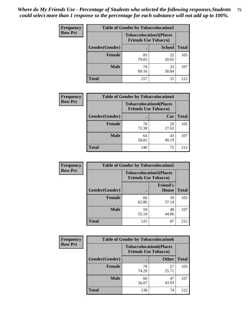| <b>Frequency</b> | <b>Table of Gender by Tobaccolocation3</b> |                             |                                |              |
|------------------|--------------------------------------------|-----------------------------|--------------------------------|--------------|
| <b>Row Pct</b>   |                                            | <b>Friends Use Tobacco)</b> | <b>Tobaccolocation3(Places</b> |              |
|                  | Gender(Gender)                             |                             | <b>School</b>                  | <b>Total</b> |
|                  | Female                                     | 83<br>79.05                 | 22<br>20.95                    | 105          |
|                  | <b>Male</b>                                | 74<br>69.16                 | 33<br>30.84                    | 107          |
|                  | <b>Total</b>                               | 157                         | 55                             | 212          |

| <b>Frequency</b> | <b>Table of Gender by Tobaccolocation4</b> |             |                                                               |              |
|------------------|--------------------------------------------|-------------|---------------------------------------------------------------|--------------|
| <b>Row Pct</b>   |                                            |             | <b>Tobaccolocation4(Places</b><br><b>Friends Use Tobacco)</b> |              |
|                  | Gender(Gender)                             |             | Car                                                           | <b>Total</b> |
|                  | <b>Female</b>                              | 76<br>72.38 | 29<br>27.62                                                   | 105          |
|                  | <b>Male</b>                                | 64<br>59.81 | 43<br>40.19                                                   | 107          |
|                  | <b>Total</b>                               | 140         | 72                                                            | 212          |

| <b>Frequency</b> | <b>Table of Gender by Tobaccolocation5</b> |                                                               |                          |              |
|------------------|--------------------------------------------|---------------------------------------------------------------|--------------------------|--------------|
| <b>Row Pct</b>   |                                            | <b>Tobaccolocation5(Places</b><br><b>Friends Use Tobacco)</b> |                          |              |
|                  | Gender(Gender)                             |                                                               | <b>Friend's</b><br>House | <b>Total</b> |
|                  | <b>Female</b>                              | 66<br>62.86                                                   | 39<br>37.14              | 105          |
|                  | <b>Male</b>                                | 59<br>55.14                                                   | 48<br>44.86              | 107          |
|                  | <b>Total</b>                               | 125                                                           | 87                       | 212          |

| <b>Frequency</b> | <b>Table of Gender by Tobaccolocation6</b> |                                                               |              |              |
|------------------|--------------------------------------------|---------------------------------------------------------------|--------------|--------------|
| <b>Row Pct</b>   |                                            | <b>Tobaccolocation6(Places</b><br><b>Friends Use Tobacco)</b> |              |              |
|                  | Gender(Gender)                             |                                                               | <b>Other</b> | <b>Total</b> |
|                  | Female                                     | 78<br>74.29                                                   | 27<br>25.71  | 105          |
|                  | <b>Male</b>                                | 60<br>56.07                                                   | 47<br>43.93  | 107          |
|                  | <b>Total</b>                               | 138                                                           | 74           | 212          |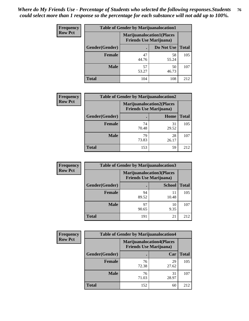| <b>Frequency</b> | <b>Table of Gender by Marijuanalocation1</b> |                                                                    |             |              |  |
|------------------|----------------------------------------------|--------------------------------------------------------------------|-------------|--------------|--|
| <b>Row Pct</b>   |                                              | <b>Marijuanalocation1(Places</b><br><b>Friends Use Marijuana</b> ) |             |              |  |
|                  | Gender(Gender)                               |                                                                    | Do Not Use  | <b>Total</b> |  |
|                  | <b>Female</b>                                | 47<br>44.76                                                        | 58<br>55.24 | 105          |  |
|                  | <b>Male</b>                                  | 57<br>53.27                                                        | 50<br>46.73 | 107          |  |
|                  | <b>Total</b>                                 | 104                                                                | 108         | 212          |  |

| <b>Frequency</b> | <b>Table of Gender by Marijuanalocation2</b> |                                                                    |             |              |
|------------------|----------------------------------------------|--------------------------------------------------------------------|-------------|--------------|
| <b>Row Pct</b>   |                                              | <b>Marijuanalocation2(Places</b><br><b>Friends Use Marijuana</b> ) |             |              |
|                  | Gender(Gender)                               |                                                                    | Home        | <b>Total</b> |
|                  | <b>Female</b>                                | 74<br>70.48                                                        | 31<br>29.52 | 105          |
|                  | <b>Male</b>                                  | 79<br>73.83                                                        | 28<br>26.17 | 107          |
|                  | <b>Total</b>                                 | 153                                                                | 59          | 212          |

| Frequency      | <b>Table of Gender by Marijuanalocation3</b> |                                |                                  |              |  |
|----------------|----------------------------------------------|--------------------------------|----------------------------------|--------------|--|
| <b>Row Pct</b> |                                              | <b>Friends Use Marijuana</b> ) | <b>Marijuanalocation3(Places</b> |              |  |
|                | Gender(Gender)                               |                                | <b>School</b>                    | <b>Total</b> |  |
|                | Female                                       | 94<br>89.52                    | 11<br>10.48                      | 105          |  |
|                | <b>Male</b>                                  | 97<br>90.65                    | 10<br>9.35                       | 107          |  |
|                | <b>Total</b>                                 | 191                            | 21                               | 212          |  |

| <b>Frequency</b> | <b>Table of Gender by Marijuanalocation4</b> |             |                                                                    |              |
|------------------|----------------------------------------------|-------------|--------------------------------------------------------------------|--------------|
| <b>Row Pct</b>   |                                              |             | <b>Marijuanalocation4(Places</b><br><b>Friends Use Marijuana</b> ) |              |
|                  | Gender(Gender)                               |             | Car                                                                | <b>Total</b> |
|                  | Female                                       | 76<br>72.38 | 29<br>27.62                                                        | 105          |
|                  | <b>Male</b>                                  | 76<br>71.03 | 31<br>28.97                                                        | 107          |
|                  | <b>Total</b>                                 | 152         | 60                                                                 | 212          |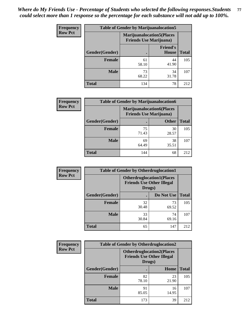| <b>Frequency</b> | <b>Table of Gender by Marijuanalocation5</b> |                                                                     |                          |              |
|------------------|----------------------------------------------|---------------------------------------------------------------------|--------------------------|--------------|
| <b>Row Pct</b>   |                                              | <b>Marijuanalocation5</b> (Places<br><b>Friends Use Marijuana</b> ) |                          |              |
|                  | Gender(Gender)                               |                                                                     | <b>Friend's</b><br>House | <b>Total</b> |
|                  | <b>Female</b>                                | 61<br>58.10                                                         | 44<br>41.90              | 105          |
|                  | <b>Male</b>                                  | 73<br>68.22                                                         | 34<br>31.78              | 107          |
|                  | <b>Total</b>                                 | 134                                                                 | 78                       | 212          |

| <b>Frequency</b> | <b>Table of Gender by Marijuanalocation6</b> |                                                                    |              |              |  |
|------------------|----------------------------------------------|--------------------------------------------------------------------|--------------|--------------|--|
| <b>Row Pct</b>   |                                              | <b>Marijuanalocation6(Places</b><br><b>Friends Use Marijuana</b> ) |              |              |  |
|                  | Gender(Gender)                               |                                                                    | <b>Other</b> | <b>Total</b> |  |
|                  | <b>Female</b>                                | 75<br>71.43                                                        | 30<br>28.57  | 105          |  |
|                  | <b>Male</b>                                  | 69<br>64.49                                                        | 38<br>35.51  | 107          |  |
|                  | <b>Total</b>                                 | 144                                                                | 68           | 212          |  |

| <b>Frequency</b> | <b>Table of Gender by Otherdruglocation1</b> |                                                                                |             |              |
|------------------|----------------------------------------------|--------------------------------------------------------------------------------|-------------|--------------|
| <b>Row Pct</b>   |                                              | <b>Otherdruglocation1(Places</b><br><b>Friends Use Other Illegal</b><br>Drugs) |             |              |
|                  | Gender(Gender)                               |                                                                                | Do Not Use  | <b>Total</b> |
|                  | Female                                       | 32<br>30.48                                                                    | 73<br>69.52 | 105          |
|                  | <b>Male</b>                                  | 33<br>30.84                                                                    | 74<br>69.16 | 107          |
|                  | <b>Total</b>                                 | 65                                                                             | 147         | 212          |

| <b>Frequency</b> | <b>Table of Gender by Otherdruglocation2</b>                                   |             |             |              |
|------------------|--------------------------------------------------------------------------------|-------------|-------------|--------------|
| <b>Row Pct</b>   | <b>Otherdruglocation2(Places</b><br><b>Friends Use Other Illegal</b><br>Drugs) |             |             |              |
|                  | Gender(Gender)                                                                 |             | Home        | <b>Total</b> |
|                  | <b>Female</b>                                                                  | 82<br>78.10 | 23<br>21.90 | 105          |
|                  | <b>Male</b>                                                                    | 91<br>85.05 | 16<br>14.95 | 107          |
|                  | <b>Total</b>                                                                   | 173         | 39          | 212          |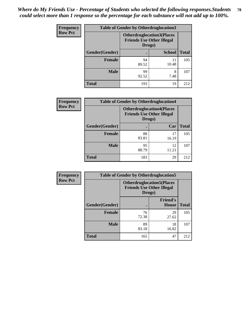| Frequency      | <b>Table of Gender by Otherdruglocation3</b> |                                                                                |               |              |
|----------------|----------------------------------------------|--------------------------------------------------------------------------------|---------------|--------------|
| <b>Row Pct</b> |                                              | <b>Otherdruglocation3(Places</b><br><b>Friends Use Other Illegal</b><br>Drugs) |               |              |
|                | Gender(Gender)                               |                                                                                | <b>School</b> | <b>Total</b> |
|                | Female                                       | 94<br>89.52                                                                    | 11<br>10.48   | 105          |
|                | <b>Male</b>                                  | 99<br>92.52                                                                    | 8<br>7.48     | 107          |
|                | <b>Total</b>                                 | 193                                                                            | 19            | 212          |

| Frequency      | <b>Table of Gender by Otherdruglocation4</b> |                                                                                |             |              |
|----------------|----------------------------------------------|--------------------------------------------------------------------------------|-------------|--------------|
| <b>Row Pct</b> |                                              | <b>Otherdruglocation4(Places</b><br><b>Friends Use Other Illegal</b><br>Drugs) |             |              |
|                | <b>Gender</b> (Gender)                       |                                                                                | Car         | <b>Total</b> |
|                | <b>Female</b>                                | 88<br>83.81                                                                    | 17<br>16.19 | 105          |
|                | <b>Male</b>                                  | 95<br>88.79                                                                    | 12<br>11.21 | 107          |
|                | <b>Total</b>                                 | 183                                                                            | 29          | 212          |

| <b>Frequency</b> | <b>Table of Gender by Otherdruglocation5</b> |                                                                                |                                 |              |
|------------------|----------------------------------------------|--------------------------------------------------------------------------------|---------------------------------|--------------|
| <b>Row Pct</b>   |                                              | <b>Otherdruglocation5(Places</b><br><b>Friends Use Other Illegal</b><br>Drugs) |                                 |              |
|                  | Gender(Gender)                               |                                                                                | <b>Friend's</b><br><b>House</b> | <b>Total</b> |
|                  | <b>Female</b>                                | 76<br>72.38                                                                    | 29<br>27.62                     | 105          |
|                  | <b>Male</b>                                  | 89<br>83.18                                                                    | 18<br>16.82                     | 107          |
|                  | <b>Total</b>                                 | 165                                                                            | 47                              | 212          |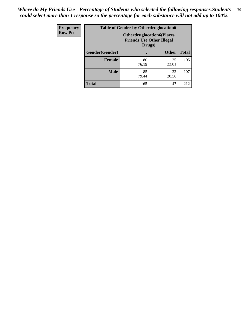| <b>Frequency</b> | <b>Table of Gender by Otherdruglocation6</b> |                                            |                                  |              |
|------------------|----------------------------------------------|--------------------------------------------|----------------------------------|--------------|
| <b>Row Pct</b>   |                                              | <b>Friends Use Other Illegal</b><br>Drugs) | <b>Otherdruglocation6(Places</b> |              |
|                  | Gender(Gender)                               |                                            | <b>Other</b>                     | <b>Total</b> |
|                  | Female                                       | 80<br>76.19                                | 25<br>23.81                      | 105          |
|                  | <b>Male</b>                                  | 85<br>79.44                                | 22<br>20.56                      | 107          |
|                  | <b>Total</b>                                 | 165                                        | 47                               | 212          |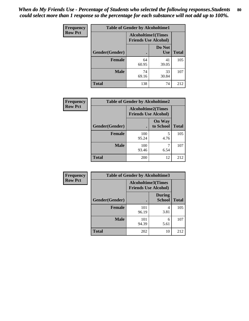| <b>Frequency</b> | <b>Table of Gender by Alcoholtime1</b> |                                                          |                      |              |
|------------------|----------------------------------------|----------------------------------------------------------|----------------------|--------------|
| <b>Row Pct</b>   |                                        | <b>Alcoholtime1(Times</b><br><b>Friends Use Alcohol)</b> |                      |              |
|                  | Gender(Gender)                         | $\bullet$                                                | Do Not<br><b>Use</b> | <b>Total</b> |
|                  | <b>Female</b>                          | 64<br>60.95                                              | 41<br>39.05          | 105          |
|                  | <b>Male</b>                            | 74<br>69.16                                              | 33<br>30.84          | 107          |
|                  | <b>Total</b>                           | 138                                                      | 74                   | 212          |

| <b>Frequency</b> | <b>Table of Gender by Alcoholtime2</b> |                                                          |                            |              |
|------------------|----------------------------------------|----------------------------------------------------------|----------------------------|--------------|
| <b>Row Pct</b>   |                                        | <b>Alcoholtime2(Times</b><br><b>Friends Use Alcohol)</b> |                            |              |
|                  | Gender(Gender)                         |                                                          | <b>On Way</b><br>to School | <b>Total</b> |
|                  | <b>Female</b>                          | 100<br>95.24                                             | 5<br>4.76                  | 105          |
|                  | <b>Male</b>                            | 100<br>93.46                                             | 6.54                       | 107          |
|                  | <b>Total</b>                           | 200                                                      | 12                         | 212          |

| Frequency      | <b>Table of Gender by Alcoholtime3</b> |                                                   |                                |              |
|----------------|----------------------------------------|---------------------------------------------------|--------------------------------|--------------|
| <b>Row Pct</b> |                                        | Alcoholtime3(Times<br><b>Friends Use Alcohol)</b> |                                |              |
|                | Gender(Gender)                         |                                                   | <b>During</b><br><b>School</b> | <b>Total</b> |
|                | Female                                 | 101<br>96.19                                      | 4<br>3.81                      | 105          |
|                | <b>Male</b>                            | 101<br>94.39                                      | 6<br>5.61                      | 107          |
|                | <b>Total</b>                           | 202                                               | 10                             | 212          |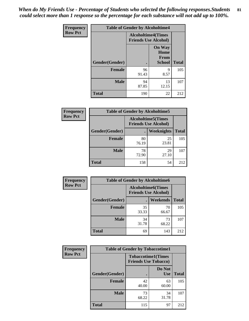*When do My Friends Use - Percentage of Students who selected the following responses.Students could select more than 1 response so the percentage for each substance will not add up to 100%.* **81**

| Frequency      | <b>Table of Gender by Alcoholtime4</b> |                                                          |                                         |              |
|----------------|----------------------------------------|----------------------------------------------------------|-----------------------------------------|--------------|
| <b>Row Pct</b> |                                        | <b>Alcoholtime4(Times</b><br><b>Friends Use Alcohol)</b> |                                         |              |
|                | Gender(Gender)                         |                                                          | <b>On Way</b><br>Home<br>From<br>School | <b>Total</b> |
|                | <b>Female</b>                          | 96<br>91.43                                              | 9<br>8.57                               | 105          |
|                | <b>Male</b>                            | 94<br>87.85                                              | 13<br>12.15                             | 107          |
|                | <b>Total</b>                           | 190                                                      | 22                                      | 212          |

| <b>Frequency</b> |                | <b>Table of Gender by Alcoholtime5</b>                    |                   |              |
|------------------|----------------|-----------------------------------------------------------|-------------------|--------------|
| <b>Row Pct</b>   |                | <b>Alcoholtime5</b> (Times<br><b>Friends Use Alcohol)</b> |                   |              |
|                  | Gender(Gender) |                                                           | <b>Weeknights</b> | <b>Total</b> |
|                  | <b>Female</b>  | 80<br>76.19                                               | 25<br>23.81       | 105          |
|                  | <b>Male</b>    | 78<br>72.90                                               | 29<br>27.10       | 107          |
|                  | <b>Total</b>   | 158                                                       | 54                | 212          |

| <b>Frequency</b> | <b>Table of Gender by Alcoholtime6</b> |                                                           |                 |              |  |
|------------------|----------------------------------------|-----------------------------------------------------------|-----------------|--------------|--|
| <b>Row Pct</b>   |                                        | <b>Alcoholtime6</b> (Times<br><b>Friends Use Alcohol)</b> |                 |              |  |
|                  | Gender(Gender)                         |                                                           | <b>Weekends</b> | <b>Total</b> |  |
|                  | <b>Female</b>                          | 35<br>33.33                                               | 70<br>66.67     | 105          |  |
|                  | <b>Male</b>                            | 34<br>31.78                                               | 73<br>68.22     | 107          |  |
|                  | <b>Total</b>                           | 69                                                        | 143             | 212          |  |

| Frequency      | <b>Table of Gender by Tobaccotime1</b> |                                                          |                      |              |
|----------------|----------------------------------------|----------------------------------------------------------|----------------------|--------------|
| <b>Row Pct</b> |                                        | <b>Tobaccotime1(Times</b><br><b>Friends Use Tobacco)</b> |                      |              |
|                | Gender(Gender)                         |                                                          | Do Not<br><b>Use</b> | <b>Total</b> |
|                | Female                                 | 42<br>40.00                                              | 63<br>60.00          | 105          |
|                | <b>Male</b>                            | 73<br>68.22                                              | 34<br>31.78          | 107          |
|                | <b>Total</b>                           | 115                                                      | 97                   | 212          |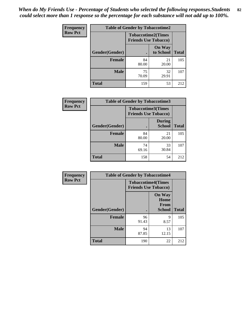| Frequency      | <b>Table of Gender by Tobaccotime2</b> |                                                          |                            |              |
|----------------|----------------------------------------|----------------------------------------------------------|----------------------------|--------------|
| <b>Row Pct</b> |                                        | <b>Tobaccotime2(Times</b><br><b>Friends Use Tobacco)</b> |                            |              |
|                | Gender(Gender)                         | $\bullet$                                                | <b>On Way</b><br>to School | <b>Total</b> |
|                | Female                                 | 84<br>80.00                                              | 21<br>20.00                | 105          |
|                | <b>Male</b>                            | 75<br>70.09                                              | 32<br>29.91                | 107          |
|                | Total                                  | 159                                                      | 53                         | 212          |

| Frequency      | <b>Table of Gender by Tobaccotime3</b> |                                                          |                                |              |
|----------------|----------------------------------------|----------------------------------------------------------|--------------------------------|--------------|
| <b>Row Pct</b> |                                        | <b>Tobaccotime3(Times</b><br><b>Friends Use Tobacco)</b> |                                |              |
|                | Gender(Gender)                         |                                                          | <b>During</b><br><b>School</b> | <b>Total</b> |
|                | Female                                 | 84<br>80.00                                              | 21<br>20.00                    | 105          |
|                | <b>Male</b>                            | 74<br>69.16                                              | 33<br>30.84                    | 107          |
|                | <b>Total</b>                           | 158                                                      | 54                             | 212          |

| <b>Frequency</b> | <b>Table of Gender by Tobaccotime4</b> |                                                          |                                                       |              |
|------------------|----------------------------------------|----------------------------------------------------------|-------------------------------------------------------|--------------|
| <b>Row Pct</b>   |                                        | <b>Tobaccotime4(Times</b><br><b>Friends Use Tobacco)</b> |                                                       |              |
|                  | Gender(Gender)                         |                                                          | <b>On Way</b><br>Home<br><b>From</b><br><b>School</b> | <b>Total</b> |
|                  | <b>Female</b>                          | 96<br>91.43                                              | 9<br>8.57                                             | 105          |
|                  | <b>Male</b>                            | 94<br>87.85                                              | 13<br>12.15                                           | 107          |
|                  | <b>Total</b>                           | 190                                                      | 22                                                    | 212          |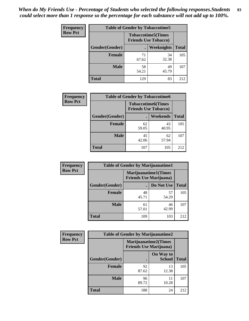| <b>Frequency</b> | <b>Table of Gender by Tobaccotime5</b> |             |                                                           |              |  |
|------------------|----------------------------------------|-------------|-----------------------------------------------------------|--------------|--|
| <b>Row Pct</b>   |                                        |             | <b>Tobaccotime5</b> (Times<br><b>Friends Use Tobacco)</b> |              |  |
|                  | Gender(Gender)                         |             | <b>Weeknights</b>                                         | <b>Total</b> |  |
|                  | <b>Female</b>                          | 71<br>67.62 | 34<br>32.38                                               | 105          |  |
|                  | <b>Male</b>                            | 58<br>54.21 | 49<br>45.79                                               | 107          |  |
|                  | <b>Total</b>                           | 129         | 83                                                        | 212          |  |

| Frequency      | <b>Table of Gender by Tobaccotime6</b> |                                                          |                 |              |
|----------------|----------------------------------------|----------------------------------------------------------|-----------------|--------------|
| <b>Row Pct</b> |                                        | <b>Tobaccotime6(Times</b><br><b>Friends Use Tobacco)</b> |                 |              |
|                | Gender(Gender)                         |                                                          | <b>Weekends</b> | <b>Total</b> |
|                | Female                                 | 62<br>59.05                                              | 43<br>40.95     | 105          |
|                | <b>Male</b>                            | 45<br>42.06                                              | 62<br>57.94     | 107          |
|                | <b>Total</b>                           | 107                                                      | 105             | 212          |

| <b>Frequency</b> | <b>Table of Gender by Marijuanatime1</b> |                                |                             |              |
|------------------|------------------------------------------|--------------------------------|-----------------------------|--------------|
| <b>Row Pct</b>   |                                          | <b>Friends Use Marijuana</b> ) | <b>Marijuanatime1(Times</b> |              |
|                  | Gender(Gender)                           |                                | Do Not Use                  | <b>Total</b> |
|                  | <b>Female</b>                            | 48<br>45.71                    | 57<br>54.29                 | 105          |
|                  | <b>Male</b>                              | 61<br>57.01                    | 46<br>42.99                 | 107          |
|                  | <b>Total</b>                             | 109                            | 103                         | 212          |

| <b>Frequency</b> | <b>Table of Gender by Marijuanatime2</b> |                                |                             |              |
|------------------|------------------------------------------|--------------------------------|-----------------------------|--------------|
| <b>Row Pct</b>   |                                          | <b>Friends Use Marijuana</b> ) | <b>Marijuanatime2(Times</b> |              |
|                  | Gender(Gender)                           |                                | On Way to<br><b>School</b>  | <b>Total</b> |
|                  | <b>Female</b>                            | 92<br>87.62                    | 13<br>12.38                 | 105          |
|                  | <b>Male</b>                              | 96<br>89.72                    | 11<br>10.28                 | 107          |
|                  | <b>Total</b>                             | 188                            | 24                          | 212          |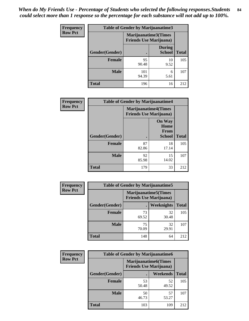| <b>Frequency</b> | <b>Table of Gender by Marijuanatime3</b> |                                                        |                                |              |
|------------------|------------------------------------------|--------------------------------------------------------|--------------------------------|--------------|
| <b>Row Pct</b>   |                                          | Marijuanatime3(Times<br><b>Friends Use Marijuana</b> ) |                                |              |
|                  | Gender(Gender)                           |                                                        | <b>During</b><br><b>School</b> | <b>Total</b> |
|                  | <b>Female</b>                            | 95<br>90.48                                            | 10<br>9.52                     | 105          |
|                  | <b>Male</b>                              | 101<br>94.39                                           | 6<br>5.61                      | 107          |
|                  | <b>Total</b>                             | 196                                                    | 16                             | 212          |

| Frequency      | <b>Table of Gender by Marijuanatime4</b> |                                                                |                                                       |              |
|----------------|------------------------------------------|----------------------------------------------------------------|-------------------------------------------------------|--------------|
| <b>Row Pct</b> |                                          | <b>Marijuanatime4</b> (Times<br><b>Friends Use Marijuana</b> ) |                                                       |              |
|                | Gender(Gender)                           |                                                                | <b>On Way</b><br>Home<br><b>From</b><br><b>School</b> | <b>Total</b> |
|                | <b>Female</b>                            | 87<br>82.86                                                    | 18<br>17.14                                           | 105          |
|                | <b>Male</b>                              | 92<br>85.98                                                    | 15<br>14.02                                           | 107          |
|                | <b>Total</b>                             | 179                                                            | 33                                                    | 212          |

| Frequency      | <b>Table of Gender by Marijuanatime5</b> |                                                                |                   |              |  |
|----------------|------------------------------------------|----------------------------------------------------------------|-------------------|--------------|--|
| <b>Row Pct</b> |                                          | <b>Marijuanatime5</b> (Times<br><b>Friends Use Marijuana</b> ) |                   |              |  |
|                | Gender(Gender)                           | ٠                                                              | <b>Weeknights</b> | <b>Total</b> |  |
|                | <b>Female</b>                            | 73<br>69.52                                                    | 32<br>30.48       | 105          |  |
|                | <b>Male</b>                              | 75<br>70.09                                                    | 32<br>29.91       | 107          |  |
|                | <b>Total</b>                             | 148                                                            | 64                | 212          |  |

| <b>Frequency</b> | <b>Table of Gender by Marijuanatime6</b> |                                                               |             |              |
|------------------|------------------------------------------|---------------------------------------------------------------|-------------|--------------|
| <b>Row Pct</b>   |                                          | <b>Marijuanatime6(Times</b><br><b>Friends Use Marijuana</b> ) |             |              |
|                  | Gender(Gender)                           |                                                               | Weekends    | <b>Total</b> |
|                  | Female                                   | 53<br>50.48                                                   | 52<br>49.52 | 105          |
|                  | <b>Male</b>                              | 50<br>46.73                                                   | 57<br>53.27 | 107          |
|                  | <b>Total</b>                             | 103                                                           | 109         | 212          |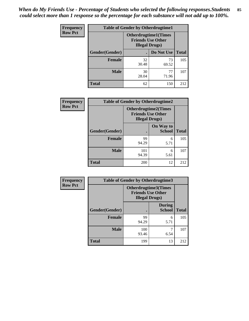| <b>Frequency</b> | <b>Table of Gender by Otherdrugtime1</b> |                                                                                    |             |              |
|------------------|------------------------------------------|------------------------------------------------------------------------------------|-------------|--------------|
| <b>Row Pct</b>   |                                          | <b>Otherdrugtime1</b> (Times<br><b>Friends Use Other</b><br><b>Illegal Drugs</b> ) |             |              |
|                  | Gender(Gender)                           |                                                                                    | Do Not Use  | <b>Total</b> |
|                  | <b>Female</b>                            | 32<br>30.48                                                                        | 73<br>69.52 | 105          |
|                  | <b>Male</b>                              | 30<br>28.04                                                                        | 77<br>71.96 | 107          |
|                  | <b>Total</b>                             | 62                                                                                 | 150         | 212          |

| Frequency      | <b>Table of Gender by Otherdrugtime2</b> |                                                                                   |                            |              |
|----------------|------------------------------------------|-----------------------------------------------------------------------------------|----------------------------|--------------|
| <b>Row Pct</b> |                                          | <b>Otherdrugtime2(Times</b><br><b>Friends Use Other</b><br><b>Illegal Drugs</b> ) |                            |              |
|                | Gender(Gender)                           |                                                                                   | On Way to<br><b>School</b> | <b>Total</b> |
|                | <b>Female</b>                            | 99<br>94.29                                                                       | 6<br>5.71                  | 105          |
|                | <b>Male</b>                              | 101<br>94.39                                                                      | 6<br>5.61                  | 107          |
|                | <b>Total</b>                             | 200                                                                               | 12                         | 212          |

| Frequency      | <b>Table of Gender by Otherdrugtime3</b> |                                                    |                                |              |
|----------------|------------------------------------------|----------------------------------------------------|--------------------------------|--------------|
| <b>Row Pct</b> |                                          | <b>Friends Use Other</b><br><b>Illegal Drugs</b> ) | <b>Otherdrugtime3(Times</b>    |              |
|                | Gender(Gender)                           |                                                    | <b>During</b><br><b>School</b> | <b>Total</b> |
|                | <b>Female</b>                            | 99<br>94.29                                        | 6<br>5.71                      | 105          |
|                | <b>Male</b>                              | 100<br>93.46                                       | 6.54                           | 107          |
|                | <b>Total</b>                             | 199                                                | 13                             | 212          |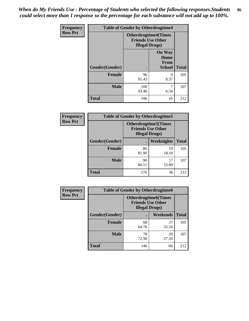*When do My Friends Use - Percentage of Students who selected the following responses.Students could select more than 1 response so the percentage for each substance will not add up to 100%.* **86**

| <b>Frequency</b> | <b>Table of Gender by Otherdrugtime4</b> |                                                    |                                                |              |
|------------------|------------------------------------------|----------------------------------------------------|------------------------------------------------|--------------|
| <b>Row Pct</b>   |                                          | <b>Friends Use Other</b><br><b>Illegal Drugs</b> ) | <b>Otherdrugtime4(Times</b>                    |              |
|                  | Gender(Gender)                           |                                                    | <b>On Way</b><br>Home<br>From<br><b>School</b> | <b>Total</b> |
|                  | <b>Female</b>                            | 96<br>91.43                                        | 9<br>8.57                                      | 105          |
|                  | <b>Male</b>                              | 100<br>93.46                                       | 6.54                                           | 107          |
|                  | <b>Total</b>                             | 196                                                | 16                                             | 212          |

| Frequency      | <b>Table of Gender by Otherdrugtime5</b> |                                                                                    |                   |              |
|----------------|------------------------------------------|------------------------------------------------------------------------------------|-------------------|--------------|
| <b>Row Pct</b> |                                          | <b>Otherdrugtime5</b> (Times<br><b>Friends Use Other</b><br><b>Illegal Drugs</b> ) |                   |              |
|                | Gender(Gender)                           |                                                                                    | <b>Weeknights</b> | <b>Total</b> |
|                | <b>Female</b>                            | 86<br>81.90                                                                        | 19<br>18.10       | 105          |
|                | <b>Male</b>                              | 90<br>84.11                                                                        | 17<br>15.89       | 107          |
|                | <b>Total</b>                             | 176                                                                                | 36                | 212          |

| <b>Frequency</b> | <b>Table of Gender by Otherdrugtime6</b> |                                                                                   |             |              |
|------------------|------------------------------------------|-----------------------------------------------------------------------------------|-------------|--------------|
| <b>Row Pct</b>   |                                          | <b>Otherdrugtime6(Times</b><br><b>Friends Use Other</b><br><b>Illegal Drugs</b> ) |             |              |
|                  | Gender(Gender)                           |                                                                                   | Weekends    | <b>Total</b> |
|                  | <b>Female</b>                            | 68<br>64.76                                                                       | 37<br>35.24 | 105          |
|                  | <b>Male</b>                              | 78<br>72.90                                                                       | 29<br>27.10 | 107          |
|                  | <b>Total</b>                             | 146                                                                               | 66          | 212          |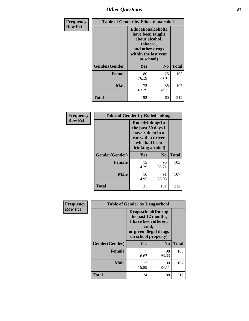# *Other Questions* **87**

| Frequency      | <b>Table of Gender by Educationalcohol</b> |                                                                                                                               |                |              |
|----------------|--------------------------------------------|-------------------------------------------------------------------------------------------------------------------------------|----------------|--------------|
| <b>Row Pct</b> |                                            | Educationalcohol(I<br>have been taught<br>about alcohol,<br>tobacco,<br>and other drugs<br>within the last year<br>at school) |                |              |
|                | Gender(Gender)                             | Yes                                                                                                                           | N <sub>0</sub> | <b>Total</b> |
|                | <b>Female</b>                              | 80<br>76.19                                                                                                                   | 25<br>23.81    | 105          |
|                | <b>Male</b>                                | 72<br>67.29                                                                                                                   | 35<br>32.71    | 107          |
|                | Total                                      | 152                                                                                                                           | 60             | 212          |

| Frequency      | <b>Table of Gender by Rodedrinking</b> |                                                                                                                     |             |              |
|----------------|----------------------------------------|---------------------------------------------------------------------------------------------------------------------|-------------|--------------|
| <b>Row Pct</b> |                                        | Rodedrinking(In<br>the past 30 days I<br>have ridden in a<br>car with a driver<br>who had been<br>drinking alcohol) |             |              |
|                | Gender(Gender)                         | Yes                                                                                                                 | $\bf No$    | <b>Total</b> |
|                | <b>Female</b>                          | 15<br>14.29                                                                                                         | 90<br>85.71 | 105          |
|                | <b>Male</b>                            | 16<br>14.95                                                                                                         | 91<br>85.05 | 107          |
|                | <b>Total</b>                           | 31                                                                                                                  | 181         | 212          |

| Frequency      | <b>Table of Gender by Drugsschool</b> |                                                                                                                                     |                |              |  |
|----------------|---------------------------------------|-------------------------------------------------------------------------------------------------------------------------------------|----------------|--------------|--|
| <b>Row Pct</b> |                                       | <b>Drugsschool</b> (During<br>the past 12 months,<br>I have been offered,<br>sold,<br>or given illegal drugs<br>on school property) |                |              |  |
|                | Gender(Gender)                        | Yes                                                                                                                                 | N <sub>0</sub> | <b>Total</b> |  |
|                | <b>Female</b>                         | 7<br>6.67                                                                                                                           | 98<br>93.33    | 105          |  |
|                | <b>Male</b>                           | 17<br>15.89                                                                                                                         | 90<br>84.11    | 107          |  |
|                | <b>Total</b>                          | 24                                                                                                                                  | 188            | 212          |  |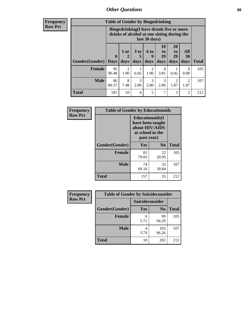# *Other Questions* **88**

**Frequency Row Pct**

| <b>Table of Gender by Bingedrinking</b> |                         |                                                                                                         |                   |                   |                        |                               |                        |              |
|-----------------------------------------|-------------------------|---------------------------------------------------------------------------------------------------------|-------------------|-------------------|------------------------|-------------------------------|------------------------|--------------|
|                                         |                         | Bingedrinking(I have drunk five or more<br>drinks of alcohol at one sitting during the<br>last 30 days) |                   |                   |                        |                               |                        |              |
| <b>Gender</b> (Gender)                  | $\bf{0}$<br><b>Days</b> | 1 or<br>days                                                                                            | 3 to<br>5<br>days | 6 to<br>9<br>days | 10<br>to<br>19<br>days | <b>20</b><br>to<br>29<br>days | All<br>30<br>days      | <b>Total</b> |
|                                         |                         |                                                                                                         |                   |                   |                        |                               |                        |              |
| <b>Female</b>                           | 95<br>90.48             | 2<br>1.90                                                                                               | 0.95              | 2<br>1.90         | 4<br>3.81              | 0.95                          | $\Omega$<br>0.00       | 105          |
| <b>Male</b>                             | 86<br>80.37             | 8<br>7.48                                                                                               | 3<br>2.80         | 3<br>2.80         | 3<br>2.80              | 2<br>1.87                     | $\mathfrak{D}$<br>1.87 | 107          |

| Frequency      | <b>Table of Gender by Educationaids</b> |                                                                                                 |                |              |  |
|----------------|-----------------------------------------|-------------------------------------------------------------------------------------------------|----------------|--------------|--|
| <b>Row Pct</b> |                                         | <b>Educationaids</b> (I<br>have been taught<br>about HIV/AIDS<br>at school in the<br>past year) |                |              |  |
|                | Gender(Gender)                          | Yes                                                                                             | N <sub>0</sub> | <b>Total</b> |  |
|                | <b>Female</b>                           | 83<br>79.05                                                                                     | 22<br>20.95    | 105          |  |
|                | <b>Male</b>                             | 74<br>69.16                                                                                     | 33<br>30.84    | 107          |  |
|                | <b>Total</b>                            | 157                                                                                             | 55             | 212          |  |

| <b>Frequency</b> | <b>Table of Gender by Suicideconsider</b> |                        |                |              |  |
|------------------|-------------------------------------------|------------------------|----------------|--------------|--|
| <b>Row Pct</b>   |                                           | <b>Suicideconsider</b> |                |              |  |
|                  | Gender(Gender)                            | Yes                    | N <sub>0</sub> | <b>Total</b> |  |
|                  | <b>Female</b>                             | 6<br>5.71              | 99<br>94.29    | 105          |  |
|                  | <b>Male</b>                               | 3.74                   | 103<br>96.26   | 107          |  |
|                  | <b>Total</b>                              | 10                     | 202            | 212          |  |